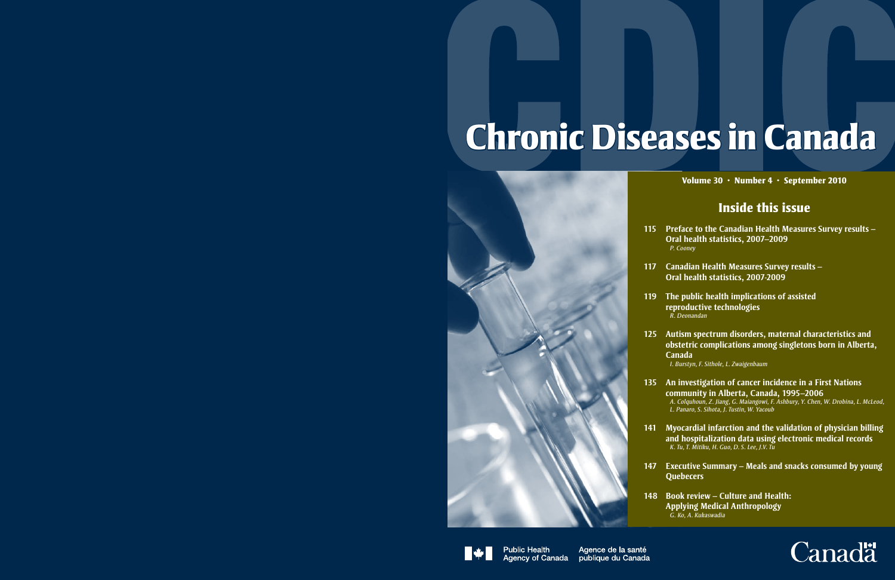# **Chronic Diseases in Canada**



# **Volume 30 · Number 4 · September 2010**

# **Inside this issue**

- **115 Preface to the Canadian Health Measures Survey results Oral health statistics, 2007–2009** *P. Cooney*
- **117 Canadian Health Measures Survey results Oral health statistics, 2007-2009**
- **119 The public health implications of assisted reproductive technologies** *R. Deonandan*
- **125 Autism spectrum disorders, maternal characteristics and obstetric complications among singletons born in Alberta, Canada**

*I. Burstyn, F. Sithole, L. Zwaigenbaum*

- **135 An investigation of cancer incidence in a First Nations community in Alberta, Canada, 1995–2006**  *A. Colquhoun, Z. Jiang, G. Maiangowi, F. Ashbury, Y. Chen, W. Drobina, L. McLeod, L. Panaro, S. Sihota, J. Tustin, W. Yacoub*
- **141 Myocardial infarction and the validation of physician billing and hospitalization data using electronic medical records**  *K. Tu, T. Mitiku, H. Guo, D. S. Lee, J.V. Tu*
- **147 Executive Summary Meals and snacks consumed by young Quebecers**
- **148 Book review Culture and Health: Applying Medical Anthropology**  *G. Ko, A. Kukaswadia*



**Public Health Agency of Canada**  Agence de la santé publique du Canada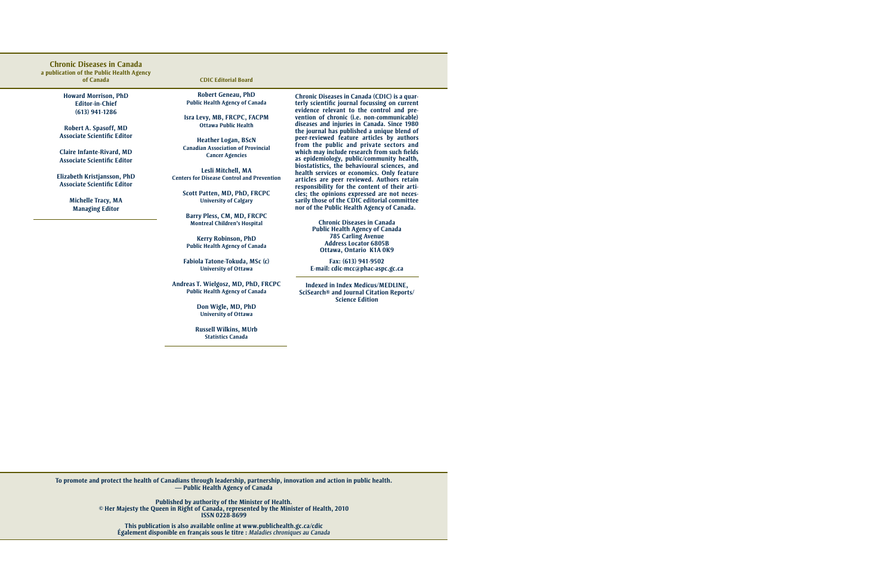### **Chronic Diseases in Canada**

**a publication of the Public Health Agency of Canada**

> **Howard Morrison, PhD Editor-in-Chief (613) 941-1286**

**Robert A. Spasoff, MD Associate Scientific Editor**

**Claire Infante-Rivard, MD Associate Scientific Editor**

**Elizabeth Kristjansson, PhD Associate Scientific Editor**

> **Michelle Tracy, MA Managing Editor**

**CDIC Editorial Board**

**Robert Geneau, PhD Public Health Agency of Canada**

**Isra Levy, MB, FRCPC, FACPM Ottawa Public Health**

**Heather Logan, BScN Canadian Association of Provincial Cancer Agencies**

**Lesli Mitchell, MA Centers for Disease Control and Prevention**

**Scott Patten, MD, PhD, FRCPC University of Calgary**

**Barry Pless, CM, MD, FRCPC Montreal Children's Hospital**

**Kerry Robinson, PhD Public Health Agency of Canada**

**Fabiola Tatone-Tokuda, MSc (c) University of Ottawa** 

**Andreas T. Wielgosz, MD, PhD, FRCPC Public Health Agency of Canada**

> **Don Wigle, MD, PhD University of Ottawa**

**Russell Wilkins, MUrb Statistics Canada**

**Chronic Diseases in Canada (CDIC) is a quarterly scientific journal focussing on current evidence relevant to the control and prevention of chronic (i.e. non-communicable) diseases and injuries in Canada. Since 1980 the journal has published a unique blend of peer-reviewed feature articles by authors from the public and private sectors and which may include research from such fields as epidemiology, public/community health, biostatistics, the behavioural sciences, and health services or economics. Only feature articles are peer reviewed. Authors retain responsibility for the content of their articles; the opinions expressed are not necessarily those of the CDIC editorial committee nor of the Public Health Agency of Canada.**

> **Chronic Diseases in Canada Public Health Agency of Canada 785 Carling Avenue Address Locator 6805B Ottawa, Ontario K1A 0K9**

**Fax: (613) 941-9502 E-mail: cdic-mcc@phac-aspc.gc.ca**

**Indexed in Index Medicus/MEDLINE, SciSearch® and Journal Citation Reports/ Science Edition**

**To promote and protect the health of Canadians through leadership, partnership, innovation and action in public health. — Public Health Agency of Canada**

> **Published by authority of the Minister of Health. © Her Majesty the Queen in Right of Canada, represented by the Minister of Health, 2010 ISSN 0228-8699**

**This publication is also available online at www.publichealth.gc.ca/cdic Également disponible en français sous le titre :** *Maladies chroniques au Canada*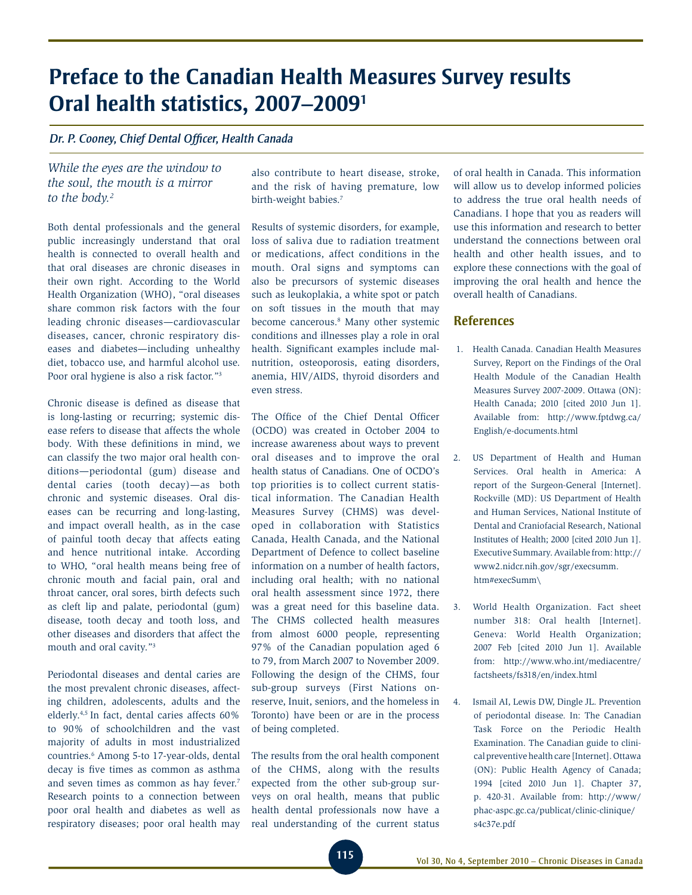# **Preface to the Canadian Health Measures Survey results Oral health statistics, 2007–20091**

### *Dr. P. Cooney, Chief Dental Officer, Health Canada*

# *While the eyes are the window to the soul, the mouth is a mirror to the body.2*

Both dental professionals and the general public increasingly understand that oral health is connected to overall health and that oral diseases are chronic diseases in their own right. According to the World Health Organization (WHO), "oral diseases share common risk factors with the four leading chronic diseases—cardiovascular diseases, cancer, chronic respiratory diseases and diabetes—including unhealthy diet, tobacco use, and harmful alcohol use. Poor oral hygiene is also a risk factor."3

Chronic disease is defined as disease that is long-lasting or recurring; systemic disease refers to disease that affects the whole body. With these definitions in mind, we can classify the two major oral health conditions—periodontal (gum) disease and dental caries (tooth decay)—as both chronic and systemic diseases. Oral diseases can be recurring and long-lasting, and impact overall health, as in the case of painful tooth decay that affects eating and hence nutritional intake. According to WHO, "oral health means being free of chronic mouth and facial pain, oral and throat cancer, oral sores, birth defects such as cleft lip and palate, periodontal (gum) disease, tooth decay and tooth loss, and other diseases and disorders that affect the mouth and oral cavity."3

Periodontal diseases and dental caries are the most prevalent chronic diseases, affecting children, adolescents, adults and the elderly.4,5 In fact, dental caries affects 60% to 90% of schoolchildren and the vast majority of adults in most industrialized countries.6 Among 5-to 17-year-olds, dental decay is five times as common as asthma and seven times as common as hay fever.7 Research points to a connection between poor oral health and diabetes as well as respiratory diseases; poor oral health may

also contribute to heart disease, stroke, and the risk of having premature, low birth-weight babies.<sup>7</sup>

Results of systemic disorders, for example, loss of saliva due to radiation treatment or medications, affect conditions in the mouth. Oral signs and symptoms can also be precursors of systemic diseases such as leukoplakia, a white spot or patch on soft tissues in the mouth that may become cancerous.8 Many other systemic conditions and illnesses play a role in oral health. Significant examples include malnutrition, osteoporosis, eating disorders, anemia, HIV/AIDS, thyroid disorders and even stress.

The Office of the Chief Dental Officer (OCDO) was created in October 2004 to increase awareness about ways to prevent oral diseases and to improve the oral health status of Canadians. One of OCDO's top priorities is to collect current statistical information. The Canadian Health Measures Survey (CHMS) was developed in collaboration with Statistics Canada, Health Canada, and the National Department of Defence to collect baseline information on a number of health factors, including oral health; with no national oral health assessment since 1972, there was a great need for this baseline data. The CHMS collected health measures from almost 6000 people, representing 97% of the Canadian population aged 6 to 79, from March 2007 to November 2009. Following the design of the CHMS, four sub-group surveys (First Nations onreserve, Inuit, seniors, and the homeless in Toronto) have been or are in the process of being completed.

The results from the oral health component of the CHMS, along with the results expected from the other sub-group surveys on oral health, means that public health dental professionals now have a real understanding of the current status of oral health in Canada. This information will allow us to develop informed policies to address the true oral health needs of Canadians. I hope that you as readers will use this information and research to better understand the connections between oral health and other health issues, and to explore these connections with the goal of improving the oral health and hence the overall health of Canadians.

### **References**

- 1. Health Canada. Canadian Health Measures Survey, Report on the Findings of the Oral Health Module of the Canadian Health Measures Survey 2007-2009. Ottawa (ON): Health Canada; 2010 [cited 2010 Jun 1]. Available from: http://www.fptdwg.ca/ English/e-documents.html
- 2. US Department of Health and Human Services. Oral health in America: A report of the Surgeon-General [Internet]. Rockville (MD): US Department of Health and Human Services, National Institute of Dental and Craniofacial Research, National Institutes of Health; 2000 [cited 2010 Jun 1]. Executive Summary. Available from: http:// www2.nidcr.nih.gov/sgr/execsumm. htm#execSumm\
- 3. World Health Organization. Fact sheet number 318: Oral health [Internet]. Geneva: World Health Organization; 2007 Feb [cited 2010 Jun 1]. Available from: http://www.who.int/mediacentre/ factsheets/fs318/en/index.html
- 4. Ismail AI, Lewis DW, Dingle JL. Prevention of periodontal disease. In: The Canadian Task Force on the Periodic Health Examination. The Canadian guide to clinical preventive health care [Internet]. Ottawa (ON): Public Health Agency of Canada; 1994 [cited 2010 Jun 1]. Chapter 37, p. 420-31. Available from: http://www/ phac-aspc.gc.ca/publicat/clinic-clinique/ s4c37e.pdf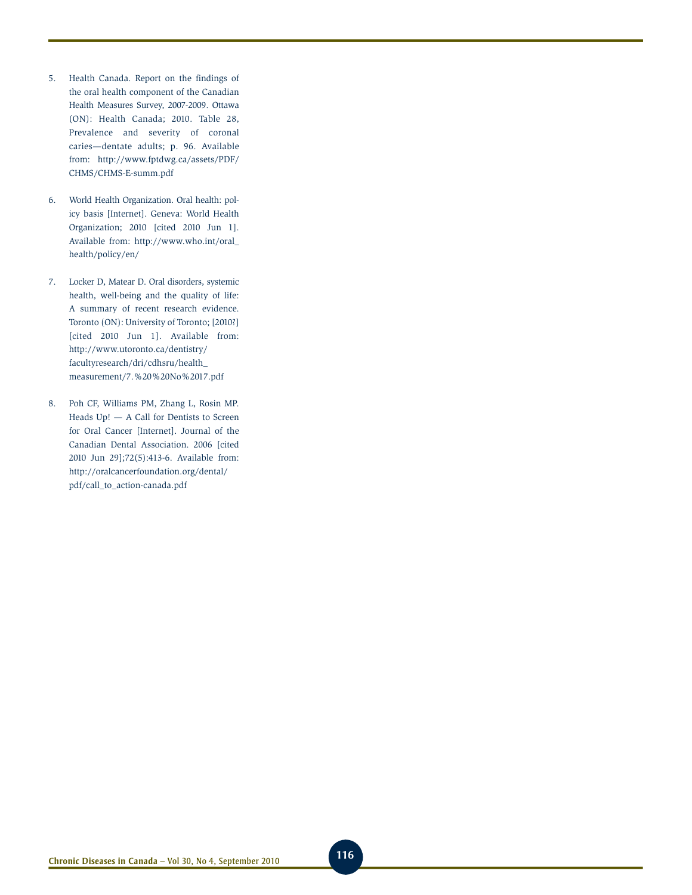- 5. Health Canada. Report on the findings of the oral health component of the Canadian Health Measures Survey, 2007-2009. Ottawa (ON): Health Canada; 2010. Table 28, Prevalence and severity of coronal caries—dentate adults; p. 96. Available from: http://www.fptdwg.ca/assets/PDF/ CHMS/CHMS-E-summ.pdf
- 6. World Health Organization. Oral health: policy basis [Internet]. Geneva: World Health Organization; 2010 [cited 2010 Jun 1]. Available from: http://www.who.int/oral\_ health/policy/en/
- 7. Locker D, Matear D. Oral disorders, systemic health, well-being and the quality of life: A summary of recent research evidence. Toronto (ON): University of Toronto; [2010?] [cited 2010 Jun 1]. Available from: http://www.utoronto.ca/dentistry/ facultyresearch/dri/cdhsru/health\_ measurement/7.%20%20No%2017.pdf
- 8. Poh CF, Williams PM, Zhang L, Rosin MP. Heads Up! — A Call for Dentists to Screen for Oral Cancer [Internet]. Journal of the Canadian Dental Association. 2006 [cited 2010 Jun 29];72(5):413-6. Available from: http://oralcancerfoundation.org/dental/ pdf/call\_to\_action-canada.pdf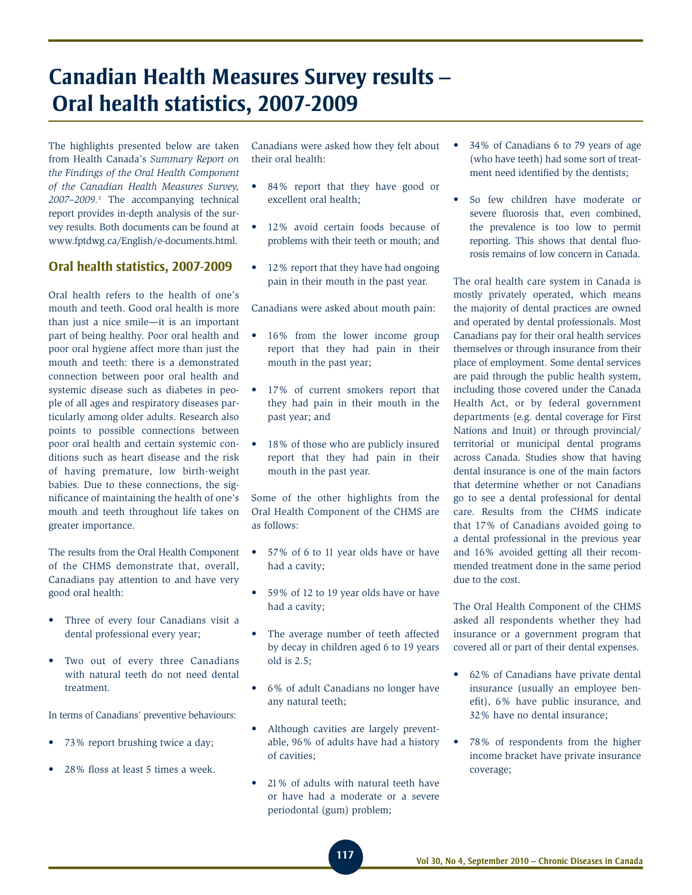# **Canadian Health Measures Survey results – Oral health statistics, 2007-2009**

The highlights presented below are taken from Health Canada's *Summary Report on the Findings of the Oral Health Component of the Canadian Health Measures Survey, 2007–2009.1* The accompanying technical report provides in-depth analysis of the survey results. Both documents can be found at www.fptdwg.ca/English/e-documents.html.

# **Oral health statistics, 2007-2009**

Oral health refers to the health of one's mouth and teeth. Good oral health is more than just a nice smile—it is an important part of being healthy. Poor oral health and poor oral hygiene affect more than just the mouth and teeth: there is a demonstrated connection between poor oral health and systemic disease such as diabetes in people of all ages and respiratory diseases particularly among older adults. Research also points to possible connections between poor oral health and certain systemic conditions such as heart disease and the risk of having premature, low birth-weight babies. Due to these connections, the significance of maintaining the health of one's mouth and teeth throughout life takes on greater importance.

The results from the Oral Health Component of the CHMS demonstrate that, overall, Canadians pay attention to and have very good oral health:

- • Three of every four Canadians visit a dental professional every year;
- • Two out of every three Canadians with natural teeth do not need dental treatment.

In terms of Canadians' preventive behaviours:

- 73% report brushing twice a day;
- 28% floss at least 5 times a week.

Canadians were asked how they felt about their oral health:

- • 84% report that they have good or excellent oral health;
- 12% avoid certain foods because of problems with their teeth or mouth; and
- 12% report that they have had ongoing pain in their mouth in the past year.

Canadians were asked about mouth pain:

- 16% from the lower income group report that they had pain in their mouth in the past year;
- 17% of current smokers report that they had pain in their mouth in the past year; and
- 18% of those who are publicly insured report that they had pain in their mouth in the past year.

Some of the other highlights from the Oral Health Component of the CHMS are as follows:

- • 57% of 6 to 11 year olds have or have had a cavity;
- • 59% of 12 to 19 year olds have or have had a cavity;
- The average number of teeth affected by decay in children aged 6 to 19 years old is 2.5;
- • 6% of adult Canadians no longer have any natural teeth;
- Although cavities are largely preventable, 96% of adults have had a history of cavities;
- 21% of adults with natural teeth have or have had a moderate or a severe periodontal (gum) problem;
- • 34% of Canadians 6 to 79 years of age (who have teeth) had some sort of treatment need identified by the dentists;
- • So few children have moderate or severe fluorosis that, even combined, the prevalence is too low to permit reporting. This shows that dental fluorosis remains of low concern in Canada.

The oral health care system in Canada is mostly privately operated, which means the majority of dental practices are owned and operated by dental professionals. Most Canadians pay for their oral health services themselves or through insurance from their place of employment. Some dental services are paid through the public health system, including those covered under the Canada Health Act, or by federal government departments (e.g. dental coverage for First Nations and Inuit) or through provincial/ territorial or municipal dental programs across Canada. Studies show that having dental insurance is one of the main factors that determine whether or not Canadians go to see a dental professional for dental care. Results from the CHMS indicate that 17% of Canadians avoided going to a dental professional in the previous year and 16% avoided getting all their recommended treatment done in the same period due to the cost.

The Oral Health Component of the CHMS asked all respondents whether they had insurance or a government program that covered all or part of their dental expenses.

- 62% of Canadians have private dental insurance (usually an employee benefit), 6% have public insurance, and 32% have no dental insurance;
- 78% of respondents from the higher income bracket have private insurance coverage;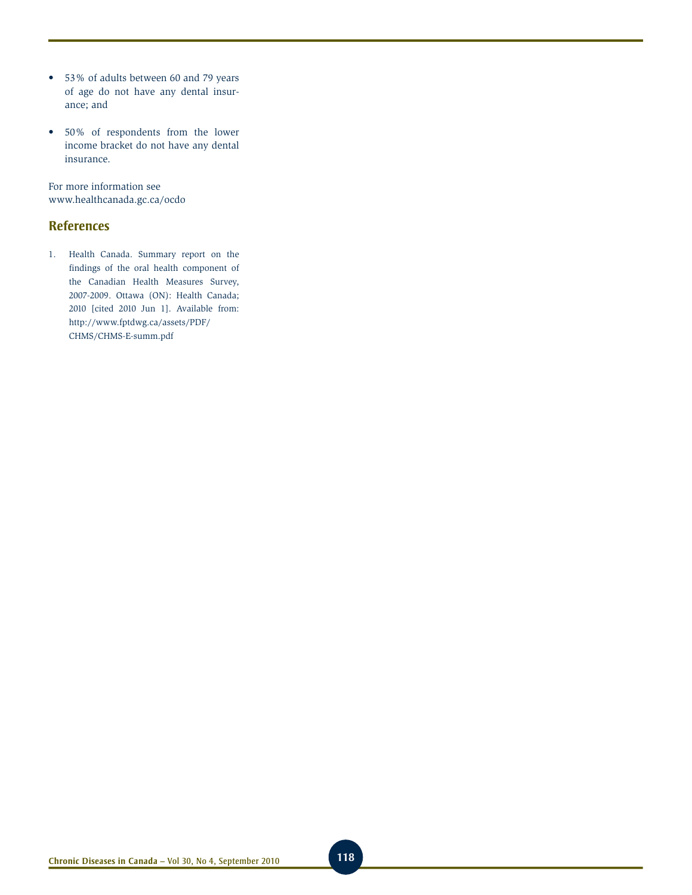- • 53% of adults between 60 and 79 years of age do not have any dental insurance; and
- • 50% of respondents from the lower income bracket do not have any dental insurance.

For more information see www.healthcanada.gc.ca/ocdo

# **References**

1. Health Canada. Summary report on the findings of the oral health component of the Canadian Health Measures Survey, 2007-2009. Ottawa (ON): Health Canada; 2010 [cited 2010 Jun 1]. Available from: http://www.fptdwg.ca/assets/PDF/ CHMS/CHMS-E-summ.pdf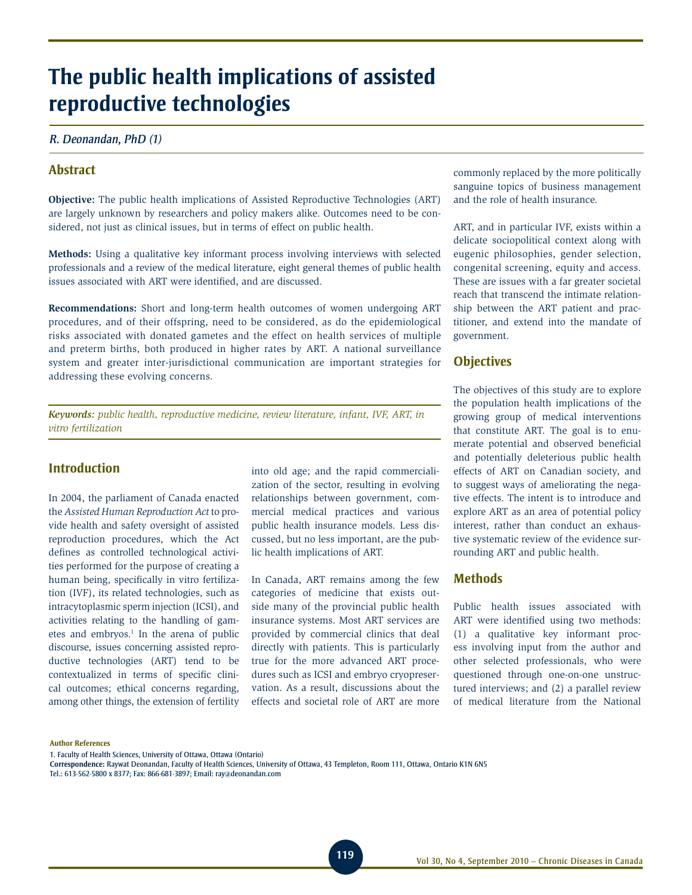# **The public health implications of assisted reproductive technologies**

### *R. Deonandan, PhD (1)*

# **Abstract**

**Objective:** The public health implications of Assisted Reproductive Technologies (ART) are largely unknown by researchers and policy makers alike. Outcomes need to be considered, not just as clinical issues, but in terms of effect on public health.

**Methods:** Using a qualitative key informant process involving interviews with selected professionals and a review of the medical literature, eight general themes of public health issues associated with ART were identified, and are discussed.

**Recommendations:** Short and long-term health outcomes of women undergoing ART procedures, and of their offspring, need to be considered, as do the epidemiological risks associated with donated gametes and the effect on health services of multiple and preterm births, both produced in higher rates by ART. A national surveillance system and greater inter-jurisdictional communication are important strategies for addressing these evolving concerns.

*Keywords: public health, reproductive medicine, review literature, infant, IVF, ART, in vitro fertilization*

# **Introduction**

In 2004, the parliament of Canada enacted the *Assisted Human Reproduction Act* to provide health and safety oversight of assisted reproduction procedures, which the Act defines as controlled technological activities performed for the purpose of creating a human being, specifically in vitro fertilization (IVF), its related technologies, such as intracytoplasmic sperm injection (ICSI), and activities relating to the handling of gametes and embryos.<sup>1</sup> In the arena of public discourse, issues concerning assisted reproductive technologies (ART) tend to be contextualized in terms of specific clinical outcomes; ethical concerns regarding, among other things, the extension of fertility

into old age; and the rapid commercialization of the sector, resulting in evolving relationships between government, commercial medical practices and various public health insurance models. Less discussed, but no less important, are the public health implications of ART.

In Canada, ART remains among the few categories of medicine that exists outside many of the provincial public health insurance systems. Most ART services are provided by commercial clinics that deal directly with patients. This is particularly true for the more advanced ART procedures such as ICSI and embryo cryopreservation. As a result, discussions about the effects and societal role of ART are more

commonly replaced by the more politically sanguine topics of business management and the role of health insurance.

ART, and in particular IVF, exists within a delicate sociopolitical context along with eugenic philosophies, gender selection, congenital screening, equity and access. These are issues with a far greater societal reach that transcend the intimate relationship between the ART patient and practitioner, and extend into the mandate of government.

### **Objectives**

The objectives of this study are to explore the population health implications of the growing group of medical interventions that constitute ART. The goal is to enumerate potential and observed beneficial and potentially deleterious public health effects of ART on Canadian society, and to suggest ways of ameliorating the negative effects. The intent is to introduce and explore ART as an area of potential policy interest, rather than conduct an exhaustive systematic review of the evidence surrounding ART and public health.

### **Methods**

Public health issues associated with ART were identified using two methods: (1) a qualitative key informant process involving input from the author and other selected professionals, who were questioned through one-on-one unstructured interviews; and (2) a parallel review of medical literature from the National

#### **Author References**

1. Faculty of Health Sciences, University of Ottawa, Ottawa (Ontario)

**Correspondence:** Raywat Deonandan, Faculty of Health Sciences, University of Ottawa, 43 Templeton, Room 111, Ottawa, Ontario K1N 6N5

Tel.: 613-562-5800 x 8377; Fax: 866-681-3897; Email: ray@deonandan.com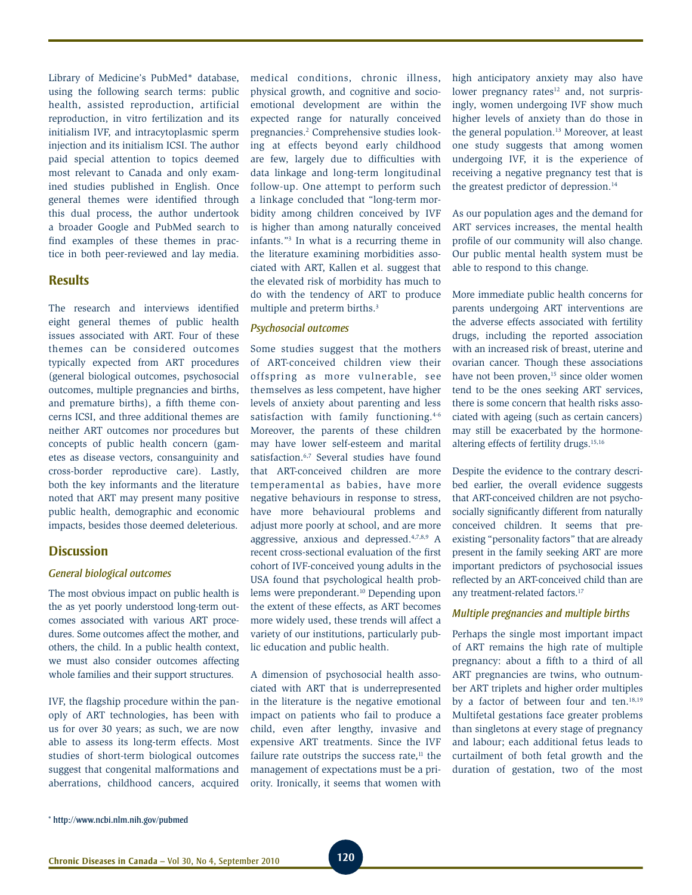Library of Medicine's PubMed\* database, using the following search terms: public health, assisted reproduction, artificial reproduction, in vitro fertilization and its initialism IVF, and intracytoplasmic sperm injection and its initialism ICSI. The author paid special attention to topics deemed most relevant to Canada and only examined studies published in English. Once general themes were identified through this dual process, the author undertook a broader Google and PubMed search to find examples of these themes in practice in both peer-reviewed and lay media.

### **Results**

The research and interviews identified eight general themes of public health issues associated with ART. Four of these themes can be considered outcomes typically expected from ART procedures (general biological outcomes, psychosocial outcomes, multiple pregnancies and births, and premature births), a fifth theme concerns ICSI, and three additional themes are neither ART outcomes nor procedures but concepts of public health concern (gametes as disease vectors, consanguinity and cross-border reproductive care). Lastly, both the key informants and the literature noted that ART may present many positive public health, demographic and economic impacts, besides those deemed deleterious.

### **Discussion**

### *General biological outcomes*

The most obvious impact on public health is the as yet poorly understood long-term outcomes associated with various ART procedures. Some outcomes affect the mother, and others, the child. In a public health context, we must also consider outcomes affecting whole families and their support structures.

IVF, the flagship procedure within the panoply of ART technologies, has been with us for over 30 years; as such, we are now able to assess its long-term effects. Most studies of short-term biological outcomes suggest that congenital malformations and aberrations, childhood cancers, acquired

medical conditions, chronic illness, physical growth, and cognitive and socioemotional development are within the expected range for naturally conceived pregnancies.2 Comprehensive studies looking at effects beyond early childhood are few, largely due to difficulties with data linkage and long-term longitudinal follow-up. One attempt to perform such a linkage concluded that "long-term morbidity among children conceived by IVF is higher than among naturally conceived infants."3 In what is a recurring theme in the literature examining morbidities associated with ART, Kallen et al. suggest that the elevated risk of morbidity has much to do with the tendency of ART to produce multiple and preterm births.<sup>3</sup>

### *Psychosocial outcomes*

Some studies suggest that the mothers of ART-conceived children view their offspring as more vulnerable, see themselves as less competent, have higher levels of anxiety about parenting and less satisfaction with family functioning.<sup>4-6</sup> Moreover, the parents of these children may have lower self-esteem and marital satisfaction.<sup>6,7</sup> Several studies have found that ART-conceived children are more temperamental as babies, have more negative behaviours in response to stress, have more behavioural problems and adjust more poorly at school, and are more aggressive, anxious and depressed.4,7,8,9 A recent cross-sectional evaluation of the first cohort of IVF-conceived young adults in the USA found that psychological health problems were preponderant.<sup>10</sup> Depending upon the extent of these effects, as ART becomes more widely used, these trends will affect a variety of our institutions, particularly public education and public health.

A dimension of psychosocial health associated with ART that is underrepresented in the literature is the negative emotional impact on patients who fail to produce a child, even after lengthy, invasive and expensive ART treatments. Since the IVF failure rate outstrips the success rate, $<sup>11</sup>$  the</sup> management of expectations must be a priority. Ironically, it seems that women with high anticipatory anxiety may also have lower pregnancy rates $12$  and, not surprisingly, women undergoing IVF show much higher levels of anxiety than do those in the general population.<sup>13</sup> Moreover, at least one study suggests that among women undergoing IVF, it is the experience of receiving a negative pregnancy test that is the greatest predictor of depression.<sup>14</sup>

As our population ages and the demand for ART services increases, the mental health profile of our community will also change. Our public mental health system must be able to respond to this change.

More immediate public health concerns for parents undergoing ART interventions are the adverse effects associated with fertility drugs, including the reported association with an increased risk of breast, uterine and ovarian cancer. Though these associations have not been proven,<sup>15</sup> since older women tend to be the ones seeking ART services, there is some concern that health risks associated with ageing (such as certain cancers) may still be exacerbated by the hormonealtering effects of fertility drugs.15,16

Despite the evidence to the contrary described earlier, the overall evidence suggests that ART-conceived children are not psychosocially significantly different from naturally conceived children. It seems that preexisting "personality factors" that are already present in the family seeking ART are more important predictors of psychosocial issues reflected by an ART-conceived child than are any treatment-related factors.17

### *Multiple pregnancies and multiple births*

Perhaps the single most important impact of ART remains the high rate of multiple pregnancy: about a fifth to a third of all ART pregnancies are twins, who outnumber ART triplets and higher order multiples by a factor of between four and ten.<sup>18,19</sup> Multifetal gestations face greater problems than singletons at every stage of pregnancy and labour; each additional fetus leads to curtailment of both fetal growth and the duration of gestation, two of the most

<sup>\*</sup> http://www.ncbi.nlm.nih.gov/pubmed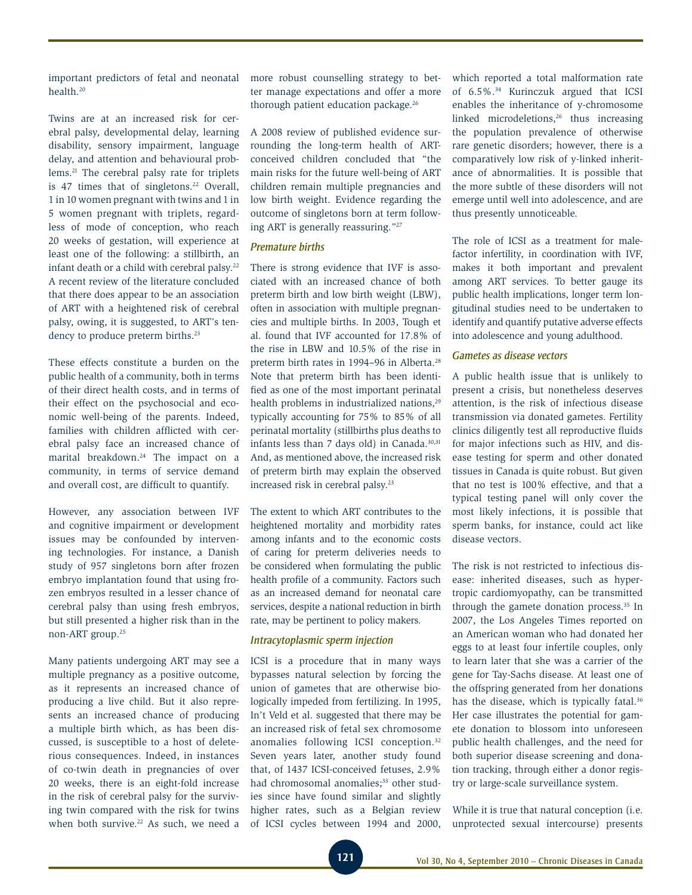important predictors of fetal and neonatal health.20

Twins are at an increased risk for cerebral palsy, developmental delay, learning disability, sensory impairment, language delay, and attention and behavioural problems.21 The cerebral palsy rate for triplets is 47 times that of singletons.<sup>22</sup> Overall, 1 in 10 women pregnant with twins and 1 in 5 women pregnant with triplets, regardless of mode of conception, who reach 20 weeks of gestation, will experience at least one of the following: a stillbirth, an infant death or a child with cerebral palsy.<sup>22</sup> A recent review of the literature concluded that there does appear to be an association of ART with a heightened risk of cerebral palsy, owing, it is suggested, to ART's tendency to produce preterm births.<sup>23</sup>

These effects constitute a burden on the public health of a community, both in terms of their direct health costs, and in terms of their effect on the psychosocial and economic well-being of the parents. Indeed, families with children afflicted with cerebral palsy face an increased chance of marital breakdown.<sup>24</sup> The impact on a community, in terms of service demand and overall cost, are difficult to quantify.

However, any association between IVF and cognitive impairment or development issues may be confounded by intervening technologies. For instance, a Danish study of 957 singletons born after frozen embryo implantation found that using frozen embryos resulted in a lesser chance of cerebral palsy than using fresh embryos, but still presented a higher risk than in the non-ART group.25

Many patients undergoing ART may see a multiple pregnancy as a positive outcome, as it represents an increased chance of producing a live child. But it also represents an increased chance of producing a multiple birth which, as has been discussed, is susceptible to a host of deleterious consequences. Indeed, in instances of co-twin death in pregnancies of over 20 weeks, there is an eight-fold increase in the risk of cerebral palsy for the surviving twin compared with the risk for twins when both survive.<sup>22</sup> As such, we need a more robust counselling strategy to better manage expectations and offer a more thorough patient education package.<sup>26</sup>

A 2008 review of published evidence surrounding the long-term health of ARTconceived children concluded that "the main risks for the future well-being of ART children remain multiple pregnancies and low birth weight. Evidence regarding the outcome of singletons born at term following ART is generally reassuring."27

### *Premature births*

There is strong evidence that IVF is associated with an increased chance of both preterm birth and low birth weight (LBW), often in association with multiple pregnancies and multiple births. In 2003, Tough et al. found that IVF accounted for 17.8% of the rise in LBW and 10.5% of the rise in preterm birth rates in 1994–96 in Alberta.28 Note that preterm birth has been identified as one of the most important perinatal health problems in industrialized nations,<sup>29</sup> typically accounting for 75% to 85% of all perinatal mortality (stillbirths plus deaths to infants less than 7 days old) in Canada. $30,31$ And, as mentioned above, the increased risk of preterm birth may explain the observed increased risk in cerebral palsy.<sup>23</sup>

The extent to which ART contributes to the heightened mortality and morbidity rates among infants and to the economic costs of caring for preterm deliveries needs to be considered when formulating the public health profile of a community. Factors such as an increased demand for neonatal care services, despite a national reduction in birth rate, may be pertinent to policy makers.

### *Intracytoplasmic sperm injection*

ICSI is a procedure that in many ways bypasses natural selection by forcing the union of gametes that are otherwise biologically impeded from fertilizing. In 1995, In't Veld et al. suggested that there may be an increased risk of fetal sex chromosome anomalies following ICSI conception.32 Seven years later, another study found that, of 1437 ICSI-conceived fetuses, 2.9% had chromosomal anomalies;<sup>33</sup> other studies since have found similar and slightly higher rates, such as a Belgian review of ICSI cycles between 1994 and 2000,

which reported a total malformation rate of 6.5%.34 Kurinczuk argued that ICSI enables the inheritance of y-chromosome linked microdeletions, $26$  thus increasing the population prevalence of otherwise rare genetic disorders; however, there is a comparatively low risk of y-linked inheritance of abnormalities. It is possible that the more subtle of these disorders will not emerge until well into adolescence, and are thus presently unnoticeable.

The role of ICSI as a treatment for malefactor infertility, in coordination with IVF, makes it both important and prevalent among ART services. To better gauge its public health implications, longer term longitudinal studies need to be undertaken to identify and quantify putative adverse effects into adolescence and young adulthood.

### *Gametes as disease vectors*

A public health issue that is unlikely to present a crisis, but nonetheless deserves attention, is the risk of infectious disease transmission via donated gametes. Fertility clinics diligently test all reproductive fluids for major infections such as HIV, and disease testing for sperm and other donated tissues in Canada is quite robust. But given that no test is 100% effective, and that a typical testing panel will only cover the most likely infections, it is possible that sperm banks, for instance, could act like disease vectors.

The risk is not restricted to infectious disease: inherited diseases, such as hypertropic cardiomyopathy, can be transmitted through the gamete donation process.35 In 2007, the Los Angeles Times reported on an American woman who had donated her eggs to at least four infertile couples, only to learn later that she was a carrier of the gene for Tay-Sachs disease. At least one of the offspring generated from her donations has the disease, which is typically fatal.<sup>36</sup> Her case illustrates the potential for gamete donation to blossom into unforeseen public health challenges, and the need for both superior disease screening and donation tracking, through either a donor registry or large-scale surveillance system.

While it is true that natural conception (i.e. unprotected sexual intercourse) presents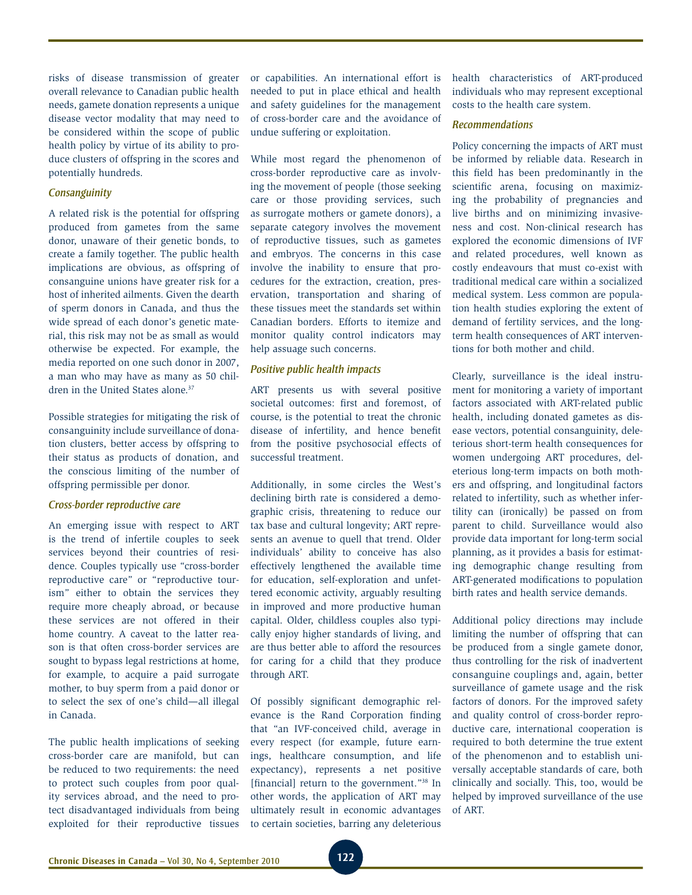risks of disease transmission of greater overall relevance to Canadian public health needs, gamete donation represents a unique disease vector modality that may need to be considered within the scope of public health policy by virtue of its ability to produce clusters of offspring in the scores and potentially hundreds.

### *Consanguinity*

A related risk is the potential for offspring produced from gametes from the same donor, unaware of their genetic bonds, to create a family together. The public health implications are obvious, as offspring of consanguine unions have greater risk for a host of inherited ailments. Given the dearth of sperm donors in Canada, and thus the wide spread of each donor's genetic material, this risk may not be as small as would otherwise be expected. For example, the media reported on one such donor in 2007, a man who may have as many as 50 children in the United States alone.<sup>37</sup>

Possible strategies for mitigating the risk of consanguinity include surveillance of donation clusters, better access by offspring to their status as products of donation, and the conscious limiting of the number of offspring permissible per donor.

### *Cross-border reproductive care*

An emerging issue with respect to ART is the trend of infertile couples to seek services beyond their countries of residence. Couples typically use "cross-border reproductive care" or "reproductive tourism" either to obtain the services they require more cheaply abroad, or because these services are not offered in their home country. A caveat to the latter reason is that often cross-border services are sought to bypass legal restrictions at home, for example, to acquire a paid surrogate mother, to buy sperm from a paid donor or to select the sex of one's child—all illegal in Canada.

The public health implications of seeking cross-border care are manifold, but can be reduced to two requirements: the need to protect such couples from poor quality services abroad, and the need to protect disadvantaged individuals from being exploited for their reproductive tissues or capabilities. An international effort is needed to put in place ethical and health and safety guidelines for the management of cross-border care and the avoidance of undue suffering or exploitation.

While most regard the phenomenon of cross-border reproductive care as involving the movement of people (those seeking care or those providing services, such as surrogate mothers or gamete donors), a separate category involves the movement of reproductive tissues, such as gametes and embryos. The concerns in this case involve the inability to ensure that procedures for the extraction, creation, preservation, transportation and sharing of these tissues meet the standards set within Canadian borders. Efforts to itemize and monitor quality control indicators may help assuage such concerns.

#### *Positive public health impacts*

ART presents us with several positive societal outcomes: first and foremost, of course, is the potential to treat the chronic disease of infertility, and hence benefit from the positive psychosocial effects of successful treatment.

Additionally, in some circles the West's declining birth rate is considered a demographic crisis, threatening to reduce our tax base and cultural longevity; ART represents an avenue to quell that trend. Older individuals' ability to conceive has also effectively lengthened the available time for education, self-exploration and unfettered economic activity, arguably resulting in improved and more productive human capital. Older, childless couples also typically enjoy higher standards of living, and are thus better able to afford the resources for caring for a child that they produce through ART.

Of possibly significant demographic relevance is the Rand Corporation finding that "an IVF-conceived child, average in every respect (for example, future earnings, healthcare consumption, and life expectancy), represents a net positive [financial] return to the government."<sup>38</sup> In other words, the application of ART may ultimately result in economic advantages to certain societies, barring any deleterious health characteristics of ART-produced individuals who may represent exceptional costs to the health care system.

### *Recommendations*

Policy concerning the impacts of ART must be informed by reliable data. Research in this field has been predominantly in the scientific arena, focusing on maximizing the probability of pregnancies and live births and on minimizing invasiveness and cost. Non-clinical research has explored the economic dimensions of IVF and related procedures, well known as costly endeavours that must co-exist with traditional medical care within a socialized medical system. Less common are population health studies exploring the extent of demand of fertility services, and the longterm health consequences of ART interventions for both mother and child.

Clearly, surveillance is the ideal instrument for monitoring a variety of important factors associated with ART-related public health, including donated gametes as disease vectors, potential consanguinity, deleterious short-term health consequences for women undergoing ART procedures, deleterious long-term impacts on both mothers and offspring, and longitudinal factors related to infertility, such as whether infertility can (ironically) be passed on from parent to child. Surveillance would also provide data important for long-term social planning, as it provides a basis for estimating demographic change resulting from ART-generated modifications to population birth rates and health service demands.

Additional policy directions may include limiting the number of offspring that can be produced from a single gamete donor, thus controlling for the risk of inadvertent consanguine couplings and, again, better surveillance of gamete usage and the risk factors of donors. For the improved safety and quality control of cross-border reproductive care, international cooperation is required to both determine the true extent of the phenomenon and to establish universally acceptable standards of care, both clinically and socially. This, too, would be helped by improved surveillance of the use of ART.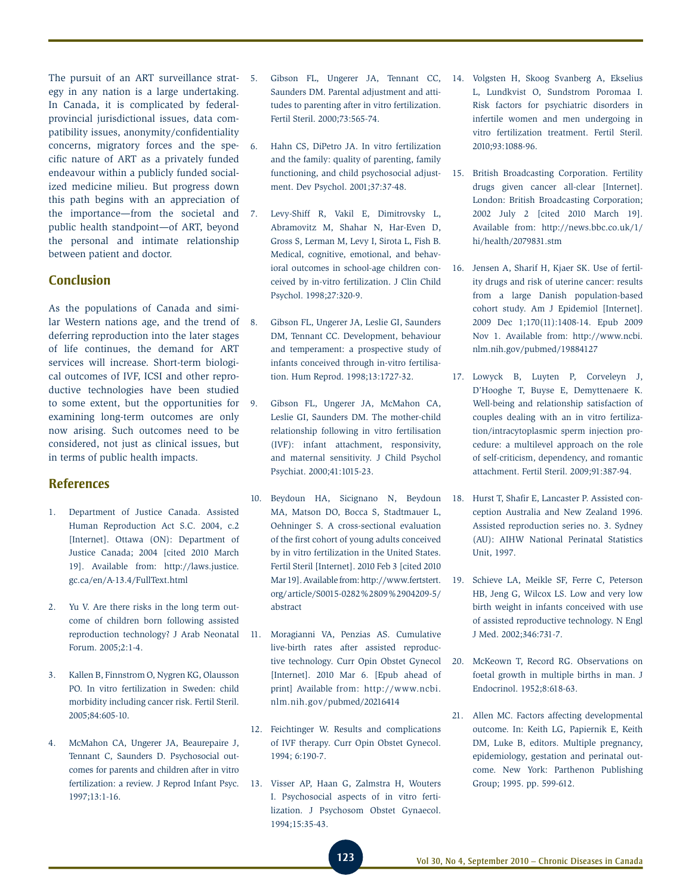The pursuit of an ART surveillance strat- 5. egy in any nation is a large undertaking. In Canada, it is complicated by federalprovincial jurisdictional issues, data compatibility issues, anonymity/confidentiality concerns, migratory forces and the specific nature of ART as a privately funded endeavour within a publicly funded socialized medicine milieu. But progress down this path begins with an appreciation of the importance—from the societal and public health standpoint—of ART, beyond the personal and intimate relationship between patient and doctor.

### **Conclusion**

As the populations of Canada and similar Western nations age, and the trend of deferring reproduction into the later stages of life continues, the demand for ART services will increase. Short-term biological outcomes of IVF, ICSI and other reproductive technologies have been studied to some extent, but the opportunities for examining long-term outcomes are only now arising. Such outcomes need to be considered, not just as clinical issues, but in terms of public health impacts.

### **References**

- 1. Department of Justice Canada. Assisted Human Reproduction Act S.C. 2004, c.2 [Internet]. Ottawa (ON): Department of Justice Canada; 2004 [cited 2010 March 19]. Available from: http://laws.justice. gc.ca/en/A-13.4/FullText.html
- 2. Yu V. Are there risks in the long term outcome of children born following assisted reproduction technology? J Arab Neonatal Forum. 2005;2:1-4.
- 3. Kallen B, Finnstrom O, Nygren KG, Olausson PO. In vitro fertilization in Sweden: child morbidity including cancer risk. Fertil Steril. 2005;84:605-10.
- 4. McMahon CA, Ungerer JA, Beaurepaire J, Tennant C, Saunders D. Psychosocial outcomes for parents and children after in vitro fertilization: a review. J Reprod Infant Psyc. 1997;13:1-16.
- Saunders DM. Parental adjustment and attitudes to parenting after in vitro fertilization. Fertil Steril. 2000;73:565-74.
- 6. Hahn CS, DiPetro JA. In vitro fertilization and the family: quality of parenting, family functioning, and child psychosocial adjustment. Dev Psychol. 2001;37:37-48.
- 7. Levy-Shiff R, Vakil E, Dimitrovsky L, Abramovitz M, Shahar N, Har-Even D, Gross S, Lerman M, Levy I, Sirota L, Fish B. Medical, cognitive, emotional, and behavioral outcomes in school-age children conceived by in-vitro fertilization. J Clin Child Psychol. 1998;27:320-9.
- 8. Gibson FL, Ungerer JA, Leslie GI, Saunders DM, Tennant CC. Development, behaviour and temperament: a prospective study of infants conceived through in-vitro fertilisation. Hum Reprod. 1998;13:1727-32.
- 9. Gibson FL, Ungerer JA, McMahon CA, Leslie GI, Saunders DM. The mother-child relationship following in vitro fertilisation (IVF): infant attachment, responsivity, and maternal sensitivity. J Child Psychol Psychiat. 2000;41:1015-23.
- 10. Beydoun HA, Sicignano N, Beydoun MA, Matson DO, Bocca S, Stadtmauer L, Oehninger S. A cross-sectional evaluation of the first cohort of young adults conceived by in vitro fertilization in the United States. Fertil Steril [Internet]. 2010 Feb 3 [cited 2010 Mar 19]. Available from: http://www.fertstert. org/ article/S0015-0282%2809%2904209-5/ abstract
- 11. Moragianni VA, Penzias AS. Cumulative live-birth rates after assisted reproductive technology. Curr Opin Obstet Gynecol [Internet]. 2010 Mar 6. [Epub ahead of print] Available from: http://www.ncbi. nlm.nih.gov/pubmed/20216414
- 12. Feichtinger W. Results and complications of IVF therapy. Curr Opin Obstet Gynecol. 1994; 6:190-7.
- 13. Visser AP, Haan G, Zalmstra H, Wouters I. Psychosocial aspects of in vitro fertilization. J Psychosom Obstet Gynaecol. 1994;15:35-43.
- 5. Gibson FL, Ungerer JA, Tennant CC, 14. Volgsten H, Skoog Svanberg A, Ekselius L, Lundkvist O, Sundstrom Poromaa I. Risk factors for psychiatric disorders in infertile women and men undergoing in vitro fertilization treatment. Fertil Steril. 2010;93:1088-96.
	- 15. British Broadcasting Corporation. Fertility drugs given cancer all-clear [Internet]. London: British Broadcasting Corporation; 2002 July 2 [cited 2010 March 19]. Available from: http://news.bbc.co.uk/1/ hi/health/2079831.stm
	- 16. Jensen A, Sharif H, Kjaer SK. Use of fertility drugs and risk of uterine cancer: results from a large Danish population-based cohort study. Am J Epidemiol [Internet]. 2009 Dec 1;170(11):1408-14. Epub 2009 Nov 1. Available from: http://www.ncbi. nlm.nih.gov/pubmed/19884127
	- 17. Lowyck B, Luyten P, Corveleyn J, D'Hooghe T, Buyse E, Demyttenaere K. Well-being and relationship satisfaction of couples dealing with an in vitro fertilization/intracytoplasmic sperm injection procedure: a multilevel approach on the role of self-criticism, dependency, and romantic attachment. Fertil Steril. 2009;91:387-94.
	- 18. Hurst T, Shafir E, Lancaster P. Assisted conception Australia and New Zealand 1996. Assisted reproduction series no. 3. Sydney (AU): AIHW National Perinatal Statistics Unit, 1997.
	- 19. Schieve LA, Meikle SF, Ferre C, Peterson HB, Jeng G, Wilcox LS. Low and very low birth weight in infants conceived with use of assisted reproductive technology. N Engl J Med. 2002;346:731-7.
	- 20. McKeown T, Record RG. Observations on foetal growth in multiple births in man. J Endocrinol. 1952;8:618-63.
	- 21. Allen MC. Factors affecting developmental outcome. In: Keith LG, Papiernik E, Keith DM, Luke B, editors. Multiple pregnancy, epidemiology, gestation and perinatal outcome. New York: Parthenon Publishing Group; 1995. pp. 599-612.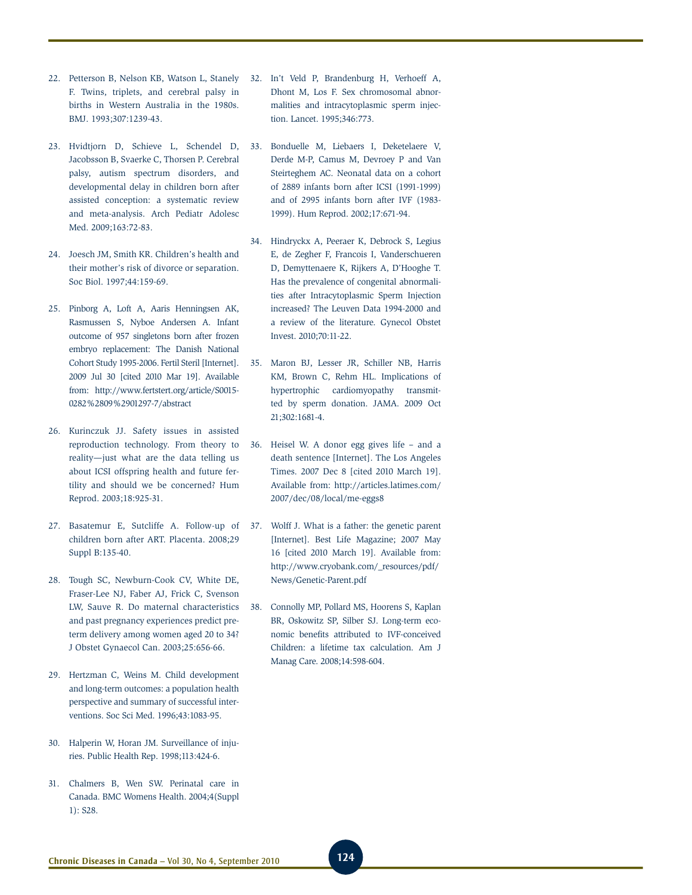- 22. Petterson B, Nelson KB, Watson L, Stanely F. Twins, triplets, and cerebral palsy in births in Western Australia in the 1980s. BMJ. 1993;307:1239-43.
- 23. Hvidtjorn D, Schieve L, Schendel D, Jacobsson B, Svaerke C, Thorsen P. Cerebral palsy, autism spectrum disorders, and developmental delay in children born after assisted conception: a systematic review and meta-analysis. Arch Pediatr Adolesc Med. 2009;163:72-83.
- 24. Joesch JM, Smith KR. Children's health and their mother's risk of divorce or separation. Soc Biol. 1997;44:159-69.
- 25. Pinborg A, Loft A, Aaris Henningsen AK, Rasmussen S, Nyboe Andersen A. Infant outcome of 957 singletons born after frozen embryo replacement: The Danish National Cohort Study 1995-2006. Fertil Steril [Internet]. 2009 Jul 30 [cited 2010 Mar 19]. Available from: http://www.fertstert.org/article/S0015- 0282%2809%2901297-7/abstract
- 26. Kurinczuk JJ. Safety issues in assisted reproduction technology. From theory to reality—just what are the data telling us about ICSI offspring health and future fertility and should we be concerned? Hum Reprod. 2003;18:925-31.
- 27. Basatemur E, Sutcliffe A. Follow-up of children born after ART. Placenta. 2008;29 Suppl B:135-40.
- 28. Tough SC, Newburn-Cook CV, White DE, Fraser-Lee NJ, Faber AJ, Frick C, Svenson LW, Sauve R. Do maternal characteristics and past pregnancy experiences predict preterm delivery among women aged 20 to 34? J Obstet Gynaecol Can. 2003;25:656-66.
- 29. Hertzman C, Weins M. Child development and long-term outcomes: a population health perspective and summary of successful interventions. Soc Sci Med. 1996;43:1083-95.
- 30. Halperin W, Horan JM. Surveillance of injuries. Public Health Rep. 1998;113:424-6.
- 31. Chalmers B, Wen SW. Perinatal care in Canada. BMC Womens Health. 2004;4(Suppl 1): S28.
- 32. In't Veld P, Brandenburg H, Verhoeff A, Dhont M, Los F. Sex chromosomal abnormalities and intracytoplasmic sperm injection. Lancet. 1995;346:773.
- 33. Bonduelle M, Liebaers I, Deketelaere V, Derde M-P, Camus M, Devroey P and Van Steirteghem AC. Neonatal data on a cohort of 2889 infants born after ICSI (1991-1999) and of 2995 infants born after IVF (1983- 1999). Hum Reprod. 2002;17:671-94.
- 34. Hindryckx A, Peeraer K, Debrock S, Legius E, de Zegher F, Francois I, Vanderschueren D, Demyttenaere K, Rijkers A, D'Hooghe T. Has the prevalence of congenital abnormalities after Intracytoplasmic Sperm Injection increased? The Leuven Data 1994-2000 and a review of the literature. Gynecol Obstet Invest. 2010;70:11-22.
- 35. Maron BJ, Lesser JR, Schiller NB, Harris KM, Brown C, Rehm HL. Implications of hypertrophic cardiomyopathy transmitted by sperm donation. JAMA. 2009 Oct 21;302:1681-4.
- 36. Heisel W. A donor egg gives life and a death sentence [Internet]. The Los Angeles Times. 2007 Dec 8 [cited 2010 March 19]. Available from: http://articles.latimes.com/ 2007/dec/08/local/me-eggs8
- 37. Wolff J. What is a father: the genetic parent [Internet]. Best Life Magazine; 2007 May 16 [cited 2010 March 19]. Available from: http://www.cryobank.com/\_resources/pdf/ News/Genetic-Parent.pdf
- 38. Connolly MP, Pollard MS, Hoorens S, Kaplan BR, Oskowitz SP, Silber SJ. Long-term economic benefits attributed to IVF-conceived Children: a lifetime tax calculation. Am J Manag Care. 2008;14:598-604.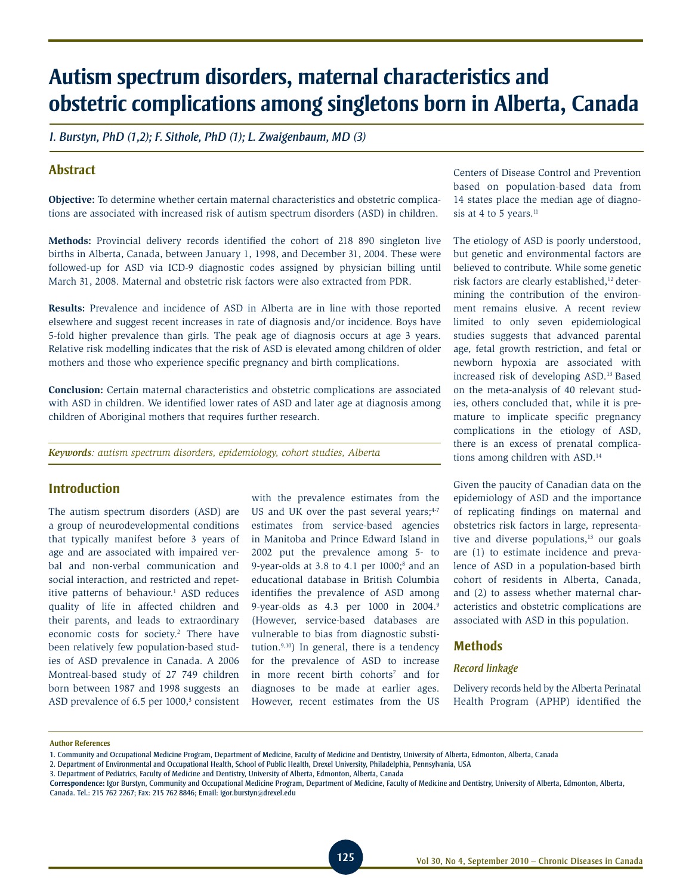# **Autism spectrum disorders, maternal characteristics and obstetric complications among singletons born in Alberta, Canada**

*I. Burstyn, PhD (1,2); F. Sithole, PhD (1); L. Zwaigenbaum, MD (3)*

# **Abstract**

**Objective:** To determine whether certain maternal characteristics and obstetric complications are associated with increased risk of autism spectrum disorders (ASD) in children.

**Methods:** Provincial delivery records identified the cohort of 218 890 singleton live births in Alberta, Canada, between January 1, 1998, and December 31, 2004. These were followed-up for ASD via ICD-9 diagnostic codes assigned by physician billing until March 31, 2008. Maternal and obstetric risk factors were also extracted from PDR.

**Results:** Prevalence and incidence of ASD in Alberta are in line with those reported elsewhere and suggest recent increases in rate of diagnosis and/or incidence. Boys have 5-fold higher prevalence than girls. The peak age of diagnosis occurs at age 3 years. Relative risk modelling indicates that the risk of ASD is elevated among children of older mothers and those who experience specific pregnancy and birth complications.

**Conclusion:** Certain maternal characteristics and obstetric complications are associated with ASD in children. We identified lower rates of ASD and later age at diagnosis among children of Aboriginal mothers that requires further research.

*Keywords: autism spectrum disorders, epidemiology, cohort studies, Alberta*

# **Introduction**

The autism spectrum disorders (ASD) are a group of neurodevelopmental conditions that typically manifest before 3 years of age and are associated with impaired verbal and non-verbal communication and social interaction, and restricted and repetitive patterns of behaviour.<sup>1</sup> ASD reduces quality of life in affected children and their parents, and leads to extraordinary economic costs for society.<sup>2</sup> There have been relatively few population-based studies of ASD prevalence in Canada. A 2006 Montreal-based study of 27 749 children born between 1987 and 1998 suggests an ASD prevalence of 6.5 per 1000,<sup>3</sup> consistent with the prevalence estimates from the US and UK over the past several years;<sup>4-7</sup> estimates from service-based agencies in Manitoba and Prince Edward Island in 2002 put the prevalence among 5- to 9-year-olds at  $3.8$  to  $4.1$  per  $1000$ ;<sup>8</sup> and an educational database in British Columbia identifies the prevalence of ASD among 9-year-olds as 4.3 per 1000 in 2004.9 (However, service-based databases are vulnerable to bias from diagnostic substitution. $9,10)$  In general, there is a tendency for the prevalence of ASD to increase in more recent birth cohorts<sup>7</sup> and for diagnoses to be made at earlier ages. However, recent estimates from the US

Centers of Disease Control and Prevention based on population-based data from 14 states place the median age of diagnosis at 4 to 5 years.<sup>11</sup>

The etiology of ASD is poorly understood, but genetic and environmental factors are believed to contribute. While some genetic risk factors are clearly established,<sup>12</sup> determining the contribution of the environment remains elusive. A recent review limited to only seven epidemiological studies suggests that advanced parental age, fetal growth restriction, and fetal or newborn hypoxia are associated with increased risk of developing ASD.13 Based on the meta-analysis of 40 relevant studies, others concluded that, while it is premature to implicate specific pregnancy complications in the etiology of ASD, there is an excess of prenatal complications among children with ASD.14

Given the paucity of Canadian data on the epidemiology of ASD and the importance of replicating findings on maternal and obstetrics risk factors in large, representative and diverse populations, $13$  our goals are (1) to estimate incidence and prevalence of ASD in a population-based birth cohort of residents in Alberta, Canada, and (2) to assess whether maternal characteristics and obstetric complications are associated with ASD in this population.

### **Methods**

#### *Record linkage*

Delivery records held by the Alberta Perinatal Health Program (APHP) identified the

#### **Author References**

<sup>1.</sup> Community and Occupational Medicine Program, Department of Medicine, Faculty of Medicine and Dentistry, University of Alberta, Edmonton, Alberta, Canada

<sup>2.</sup> Department of Environmental and Occupational Health, School of Public Health, Drexel University, Philadelphia, Pennsylvania, USA

<sup>3.</sup> Department of Pediatrics, Faculty of Medicine and Dentistry, University of Alberta, Edmonton, Alberta, Canada

**Correspondence:** Igor Burstyn, Community and Occupational Medicine Program, Department of Medicine, Faculty of Medicine and Dentistry, University of Alberta, Edmonton, Alberta, Canada. Tel.: 215 762 2267; Fax: 215 762 8846; Email: igor.burstyn@drexel.edu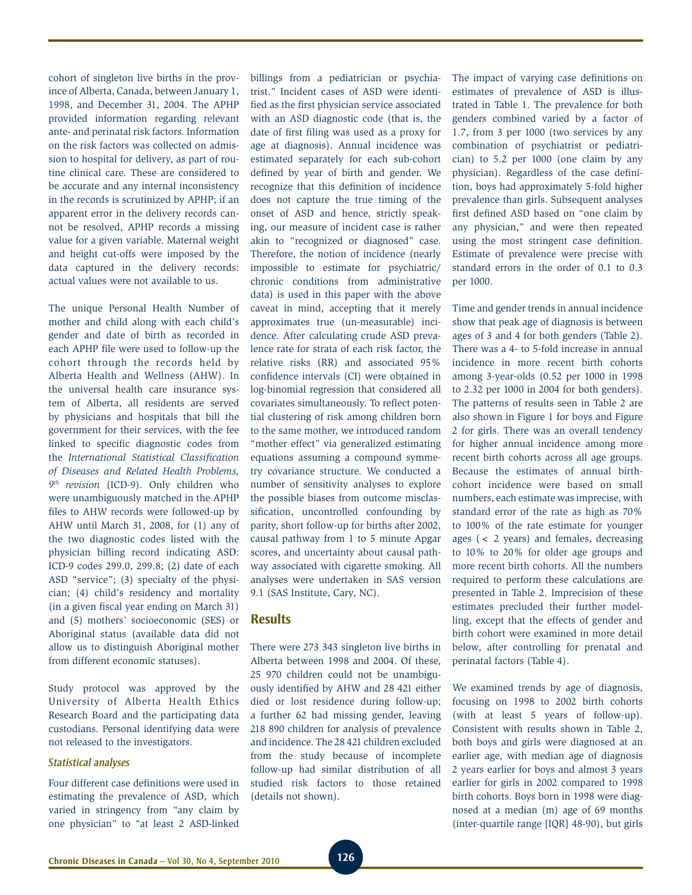cohort of singleton live births in the province of Alberta, Canada, between January 1, 1998, and December 31, 2004. The APHP provided information regarding relevant ante- and perinatal risk factors. Information on the risk factors was collected on admission to hospital for delivery, as part of routine clinical care. These are considered to be accurate and any internal inconsistency in the records is scrutinized by APHP; if an apparent error in the delivery records cannot be resolved, APHP records a missing value for a given variable. Maternal weight and height cut-offs were imposed by the data captured in the delivery records: actual values were not available to us.

The unique Personal Health Number of mother and child along with each child's gender and date of birth as recorded in each APHP file were used to follow-up the cohort through the records held by Alberta Health and Wellness (AHW). In the universal health care insurance system of Alberta, all residents are served by physicians and hospitals that bill the government for their services, with the fee linked to specific diagnostic codes from the *International Statistical Classification of Diseases and Related Health Problems, 9th revision* (ICD-9). Only children who were unambiguously matched in the APHP files to AHW records were followed-up by AHW until March 31, 2008, for (1) any of the two diagnostic codes listed with the physician billing record indicating ASD: ICD-9 codes 299.0, 299.8; (2) date of each ASD "service"; (3) specialty of the physician; (4) child's residency and mortality (in a given fiscal year ending on March 31) and (5) mothers' socioeconomic (SES) or Aboriginal status (available data did not allow us to distinguish Aboriginal mother from different economic statuses).

Study protocol was approved by the University of Alberta Health Ethics Research Board and the participating data custodians. Personal identifying data were not released to the investigators.

### *Statistical analyses*

Four different case definitions were used in estimating the prevalence of ASD, which varied in stringency from "any claim by one physician" to "at least 2 ASD-linked

billings from a pediatrician or psychiatrist." Incident cases of ASD were identified as the first physician service associated with an ASD diagnostic code (that is, the date of first filing was used as a proxy for age at diagnosis). Annual incidence was estimated separately for each sub-cohort defined by year of birth and gender. We recognize that this definition of incidence does not capture the true timing of the onset of ASD and hence, strictly speaking, our measure of incident case is rather akin to "recognized or diagnosed" case. Therefore, the notion of incidence (nearly impossible to estimate for psychiatric/ chronic conditions from administrative data) is used in this paper with the above caveat in mind, accepting that it merely approximates true (un-measurable) incidence. After calculating crude ASD prevalence rate for strata of each risk factor, the relative risks (RR) and associated 95% confidence intervals (CI) were obtained in log-binomial regression that considered all covariates simultaneously. To reflect potential clustering of risk among children born to the same mother, we introduced random "mother effect" via generalized estimating equations assuming a compound symmetry covariance structure. We conducted a number of sensitivity analyses to explore the possible biases from outcome misclassification, uncontrolled confounding by parity, short follow-up for births after 2002, causal pathway from 1 to 5 minute Apgar scores, and uncertainty about causal pathway associated with cigarette smoking. All analyses were undertaken in SAS version 9.1 (SAS Institute, Cary, NC).

### **Results**

There were 273 343 singleton live births in Alberta between 1998 and 2004. Of these, 25 970 children could not be unambiguously identified by AHW and 28 421 either died or lost residence during follow-up; a further 62 had missing gender, leaving 218 890 children for analysis of prevalence and incidence. The 28 421 children excluded from the study because of incomplete follow-up had similar distribution of all studied risk factors to those retained (details not shown).

The impact of varying case definitions on estimates of prevalence of ASD is illustrated in Table 1. The prevalence for both genders combined varied by a factor of 1.7, from 3 per 1000 (two services by any combination of psychiatrist or pediatrician) to 5.2 per 1000 (one claim by any physician). Regardless of the case definition, boys had approximately 5-fold higher prevalence than girls. Subsequent analyses first defined ASD based on "one claim by any physician," and were then repeated using the most stringent case definition. Estimate of prevalence were precise with standard errors in the order of 0.1 to 0.3 per 1000.

Time and gender trends in annual incidence show that peak age of diagnosis is between ages of 3 and 4 for both genders (Table 2). There was a 4- to 5-fold increase in annual incidence in more recent birth cohorts among 3-year-olds (0.52 per 1000 in 1998 to 2.32 per 1000 in 2004 for both genders). The patterns of results seen in Table 2 are also shown in Figure 1 for boys and Figure 2 for girls. There was an overall tendency for higher annual incidence among more recent birth cohorts across all age groups. Because the estimates of annual birthcohort incidence were based on small numbers, each estimate was imprecise, with standard error of the rate as high as 70% to 100% of the rate estimate for younger ages (< 2 years) and females, decreasing to 10% to 20% for older age groups and more recent birth cohorts. All the numbers required to perform these calculations are presented in Table 2. Imprecision of these estimates precluded their further modelling, except that the effects of gender and birth cohort were examined in more detail below, after controlling for prenatal and perinatal factors (Table 4).

We examined trends by age of diagnosis, focusing on 1998 to 2002 birth cohorts (with at least 5 years of follow-up). Consistent with results shown in Table 2, both boys and girls were diagnosed at an earlier age, with median age of diagnosis 2 years earlier for boys and almost 3 years earlier for girls in 2002 compared to 1998 birth cohorts. Boys born in 1998 were diagnosed at a median (m) age of 69 months (inter-quartile range [IQR] 48-90), but girls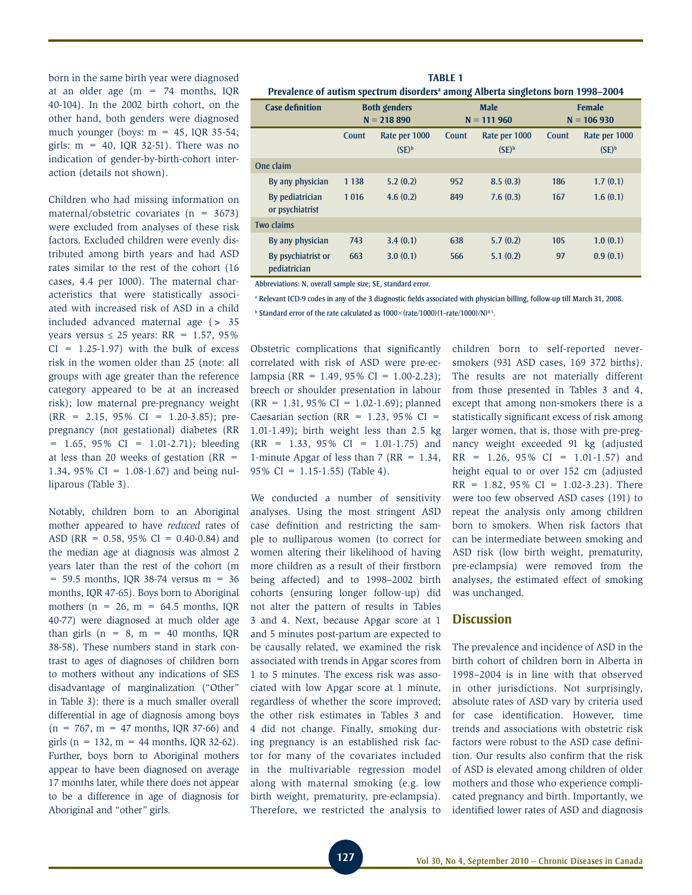born in the same birth year were diagnosed at an older age  $(m = 74$  months, IQR 40-104). In the 2002 birth cohort, on the other hand, both genders were diagnosed much younger (boys:  $m = 45$ , IQR 35-54; girls:  $m = 40$ , IQR 32-51). There was no indication of gender-by-birth-cohort interaction (details not shown).

Children who had missing information on maternal/obstetric covariates  $(n = 3673)$ were excluded from analyses of these risk factors. Excluded children were evenly distributed among birth years and had ASD rates similar to the rest of the cohort (16 cases, 4.4 per 1000). The maternal characteristics that were statistically associated with increased risk of ASD in a child included advanced maternal age (> 35 years versus  $\leq 25$  years: RR = 1.57, 95%  $CI = 1.25 - 1.97$  with the bulk of excess risk in the women older than 25 (note: all groups with age greater than the reference category appeared to be at an increased risk); low maternal pre-pregnancy weight (RR = 2.15, 95% CI = 1.20-3.85); prepregnancy (not gestational) diabetes (RR  $= 1.65, 95\% \text{ CI} = 1.01-2.71$ ; bleeding at less than 20 weeks of gestation  $(RR =$ 1.34, 95% CI = 1.08-1.67) and being nulliparous (Table 3).

Notably, children born to an Aboriginal mother appeared to have *reduced* rates of ASD (RR =  $0.58$ , 95% CI = 0.40-0.84) and the median age at diagnosis was almost 2 years later than the rest of the cohort (m  $= 59.5$  months, IQR 38-74 versus m  $= 36$ months, IQR 47-65). Boys born to Aboriginal mothers ( $n = 26$ ,  $m = 64.5$  months, IQR 40-77) were diagnosed at much older age than girls  $(n = 8, m = 40 \text{ months}, IQR)$ 38-58). These numbers stand in stark contrast to ages of diagnoses of children born to mothers without any indications of SES disadvantage of marginalization ("Other" in Table 3): there is a much smaller overall differential in age of diagnosis among boys  $(n = 767, m = 47$  months, IQR 37-66) and girls ( $n = 132$ ,  $m = 44$  months, IQR 32-62). Further, boys born to Aboriginal mothers appear to have been diagnosed on average 17 months later, while there does not appear to be a difference in age of diagnosis for Aboriginal and "other" girls.

**Table 1** Prevalence of autism spectrum disorders<sup>a</sup> among Alberta singletons born 1998–2004

| <b>Case definition</b>             | <b>Both genders</b><br>$N = 218890$ |               |       | <b>Male</b><br>$N = 111960$ | <b>Female</b><br>$N = 106930$ |               |  |
|------------------------------------|-------------------------------------|---------------|-------|-----------------------------|-------------------------------|---------------|--|
|                                    | Count                               | Rate per 1000 | Count | Rate per 1000               | Count                         | Rate per 1000 |  |
|                                    |                                     | $(SE)^b$      |       | $(SE)^b$                    |                               | $(SE)^b$      |  |
| One claim                          |                                     |               |       |                             |                               |               |  |
| By any physician                   | 1 1 3 8                             | 5.2(0.2)      | 952   | 8.5(0.3)                    | 186                           | 1.7(0.1)      |  |
| By pediatrician<br>or psychiatrist | 1016                                | 4.6(0.2)      | 849   | 7.6(0.3)                    | 167                           | 1.6(0.1)      |  |
| Two claims                         |                                     |               |       |                             |                               |               |  |
| By any physician                   | 743                                 | 3.4(0.1)      | 638   | 5.7(0.2)                    | 105                           | 1.0(0.1)      |  |
| By psychiatrist or<br>pediatrician | 663                                 | 3.0(0.1)      | 566   | 5.1(0.2)                    | 97                            | 0.9(0.1)      |  |

Abbreviations: N, overall sample size; SE, standard error.

a Relevant ICD-9 codes in any of the 3 diagnostic fields associated with physician billing, follow-up till March 31, 2008.

<sup>b</sup> Standard error of the rate calculated as  $1000\times$ (rate/1000)(1-rate/1000)/N)<sup>0.5</sup>.

Obstetric complications that significantly correlated with risk of ASD were pre-eclampsia (RR = 1.49, 95% CI = 1.00-2.23); breech or shoulder presentation in labour  $(RR = 1.31, 95\% CI = 1.02-1.69)$ ; planned Caesarian section (RR =  $1.23$ , 95% CI = 1.01-1.49); birth weight less than 2.5 kg  $(RR = 1.33, 95\% \text{ CI} = 1.01-1.75)$  and 1-minute Apgar of less than 7 (RR = 1.34, 95% CI = 1.15-1.55) (Table 4).

We conducted a number of sensitivity analyses. Using the most stringent ASD case definition and restricting the sample to nulliparous women (to correct for women altering their likelihood of having more children as a result of their firstborn being affected) and to 1998–2002 birth cohorts (ensuring longer follow-up) did not alter the pattern of results in Tables 3 and 4. Next, because Apgar score at 1 and 5 minutes post-partum are expected to be causally related, we examined the risk associated with trends in Apgar scores from 1 to 5 minutes. The excess risk was associated with low Apgar score at 1 minute, regardless of whether the score improved; the other risk estimates in Tables 3 and 4 did not change. Finally, smoking during pregnancy is an established risk factor for many of the covariates included in the multivariable regression model along with maternal smoking (e.g. low birth weight, prematurity, pre-eclampsia). Therefore, we restricted the analysis to

children born to self-reported neversmokers (931 ASD cases, 169 372 births). The results are not materially different from those presented in Tables 3 and 4, except that among non-smokers there is a statistically significant excess of risk among larger women, that is, those with pre-pregnancy weight exceeded 91 kg (adjusted RR = 1.26, 95% CI = 1.01-1.57) and height equal to or over 152 cm (adjusted  $RR = 1.82, 95\% CI = 1.02-3.23$ . There were too few observed ASD cases (191) to repeat the analysis only among children born to smokers. When risk factors that can be intermediate between smoking and ASD risk (low birth weight, prematurity, pre-eclampsia) were removed from the analyses, the estimated effect of smoking was unchanged.

### **Discussion**

The prevalence and incidence of ASD in the birth cohort of children born in Alberta in 1998–2004 is in line with that observed in other jurisdictions. Not surprisingly, absolute rates of ASD vary by criteria used for case identification. However, time trends and associations with obstetric risk factors were robust to the ASD case definition. Our results also confirm that the risk of ASD is elevated among children of older mothers and those who experience complicated pregnancy and birth. Importantly, we identified lower rates of ASD and diagnosis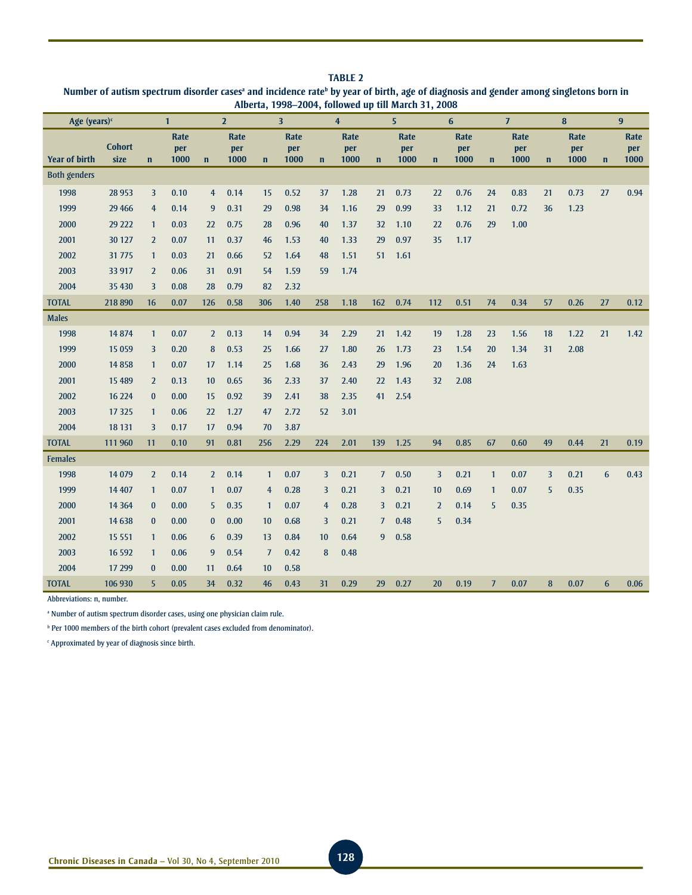| TARIF <sub>2</sub>                                                                                                                                           |
|--------------------------------------------------------------------------------------------------------------------------------------------------------------|
| Number of autism spectrum disorder cases <sup>a</sup> and incidence rate <sup>b</sup> by year of birth, age of diagnosis and gender among singletons born in |
| Alberta, 1998–2004, followed up till March 31, 2008                                                                                                          |

| Age (years) <sup>c</sup> |                       |                | $\mathbf{1}$               |                | $\overline{2}$      |                | $\overline{\mathbf{3}}$ |                | $\overline{4}$      |                | 5                   |                | 6                   |                | $\overline{J}$      |                | 8                   |              | 9                   |
|--------------------------|-----------------------|----------------|----------------------------|----------------|---------------------|----------------|-------------------------|----------------|---------------------|----------------|---------------------|----------------|---------------------|----------------|---------------------|----------------|---------------------|--------------|---------------------|
| <b>Year of birth</b>     | <b>Cohort</b><br>size | $\mathbf{n}$   | <b>Rate</b><br>per<br>1000 | $\mathbf n$    | Rate<br>per<br>1000 | $\mathbf n$    | Rate<br>per<br>1000     | $\mathbf n$    | Rate<br>per<br>1000 | $\mathbf n$    | Rate<br>per<br>1000 | $\mathbf n$    | Rate<br>per<br>1000 | $\mathbf n$    | Rate<br>per<br>1000 | $\mathbf{n}$   | Rate<br>per<br>1000 | $\mathbf{n}$ | Rate<br>per<br>1000 |
| <b>Both genders</b>      |                       |                |                            |                |                     |                |                         |                |                     |                |                     |                |                     |                |                     |                |                     |              |                     |
| 1998                     | 28 9 53               | $\overline{3}$ | 0.10                       | $\overline{4}$ | 0.14                | 15             | 0.52                    | 37             | 1.28                | 21             | 0.73                | 22             | 0.76                | 24             | 0.83                | 21             | 0.73                | 27           | 0.94                |
| 1999                     | 29 4 66               | $\overline{4}$ | 0.14                       | 9              | 0.31                | 29             | 0.98                    | 34             | 1.16                | 29             | 0.99                | 33             | 1.12                | 21             | 0.72                | 36             | 1.23                |              |                     |
| 2000                     | 29 222                | $\mathbf{1}$   | 0.03                       | 22             | 0.75                | 28             | 0.96                    | 40             | 1.37                | 32             | 1.10                | 22             | 0.76                | 29             | 1.00                |                |                     |              |                     |
| 2001                     | 30 127                | $\overline{2}$ | 0.07                       | 11             | 0.37                | 46             | 1.53                    | 40             | 1.33                | 29             | 0.97                | 35             | 1.17                |                |                     |                |                     |              |                     |
| 2002                     | 31 775                | $\mathbf{1}$   | 0.03                       | 21             | 0.66                | 52             | 1.64                    | 48             | 1.51                | 51             | 1.61                |                |                     |                |                     |                |                     |              |                     |
| 2003                     | 33 917                | $\overline{2}$ | 0.06                       | 31             | 0.91                | 54             | 1.59                    | 59             | 1.74                |                |                     |                |                     |                |                     |                |                     |              |                     |
| 2004                     | 35 430                | 3              | 0.08                       | 28             | 0.79                | 82             | 2.32                    |                |                     |                |                     |                |                     |                |                     |                |                     |              |                     |
| <b>TOTAL</b>             | 218 890               | 16             | 0.07                       | 126            | 0.58                | 306            | 1.40                    | 258            | 1.18                | 162            | 0.74                | 112            | 0.51                | 74             | 0.34                | 57             | 0.26                | 27           | 0.12                |
| <b>Males</b>             |                       |                |                            |                |                     |                |                         |                |                     |                |                     |                |                     |                |                     |                |                     |              |                     |
| 1998                     | 14874                 | $\mathbf{1}$   | 0.07                       | $\overline{2}$ | 0.13                | 14             | 0.94                    | 34             | 2.29                | 21             | 1.42                | 19             | 1.28                | 23             | 1.56                | 18             | 1.22                | 21           | 1.42                |
| 1999                     | 15 0 59               | 3              | 0.20                       | 8              | 0.53                | 25             | 1.66                    | 27             | 1.80                | 26             | 1.73                | 23             | 1.54                | 20             | 1.34                | 31             | 2.08                |              |                     |
| 2000                     | 14858                 | $\mathbf{1}$   | 0.07                       | 17             | 1.14                | 25             | 1.68                    | 36             | 2.43                | 29             | 1.96                | 20             | 1.36                | 24             | 1.63                |                |                     |              |                     |
| 2001                     | 15 4 89               | $\overline{2}$ | 0.13                       | 10             | 0.65                | 36             | 2.33                    | 37             | 2.40                | 22             | 1.43                | 32             | 2.08                |                |                     |                |                     |              |                     |
| 2002                     | 16 224                | $\bf{0}$       | 0.00                       | 15             | 0.92                | 39             | 2.41                    | 38             | 2.35                | 41             | 2.54                |                |                     |                |                     |                |                     |              |                     |
| 2003                     | 17 3 25               | $\mathbf{1}$   | 0.06                       | 22             | 1.27                | 47             | 2.72                    | 52             | 3.01                |                |                     |                |                     |                |                     |                |                     |              |                     |
| 2004                     | 18 13 1               | $\overline{3}$ | 0.17                       | 17             | 0.94                | 70             | 3.87                    |                |                     |                |                     |                |                     |                |                     |                |                     |              |                     |
| <b>TOTAL</b>             | 111 960               | 11             | 0.10                       | 91             | 0.81                | 256            | 2.29                    | 224            | 2.01                | 139            | 1.25                | 94             | 0.85                | 67             | 0.60                | 49             | 0.44                | 21           | 0.19                |
| <b>Females</b>           |                       |                |                            |                |                     |                |                         |                |                     |                |                     |                |                     |                |                     |                |                     |              |                     |
| 1998                     | 14 0 79               | $\overline{2}$ | 0.14                       | $\overline{2}$ | 0.14                | $\mathbf{1}$   | 0.07                    | $\overline{3}$ | 0.21                | 7 <sup>7</sup> | 0.50                | $\overline{3}$ | 0.21                | $\mathbf{1}$   | 0.07                | $\overline{3}$ | 0.21                | 6            | 0.43                |
| 1999                     | 14 407                | $\mathbf{1}$   | 0.07                       | $\mathbf{1}$   | 0.07                | $\overline{4}$ | 0.28                    | $\overline{3}$ | 0.21                | 3              | 0.21                | 10             | 0.69                | $\mathbf{1}$   | 0.07                | 5              | 0.35                |              |                     |
| 2000                     | 14 3 64               | $\bf{0}$       | 0.00                       | 5              | 0.35                | $\mathbf{1}$   | 0.07                    | $\overline{4}$ | 0.28                | $\overline{3}$ | 0.21                | $\overline{2}$ | 0.14                | 5              | 0.35                |                |                     |              |                     |
| 2001                     | 14 6 38               | $\bf{0}$       | 0.00                       | $\mathbf{0}$   | 0.00                | 10             | 0.68                    | $\overline{3}$ | 0.21                | $\overline{7}$ | 0.48                | 5              | 0.34                |                |                     |                |                     |              |                     |
| 2002                     | 15 5 5 1              | $\mathbf{1}$   | 0.06                       | 6              | 0.39                | 13             | 0.84                    | 10             | 0.64                | 9              | 0.58                |                |                     |                |                     |                |                     |              |                     |
| 2003                     | 16 5 92               | $\mathbf{1}$   | 0.06                       | 9              | 0.54                | $\overline{J}$ | 0.42                    | 8              | 0.48                |                |                     |                |                     |                |                     |                |                     |              |                     |
| 2004                     | 17 299                | $\bf{0}$       | 0.00                       | 11             | 0.64                | 10             | 0.58                    |                |                     |                |                     |                |                     |                |                     |                |                     |              |                     |
| <b>TOTAL</b>             | 106 930               | 5              | 0.05                       | 34             | 0.32                | 46             | 0.43                    | 31             | 0.29                | 29             | 0.27                | 20             | 0.19                | $\overline{7}$ | 0.07                | 8              | 0.07                | 6            | 0.06                |

Abbreviations: n, number.

<sup>a</sup> Number of autism spectrum disorder cases, using one physician claim rule.

**b** Per 1000 members of the birth cohort (prevalent cases excluded from denominator).

c Approximated by year of diagnosis since birth.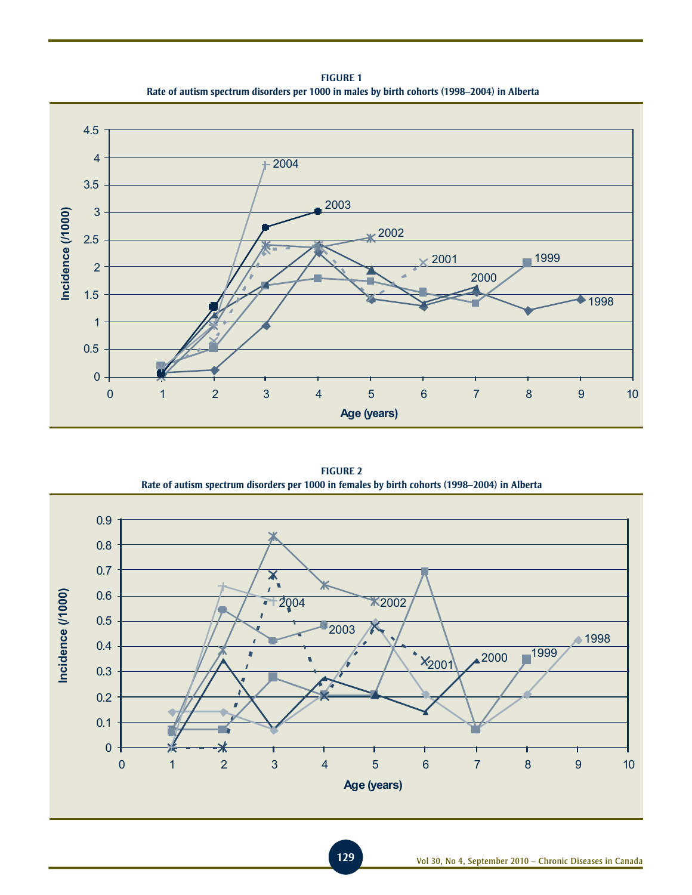**Figure 1 Rate of autism spectrum disorders per 1000 in males by birth cohorts (1998–2004) in Alberta**



**Figure 2 Rate of autism spectrum disorders per 1000 in females by birth cohorts (1998–2004) in Alberta**

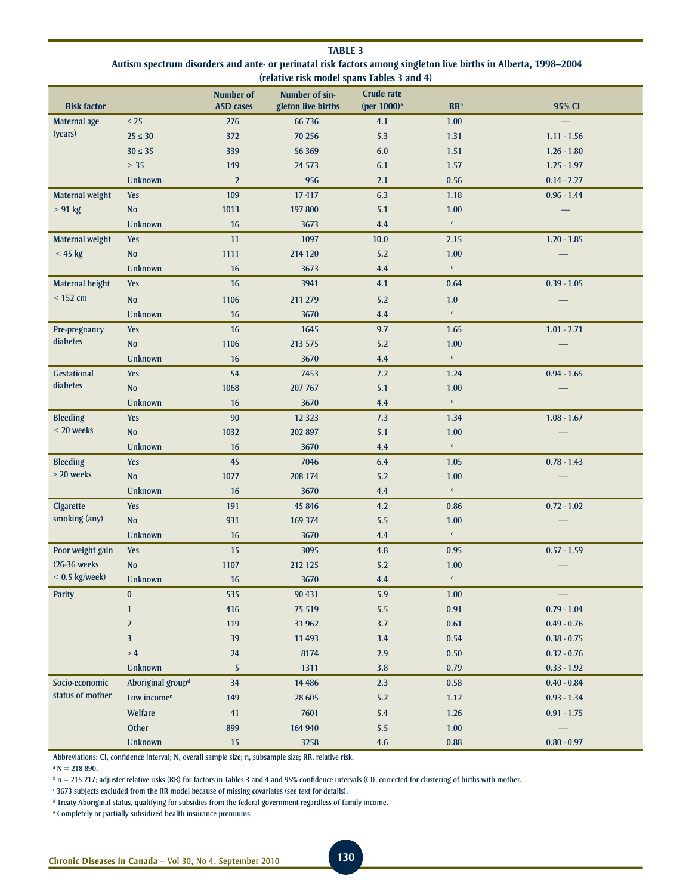| <b>TABLE 3</b>                                                                                                  |
|-----------------------------------------------------------------------------------------------------------------|
| Autism spectrum disorders and ante- or perinatal risk factors among singleton live births in Alberta, 1998–2004 |
| (relative risk model spans Tables 3 and 4)                                                                      |

| <b>Risk factor</b> |                               | <b>Number of</b><br><b>ASD</b> cases | Number of sin-<br>gleton live births | <b>Crude rate</b><br>(per $1000$ ) <sup>a</sup> | RR <sup>b</sup>                     | 95% CI        |
|--------------------|-------------------------------|--------------------------------------|--------------------------------------|-------------------------------------------------|-------------------------------------|---------------|
| Maternal age       | $\leq 25$                     | 276                                  | 66 736                               | 4.1                                             | 1.00                                |               |
| (years)            | $25 \le 30$                   | 372                                  | 70 25 6                              | 5.3                                             | 1.31                                | $1.11 - 1.56$ |
|                    | $30 \leq 35$                  | 339                                  | 56 369                               | $6.0\,$                                         | 1.51                                | $1.26 - 1.80$ |
|                    | $>35$                         | 149                                  | 24 5 73                              | 6.1                                             | 1.57                                | $1.25 - 1.97$ |
|                    | <b>Unknown</b>                | $\overline{2}$                       | 956                                  | 2.1                                             | 0.56                                | $0.14 - 2.27$ |
| Maternal weight    | Yes                           | 109                                  | 17417                                | 6.3                                             | 1.18                                | $0.96 - 1.44$ |
| $> 91$ kg          | No                            | 1013                                 | 197 800                              | 5.1                                             | 1.00                                |               |
|                    | Unknown                       | 16                                   | 3673                                 | 4.4                                             | $\mathsf{c}^{\perp}$                |               |
| Maternal weight    | <b>Yes</b>                    | 11                                   | 1097                                 | 10.0                                            | 2.15                                | $1.20 - 3.85$ |
| < 45 kg            | <b>No</b>                     | 1111                                 | 214 120                              | 5.2                                             | 1.00                                |               |
|                    | <b>Unknown</b>                | 16                                   | 3673                                 | 4.4                                             | $\mathsf{c}^{\scriptscriptstyle -}$ |               |
| Maternal height    | Yes                           | 16                                   | 3941                                 | 4.1                                             | 0.64                                | $0.39 - 1.05$ |
| $<$ 152 cm         | <b>No</b>                     | 1106                                 | 211 279                              | 5.2                                             | 1.0                                 |               |
|                    | <b>Unknown</b>                | 16                                   | 3670                                 | 4.4                                             | $\mathsf{c}^{\perp}$                |               |
| Pre-pregnancy      | Yes                           | 16                                   | 1645                                 | 9.7                                             | 1.65                                | $1.01 - 2.71$ |
| diabetes           | <b>No</b>                     | 1106                                 | 213 575                              | 5.2                                             | 1.00                                |               |
|                    | <b>Unknown</b>                | 16                                   | 3670                                 | 4.4                                             | $\mathsf{c}^{\scriptscriptstyle -}$ |               |
| Gestational        | <b>Yes</b>                    | 54                                   | 7453                                 | 7.2                                             | 1.24                                | $0.94 - 1.65$ |
| diabetes           | <b>No</b>                     | 1068                                 | 207 767                              | 5.1                                             | 1.00                                |               |
|                    | <b>Unknown</b>                | 16                                   | 3670                                 | 4.4                                             | $\mathfrak{c}^+$                    |               |
| <b>Bleeding</b>    | <b>Yes</b>                    | $90\,$                               | 12 3 23                              | 7.3                                             | 1.34                                | $1.08 - 1.67$ |
| $<$ 20 weeks       | No                            | 1032                                 | 202 897                              | 5.1                                             | 1.00                                |               |
|                    | <b>Unknown</b>                | 16                                   | 3670                                 | 4.4                                             | $\mathsf{c}^{\scriptscriptstyle -}$ |               |
| <b>Bleeding</b>    | <b>Yes</b>                    | 45                                   | 7046                                 | 6.4                                             | 1.05                                | $0.78 - 1.43$ |
| $\geq 20$ weeks    | No                            | 1077                                 | 208 174                              | 5.2                                             | 1.00                                |               |
|                    | <b>Unknown</b>                | 16                                   | 3670                                 | 4.4                                             | $\mathsf{c}^{\scriptscriptstyle -}$ |               |
| Cigarette          | Yes                           | 191                                  | 45 846                               | 4.2                                             | 0.86                                | $0.72 - 1.02$ |
| smoking (any)      | $\mathbf {No}$                | 931                                  | 169 374                              | 5.5                                             | 1.00                                |               |
|                    | Unknown                       | 16                                   | 3670                                 | 4.4                                             | $\mathsf{c}^{\perp}$                |               |
| Poor weight gain   | <b>Yes</b>                    | 15                                   | 3095                                 | 4.8                                             | 0.95                                | $0.57 - 1.59$ |
| (26-36 weeks)      | No                            | 1107                                 | 212 125                              | 5.2                                             | 1.00                                |               |
| $< 0.5$ kg/week)   | <b>Unknown</b>                | 16                                   | 3670                                 | 4.4                                             | $\mathsf{c}^-$                      |               |
| <b>Parity</b>      | $\pmb{0}$                     | 535                                  | 90 431                               | 5.9                                             | 1.00                                |               |
|                    | $\mathbf{1}$                  | 416                                  | 75 519                               | 5.5                                             | 0.91                                | $0.79 - 1.04$ |
|                    | $\overline{2}$                | 119                                  | 31 962                               | 3.7                                             | 0.61                                | $0.49 - 0.76$ |
|                    | $\overline{3}$                | 39                                   | 11 4 93                              | 3.4                                             | 0.54                                | $0.38 - 0.75$ |
|                    | $\geq 4$                      | 24                                   | 8174                                 | $2.9$                                           | $0.50\,$                            | $0.32 - 0.76$ |
|                    | Unknown                       | 5                                    | 1311                                 | $3.8\,$                                         | 0.79                                | $0.33 - 1.92$ |
| Socio-economic     | Aboriginal group <sup>d</sup> | 34                                   | 14 4 8 6                             | 2.3                                             | 0.58                                | $0.40 - 0.84$ |
| status of mother   | Low income <sup>e</sup>       | 149                                  | 28 605                               | $5.2\,$                                         | 1.12                                | $0.93 - 1.34$ |
|                    | Welfare                       | 41                                   | 7601                                 | $5.4$                                           | 1.26                                | $0.91 - 1.75$ |
|                    | Other                         | 899                                  | 164 940                              | $5.5\,$                                         | 1.00                                |               |
|                    | Unknown                       | 15                                   | 3258                                 | $4.6\,$                                         | $\bf 0.88$                          | $0.80 - 0.97$ |

Abbreviations: CI, confidence interval; N, overall sample size; n, subsample size; RR, relative risk.

 $\mathsf{N} = 218890.$ 

 $\Phi$  n = 215 217; adjuster relative risks (RR) for factors in Tables 3 and 4 and 95% confidence intervals (CI), corrected for clustering of births with mother.

c 3673 subjects excluded from the RR model because of missing covariates (see text for details).

d Treaty Aboriginal status, qualifying for subsidies from the federal government regardless of family income.

e Completely or partially subsidized health insurance premiums.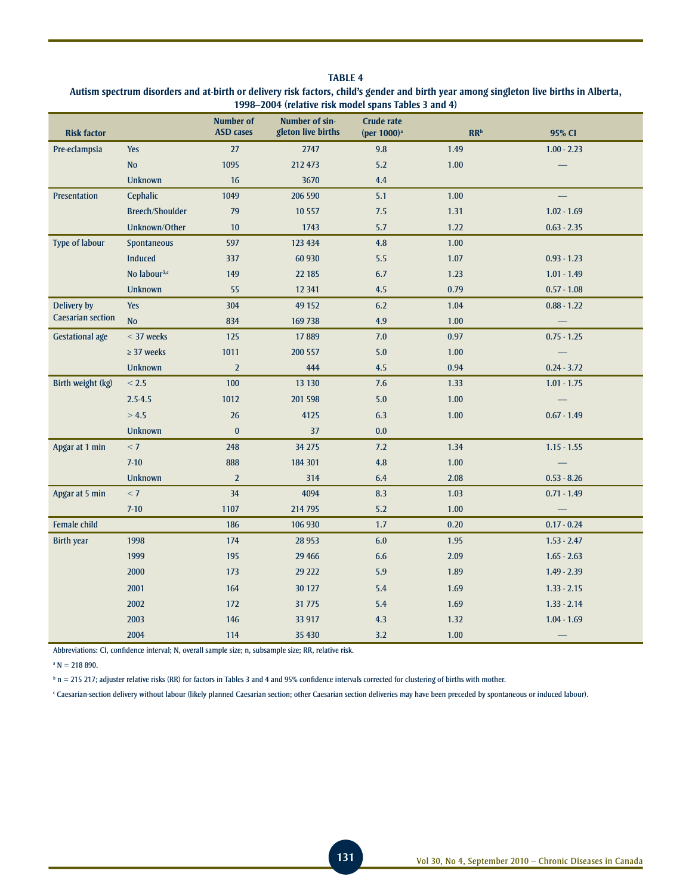| 1998-2004 (relative risk model spans Tables 3 and 4) |                          |                                      |                                      |                                              |                 |               |  |  |  |  |
|------------------------------------------------------|--------------------------|--------------------------------------|--------------------------------------|----------------------------------------------|-----------------|---------------|--|--|--|--|
| <b>Risk factor</b>                                   |                          | <b>Number of</b><br><b>ASD</b> cases | Number of sin-<br>gleton live births | <b>Crude rate</b><br>(per 1000) <sup>a</sup> | RR <sup>b</sup> | 95% CI        |  |  |  |  |
| Pre-eclampsia                                        | <b>Yes</b>               | 27                                   | 2747                                 | 9.8                                          | 1.49            | $1.00 - 2.23$ |  |  |  |  |
|                                                      | <b>No</b>                | 1095                                 | 212 473                              | 5.2                                          | 1.00            |               |  |  |  |  |
|                                                      | <b>Unknown</b>           | 16                                   | 3670                                 | 4.4                                          |                 |               |  |  |  |  |
| Presentation                                         | Cephalic                 | 1049                                 | 206 590                              | 5.1                                          | 1.00            |               |  |  |  |  |
|                                                      | <b>Breech/Shoulder</b>   | 79                                   | 10 5 57                              | 7.5                                          | 1.31            | $1.02 - 1.69$ |  |  |  |  |
|                                                      | Unknown/Other            | 10                                   | 1743                                 | 5.7                                          | 1.22            | $0.63 - 2.35$ |  |  |  |  |
| <b>Type of labour</b>                                | Spontaneous              | 597                                  | 123 434                              | 4.8                                          | 1.00            |               |  |  |  |  |
|                                                      | Induced                  | 337                                  | 60 930                               | 5.5                                          | $1.07$          | $0.93 - 1.23$ |  |  |  |  |
|                                                      | No labour <sup>3,c</sup> | 149                                  | 22 185                               | 6.7                                          | 1.23            | $1.01 - 1.49$ |  |  |  |  |
|                                                      | <b>Unknown</b>           | 55                                   | 12 341                               | 4.5                                          | 0.79            | $0.57 - 1.08$ |  |  |  |  |
| Delivery by                                          | <b>Yes</b>               | 304                                  | 49 152                               | 6.2                                          | 1.04            | $0.88 - 1.22$ |  |  |  |  |
| <b>Caesarian section</b>                             | N <sub>o</sub>           | 834                                  | 169 738                              | 4.9                                          | 1.00            |               |  |  |  |  |
| <b>Gestational age</b>                               | $<$ 37 weeks             | 125                                  | 17889                                | 7.0                                          | 0.97            | $0.75 - 1.25$ |  |  |  |  |
|                                                      | $\geq$ 37 weeks          | 1011                                 | 200 557                              | $5.0$                                        | $1.00\,$        |               |  |  |  |  |
|                                                      | <b>Unknown</b>           | $\overline{2}$                       | 444                                  | 4.5                                          | 0.94            | $0.24 - 3.72$ |  |  |  |  |
| Birth weight (kg)                                    | < 2.5                    | 100                                  | 13 130                               | $7.6$                                        | 1.33            | $1.01 - 1.75$ |  |  |  |  |
|                                                      | $2.5 - 4.5$              | 1012                                 | 201 598                              | 5.0                                          | 1.00            |               |  |  |  |  |
|                                                      | > 4.5                    | 26                                   | 4125                                 | 6.3                                          | 1.00            | $0.67 - 1.49$ |  |  |  |  |
|                                                      | <b>Unknown</b>           | $\bf{0}$                             | 37                                   | 0.0                                          |                 |               |  |  |  |  |
| Apgar at 1 min                                       | < 7                      | 248                                  | 34 275                               | 7.2                                          | 1.34            | $1.15 - 1.55$ |  |  |  |  |
|                                                      | $7-10$                   | 888                                  | 184 301                              | 4.8                                          | 1.00            |               |  |  |  |  |
|                                                      | <b>Unknown</b>           | $\overline{2}$                       | 314                                  | 6.4                                          | 2.08            | $0.53 - 8.26$ |  |  |  |  |
| Apgar at 5 min                                       | < 7                      | 34                                   | 4094                                 | 8.3                                          | 1.03            | $0.71 - 1.49$ |  |  |  |  |
|                                                      | $7-10$                   | 1107                                 | 214 795                              | 5.2                                          | 1.00            |               |  |  |  |  |
| Female child                                         |                          | 186                                  | 106 930                              | 1.7                                          | 0.20            | $0.17 - 0.24$ |  |  |  |  |
| <b>Birth year</b>                                    | 1998                     | 174                                  | 28 9 53                              | 6.0                                          | 1.95            | $1.53 - 2.47$ |  |  |  |  |
|                                                      | 1999                     | 195                                  | 29 4 66                              | 6.6                                          | 2.09            | $1.65 - 2.63$ |  |  |  |  |
|                                                      | 2000                     | 173                                  | 29 222                               | 5.9                                          | 1.89            | $1.49 - 2.39$ |  |  |  |  |
|                                                      | 2001                     | 164                                  | 30 127                               | 5.4                                          | 1.69            | $1.33 - 2.15$ |  |  |  |  |
|                                                      | 2002                     | 172                                  | 31 775                               | 5.4                                          | 1.69            | $1.33 - 2.14$ |  |  |  |  |
|                                                      | 2003                     | 146                                  | 33 917                               | 4.3                                          | 1.32            | $1.04 - 1.69$ |  |  |  |  |
|                                                      | 2004                     | 114                                  | 35 4 30                              | 3.2                                          | 1.00            |               |  |  |  |  |

# **Table 4 Autism spectrum disorders and at-birth or delivery risk factors, child's gender and birth year among singleton live births in Alberta,**

Abbreviations: CI, confidence interval; N, overall sample size; n, subsample size; RR, relative risk.

 $N = 218890.$ 

 $^{\rm b}$  n = 215 217; adjuster relative risks (RR) for factors in Tables 3 and 4 and 95% confidence intervals corrected for clustering of births with mother.

c Caesarian-section delivery without labour (likely planned Caesarian section; other Caesarian section deliveries may have been preceded by spontaneous or induced labour).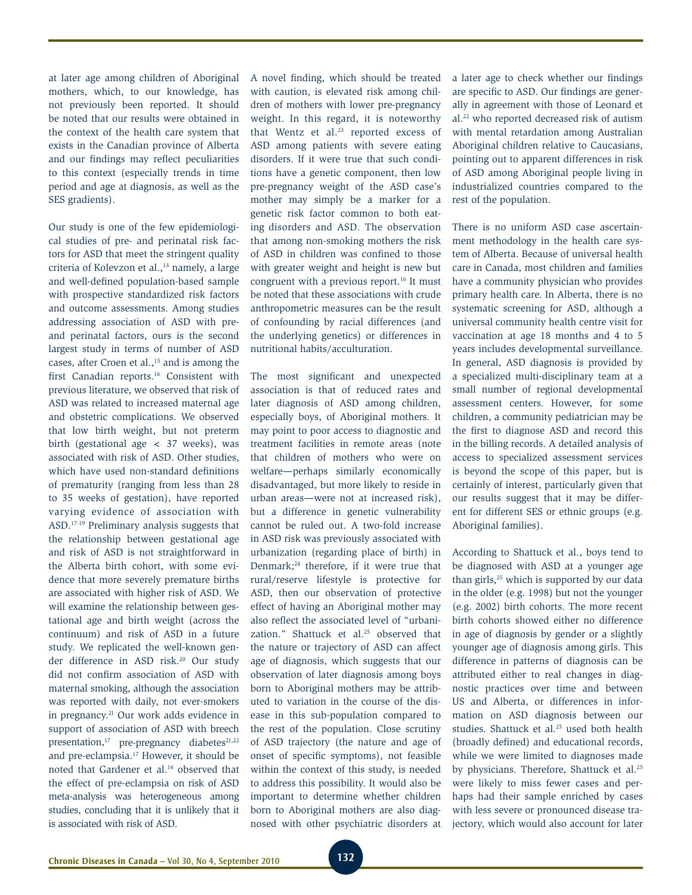at later age among children of Aboriginal mothers, which, to our knowledge, has not previously been reported. It should be noted that our results were obtained in the context of the health care system that exists in the Canadian province of Alberta and our findings may reflect peculiarities to this context (especially trends in time period and age at diagnosis, as well as the SES gradients).

Our study is one of the few epidemiological studies of pre- and perinatal risk factors for ASD that meet the stringent quality criteria of Kolevzon et al.,<sup>13</sup> namely, a large and well-defined population-based sample with prospective standardized risk factors and outcome assessments. Among studies addressing association of ASD with preand perinatal factors, ours is the second largest study in terms of number of ASD cases, after Croen et al.,<sup>15</sup> and is among the first Canadian reports.<sup>16</sup> Consistent with previous literature, we observed that risk of ASD was related to increased maternal age and obstetric complications. We observed that low birth weight, but not preterm birth (gestational age < 37 weeks), was associated with risk of ASD. Other studies, which have used non-standard definitions of prematurity (ranging from less than 28 to 35 weeks of gestation), have reported varying evidence of association with ASD.17-19 Preliminary analysis suggests that the relationship between gestational age and risk of ASD is not straightforward in the Alberta birth cohort, with some evidence that more severely premature births are associated with higher risk of ASD. We will examine the relationship between gestational age and birth weight (across the continuum) and risk of ASD in a future study. We replicated the well-known gender difference in ASD risk.20 Our study did not confirm association of ASD with maternal smoking, although the association was reported with daily, not ever-smokers in pregnancy.21 Our work adds evidence in support of association of ASD with breech presentation, $17$  pre-pregnancy diabetes $21,22$ and pre-eclampsia.17 However, it should be noted that Gardener et al.14 observed that the effect of pre-eclampsia on risk of ASD meta-analysis was heterogeneous among studies, concluding that it is unlikely that it is associated with risk of ASD.

A novel finding, which should be treated with caution, is elevated risk among children of mothers with lower pre-pregnancy weight. In this regard, it is noteworthy that Wentz et al.<sup>23</sup> reported excess of ASD among patients with severe eating disorders. If it were true that such conditions have a genetic component, then low pre-pregnancy weight of the ASD case's mother may simply be a marker for a genetic risk factor common to both eating disorders and ASD. The observation that among non-smoking mothers the risk of ASD in children was confined to those with greater weight and height is new but congruent with a previous report.<sup>16</sup> It must be noted that these associations with crude anthropometric measures can be the result of confounding by racial differences (and the underlying genetics) or differences in nutritional habits/acculturation.

The most significant and unexpected association is that of reduced rates and later diagnosis of ASD among children, especially boys, of Aboriginal mothers. It may point to poor access to diagnostic and treatment facilities in remote areas (note that children of mothers who were on welfare—perhaps similarly economically disadvantaged, but more likely to reside in urban areas—were not at increased risk), but a difference in genetic vulnerability cannot be ruled out. A two-fold increase in ASD risk was previously associated with urbanization (regarding place of birth) in Denmark;24 therefore, if it were true that rural/reserve lifestyle is protective for ASD, then our observation of protective effect of having an Aboriginal mother may also reflect the associated level of "urbanization." Shattuck et al.<sup>25</sup> observed that the nature or trajectory of ASD can affect age of diagnosis, which suggests that our observation of later diagnosis among boys born to Aboriginal mothers may be attributed to variation in the course of the disease in this sub-population compared to the rest of the population. Close scrutiny of ASD trajectory (the nature and age of onset of specific symptoms), not feasible within the context of this study, is needed to address this possibility. It would also be important to determine whether children born to Aboriginal mothers are also diagnosed with other psychiatric disorders at a later age to check whether our findings are specific to ASD. Our findings are generally in agreement with those of Leonard et al.22 who reported decreased risk of autism with mental retardation among Australian Aboriginal children relative to Caucasians, pointing out to apparent differences in risk of ASD among Aboriginal people living in industrialized countries compared to the rest of the population.

There is no uniform ASD case ascertainment methodology in the health care system of Alberta. Because of universal health care in Canada, most children and families have a community physician who provides primary health care. In Alberta, there is no systematic screening for ASD, although a universal community health centre visit for vaccination at age 18 months and 4 to 5 years includes developmental surveillance. In general, ASD diagnosis is provided by a specialized multi-disciplinary team at a small number of regional developmental assessment centers. However, for some children, a community pediatrician may be the first to diagnose ASD and record this in the billing records. A detailed analysis of access to specialized assessment services is beyond the scope of this paper, but is certainly of interest, particularly given that our results suggest that it may be different for different SES or ethnic groups (e.g. Aboriginal families).

According to Shattuck et al., boys tend to be diagnosed with ASD at a younger age than girls,<sup>25</sup> which is supported by our data in the older (e.g. 1998) but not the younger (e.g. 2002) birth cohorts. The more recent birth cohorts showed either no difference in age of diagnosis by gender or a slightly younger age of diagnosis among girls. This difference in patterns of diagnosis can be attributed either to real changes in diagnostic practices over time and between US and Alberta, or differences in information on ASD diagnosis between our studies. Shattuck et al.<sup>25</sup> used both health (broadly defined) and educational records, while we were limited to diagnoses made by physicians. Therefore, Shattuck et al.<sup>25</sup> were likely to miss fewer cases and perhaps had their sample enriched by cases with less severe or pronounced disease trajectory, which would also account for later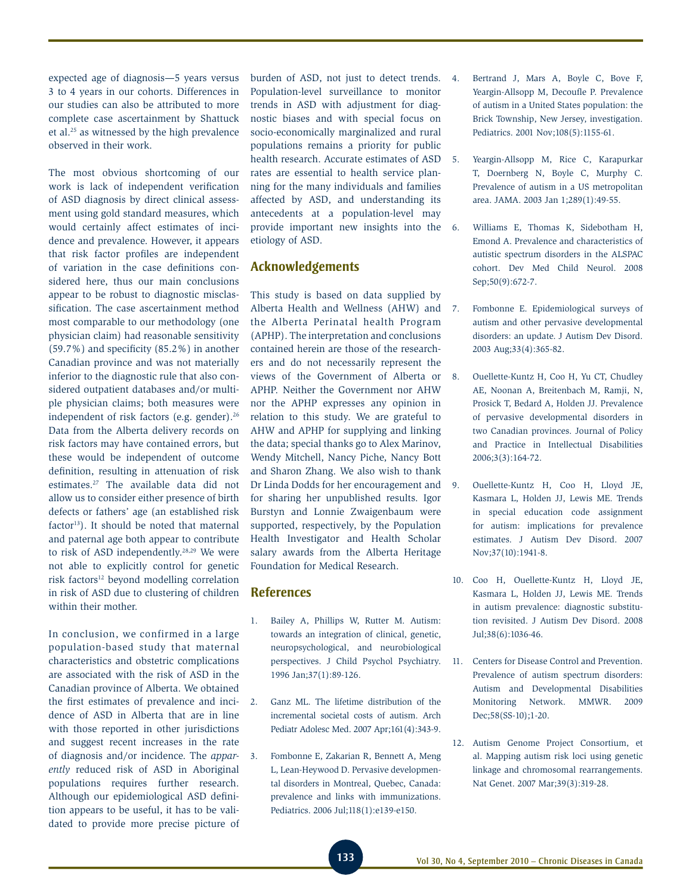expected age of diagnosis—5 years versus 3 to 4 years in our cohorts. Differences in our studies can also be attributed to more complete case ascertainment by Shattuck et al.25 as witnessed by the high prevalence observed in their work.

The most obvious shortcoming of our work is lack of independent verification of ASD diagnosis by direct clinical assessment using gold standard measures, which would certainly affect estimates of incidence and prevalence. However, it appears that risk factor profiles are independent of variation in the case definitions considered here, thus our main conclusions appear to be robust to diagnostic misclassification. The case ascertainment method most comparable to our methodology (one physician claim) had reasonable sensitivity (59.7%) and specificity (85.2%) in another Canadian province and was not materially inferior to the diagnostic rule that also considered outpatient databases and/or multiple physician claims; both measures were independent of risk factors (e.g. gender).<sup>26</sup> Data from the Alberta delivery records on risk factors may have contained errors, but these would be independent of outcome definition, resulting in attenuation of risk estimates.27 The available data did not allow us to consider either presence of birth defects or fathers' age (an established risk  $factor<sup>13</sup>$ . It should be noted that maternal and paternal age both appear to contribute to risk of ASD independently.28,29 We were not able to explicitly control for genetic risk factors<sup>12</sup> beyond modelling correlation in risk of ASD due to clustering of children within their mother.

In conclusion, we confirmed in a large population-based study that maternal characteristics and obstetric complications are associated with the risk of ASD in the Canadian province of Alberta. We obtained the first estimates of prevalence and incidence of ASD in Alberta that are in line with those reported in other jurisdictions and suggest recent increases in the rate of diagnosis and/or incidence. The *apparently* reduced risk of ASD in Aboriginal populations requires further research. Although our epidemiological ASD definition appears to be useful, it has to be validated to provide more precise picture of

burden of ASD, not just to detect trends. Population-level surveillance to monitor trends in ASD with adjustment for diagnostic biases and with special focus on socio-economically marginalized and rural populations remains a priority for public health research. Accurate estimates of ASD 5. rates are essential to health service planning for the many individuals and families affected by ASD, and understanding its antecedents at a population-level may provide important new insights into the etiology of ASD.

### **Acknowledgements**

This study is based on data supplied by Alberta Health and Wellness (AHW) and the Alberta Perinatal health Program (APHP). The interpretation and conclusions contained herein are those of the researchers and do not necessarily represent the views of the Government of Alberta or APHP. Neither the Government nor AHW nor the APHP expresses any opinion in relation to this study. We are grateful to AHW and APHP for supplying and linking the data; special thanks go to Alex Marinov, Wendy Mitchell, Nancy Piche, Nancy Bott and Sharon Zhang. We also wish to thank Dr Linda Dodds for her encouragement and for sharing her unpublished results. Igor Burstyn and Lonnie Zwaigenbaum were supported, respectively, by the Population Health Investigator and Health Scholar salary awards from the Alberta Heritage Foundation for Medical Research.

### **References**

- 1. Bailey A, Phillips W, Rutter M. Autism: towards an integration of clinical, genetic, neuropsychological, and neurobiological perspectives. J Child Psychol Psychiatry. 1996 Jan;37(1):89-126.
- 2. Ganz ML. The lifetime distribution of the incremental societal costs of autism. Arch Pediatr Adolesc Med. 2007 Apr;161(4):343-9.
- 3. Fombonne E, Zakarian R, Bennett A, Meng L, Lean-Heywood D. Pervasive developmental disorders in Montreal, Quebec, Canada: prevalence and links with immunizations. Pediatrics. 2006 Jul;118(1):e139-e150.
- 4. Bertrand J, Mars A, Boyle C, Bove F, Yeargin-Allsopp M, Decoufle P. Prevalence of autism in a United States population: the Brick Township, New Jersey, investigation. Pediatrics. 2001 Nov;108(5):1155-61.
	- Yeargin-Allsopp M, Rice C, Karapurkar T, Doernberg N, Boyle C, Murphy C. Prevalence of autism in a US metropolitan area. JAMA. 2003 Jan 1;289(1):49-55.
- 6. Williams E, Thomas K, Sidebotham H, Emond A. Prevalence and characteristics of autistic spectrum disorders in the ALSPAC cohort. Dev Med Child Neurol. 2008 Sep;50(9):672-7.
- 7. Fombonne E. Epidemiological surveys of autism and other pervasive developmental disorders: an update. J Autism Dev Disord. 2003 Aug;33(4):365-82.
- 8. Ouellette-Kuntz H, Coo H, Yu CT, Chudley AE, Noonan A, Breitenbach M, Ramji, N, Prosick T, Bedard A, Holden JJ. Prevalence of pervasive developmental disorders in two Canadian provinces. Journal of Policy and Practice in Intellectual Disabilities 2006;3(3):164-72.
- 9. Ouellette-Kuntz H, Coo H, Lloyd JE, Kasmara L, Holden JJ, Lewis ME. Trends in special education code assignment for autism: implications for prevalence estimates. J Autism Dev Disord. 2007 Nov;37(10):1941-8.
- 10. Coo H, Ouellette-Kuntz H, Lloyd JE, Kasmara L, Holden JJ, Lewis ME. Trends in autism prevalence: diagnostic substitution revisited. J Autism Dev Disord. 2008 Jul;38(6):1036-46.
- 11. Centers for Disease Control and Prevention. Prevalence of autism spectrum disorders: Autism and Developmental Disabilities Monitoring Network. MMWR. 2009 Dec;58(SS-10);1-20.
- 12. Autism Genome Project Consortium, et al. Mapping autism risk loci using genetic linkage and chromosomal rearrangements. Nat Genet. 2007 Mar;39(3):319-28.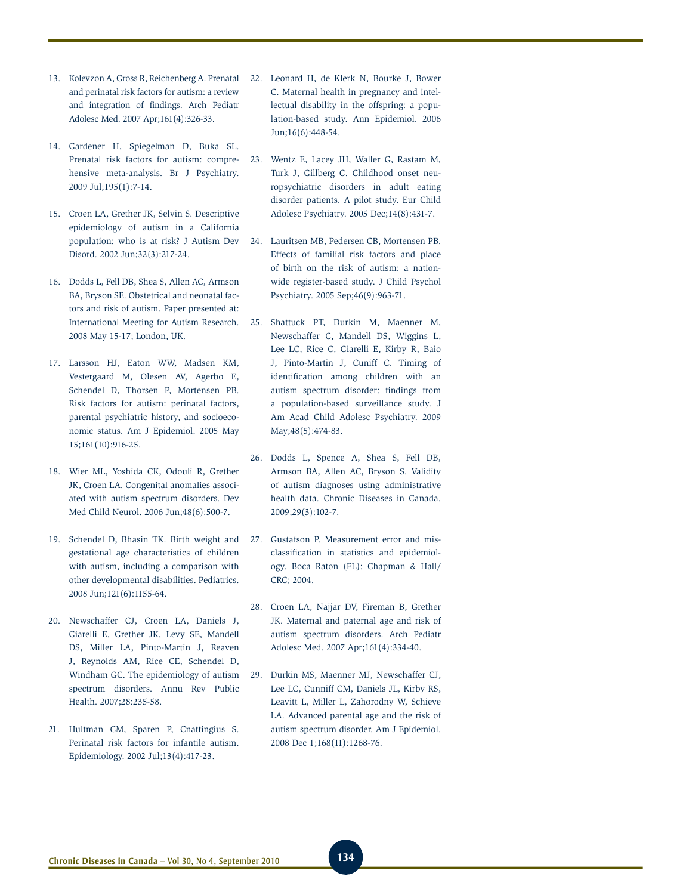- 13. Kolevzon A, Gross R, Reichenberg A. Prenatal and perinatal risk factors for autism: a review and integration of findings. Arch Pediatr Adolesc Med. 2007 Apr;161(4):326-33.
- 14. Gardener H, Spiegelman D, Buka SL. Prenatal risk factors for autism: comprehensive meta-analysis. Br J Psychiatry. 2009 Jul;195(1):7-14.
- 15. Croen LA, Grether JK, Selvin S. Descriptive epidemiology of autism in a California population: who is at risk? J Autism Dev Disord. 2002 Jun;32(3):217-24.
- 16. Dodds L, Fell DB, Shea S, Allen AC, Armson BA, Bryson SE. Obstetrical and neonatal factors and risk of autism. Paper presented at: International Meeting for Autism Research. 2008 May 15-17; London, UK.
- 17. Larsson HJ, Eaton WW, Madsen KM, Vestergaard M, Olesen AV, Agerbo E, Schendel D, Thorsen P, Mortensen PB. Risk factors for autism: perinatal factors, parental psychiatric history, and socioeconomic status. Am J Epidemiol. 2005 May 15;161(10):916-25.
- 18. Wier ML, Yoshida CK, Odouli R, Grether JK, Croen LA. Congenital anomalies associated with autism spectrum disorders. Dev Med Child Neurol. 2006 Jun;48(6):500-7.
- 19. Schendel D, Bhasin TK. Birth weight and gestational age characteristics of children with autism, including a comparison with other developmental disabilities. Pediatrics. 2008 Jun;121(6):1155-64.
- 20. Newschaffer CJ, Croen LA, Daniels J, Giarelli E, Grether JK, Levy SE, Mandell DS, Miller LA, Pinto-Martin J, Reaven J, Reynolds AM, Rice CE, Schendel D, Windham GC. The epidemiology of autism spectrum disorders. Annu Rev Public Health. 2007;28:235-58.
- 21. Hultman CM, Sparen P, Cnattingius S. Perinatal risk factors for infantile autism. Epidemiology. 2002 Jul;13(4):417-23.
- 22. Leonard H, de Klerk N, Bourke J, Bower C. Maternal health in pregnancy and intellectual disability in the offspring: a population-based study. Ann Epidemiol. 2006 Jun;16(6):448-54.
- 23. Wentz E, Lacey JH, Waller G, Rastam M, Turk J, Gillberg C. Childhood onset neuropsychiatric disorders in adult eating disorder patients. A pilot study. Eur Child Adolesc Psychiatry. 2005 Dec;14(8):431-7.
- 24. Lauritsen MB, Pedersen CB, Mortensen PB. Effects of familial risk factors and place of birth on the risk of autism: a nationwide register-based study. J Child Psychol Psychiatry. 2005 Sep;46(9):963-71.
- 25. Shattuck PT, Durkin M, Maenner M, Newschaffer C, Mandell DS, Wiggins L, Lee LC, Rice C, Giarelli E, Kirby R, Baio J, Pinto-Martin J, Cuniff C. Timing of identification among children with an autism spectrum disorder: findings from a population-based surveillance study. J Am Acad Child Adolesc Psychiatry. 2009 May; 48(5): 474-83.
- 26. Dodds L, Spence A, Shea S, Fell DB, Armson BA, Allen AC, Bryson S. Validity of autism diagnoses using administrative health data. Chronic Diseases in Canada. 2009;29(3):102-7.
- 27. Gustafson P. Measurement error and misclassification in statistics and epidemiology. Boca Raton (FL): Chapman & Hall/ CRC; 2004.
- 28. Croen LA, Najjar DV, Fireman B, Grether JK. Maternal and paternal age and risk of autism spectrum disorders. Arch Pediatr Adolesc Med. 2007 Apr;161(4):334-40.
- 29. Durkin MS, Maenner MJ, Newschaffer CJ, Lee LC, Cunniff CM, Daniels JL, Kirby RS, Leavitt L, Miller L, Zahorodny W, Schieve LA. Advanced parental age and the risk of autism spectrum disorder. Am J Epidemiol. 2008 Dec 1;168(11):1268-76.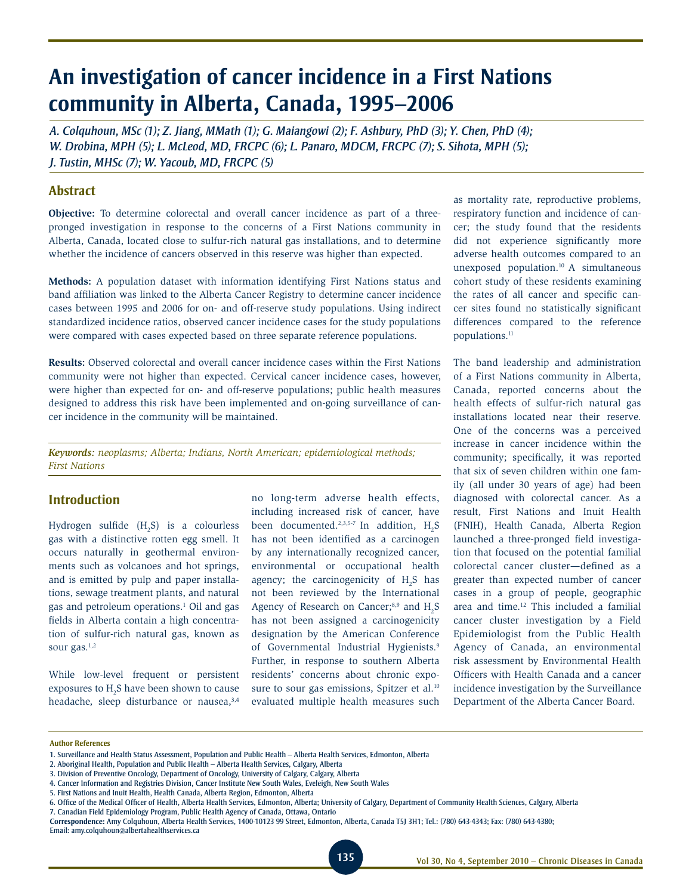# **An investigation of cancer incidence in a First Nations community in Alberta, Canada, 1995–2006**

*A. Colquhoun, MSc (1); Z. Jiang, MMath (1); G. Maiangowi (2); F. Ashbury, PhD (3); Y. Chen, PhD (4); W. Drobina, MPH (5); L. McLeod, MD, FRCPC (6); L. Panaro, MDCM, FRCPC (7); S. Sihota, MPH (5); J. Tustin, MHSc (7); W. Yacoub, MD, FRCPC (5)*

### **Abstract**

**Objective:** To determine colorectal and overall cancer incidence as part of a threepronged investigation in response to the concerns of a First Nations community in Alberta, Canada, located close to sulfur-rich natural gas installations, and to determine whether the incidence of cancers observed in this reserve was higher than expected.

**Methods:** A population dataset with information identifying First Nations status and band affiliation was linked to the Alberta Cancer Registry to determine cancer incidence cases between 1995 and 2006 for on- and off-reserve study populations. Using indirect standardized incidence ratios, observed cancer incidence cases for the study populations were compared with cases expected based on three separate reference populations.

**Results:** Observed colorectal and overall cancer incidence cases within the First Nations community were not higher than expected. Cervical cancer incidence cases, however, were higher than expected for on- and off-reserve populations; public health measures designed to address this risk have been implemented and on-going surveillance of cancer incidence in the community will be maintained.

*Keywords: neoplasms; Alberta; Indians, North American; epidemiological methods; First Nations*

### **Introduction**

Hydrogen sulfide  $(H_2S)$  is a colourless gas with a distinctive rotten egg smell. It occurs naturally in geothermal environments such as volcanoes and hot springs, and is emitted by pulp and paper installations, sewage treatment plants, and natural gas and petroleum operations.<sup>1</sup> Oil and gas fields in Alberta contain a high concentration of sulfur-rich natural gas, known as sour gas.<sup>1,2</sup>

While low-level frequent or persistent exposures to  $H_2S$  have been shown to cause headache, sleep disturbance or nausea, 3,4

no long-term adverse health effects, including increased risk of cancer, have been documented.<sup>2,3,5-7</sup> In addition,  $H_2S$ has not been identified as a carcinogen by any internationally recognized cancer, environmental or occupational health agency; the carcinogenicity of  $H_2S$  has not been reviewed by the International Agency of Research on Cancer; $8,9$  and H<sub>2</sub>S has not been assigned a carcinogenicity designation by the American Conference of Governmental Industrial Hygienists.<sup>9</sup> Further, in response to southern Alberta residents' concerns about chronic exposure to sour gas emissions, Spitzer et al.<sup>10</sup> evaluated multiple health measures such

as mortality rate, reproductive problems, respiratory function and incidence of cancer; the study found that the residents did not experience significantly more adverse health outcomes compared to an unexposed population.10 A simultaneous cohort study of these residents examining the rates of all cancer and specific cancer sites found no statistically significant differences compared to the reference populations.<sup>11</sup>

The band leadership and administration of a First Nations community in Alberta, Canada, reported concerns about the health effects of sulfur-rich natural gas installations located near their reserve. One of the concerns was a perceived increase in cancer incidence within the community; specifically, it was reported that six of seven children within one family (all under 30 years of age) had been diagnosed with colorectal cancer. As a result, First Nations and Inuit Health (FNIH), Health Canada, Alberta Region launched a three-pronged field investigation that focused on the potential familial colorectal cancer cluster—defined as a greater than expected number of cancer cases in a group of people, geographic area and time.12 This included a familial cancer cluster investigation by a Field Epidemiologist from the Public Health Agency of Canada, an environmental risk assessment by Environmental Health Officers with Health Canada and a cancer incidence investigation by the Surveillance Department of the Alberta Cancer Board.

**Author References**

<sup>1.</sup> Surveillance and Health Status Assessment, Population and Public Health – Alberta Health Services, Edmonton, Alberta

<sup>2.</sup> Aboriginal Health, Population and Public Health – Alberta Health Services, Calgary, Alberta

<sup>3.</sup> Division of Preventive Oncology, Department of Oncology, University of Calgary, Calgary, Alberta

<sup>4.</sup> Cancer Information and Registries Division, Cancer Institute New South Wales, Eveleigh, New South Wales

<sup>5.</sup> First Nations and Inuit Health, Health Canada, Alberta Region, Edmonton, Alberta

<sup>6.</sup> Office of the Medical Officer of Health, Alberta Health Services, Edmonton, Alberta; University of Calgary, Department of Community Health Sciences, Calgary, Alberta

<sup>7.</sup> Canadian Field Epidemiology Program, Public Health Agency of Canada, Ottawa, Ontario **Correspondence:** Amy Colquhoun, Alberta Health Services, 1400-10123 99 Street, Edmonton, Alberta, Canada T5J 3H1; Tel.: (780) 643-4343; Fax: (780) 643-4380;

Email: amy.colquhoun@albertahealthservices.ca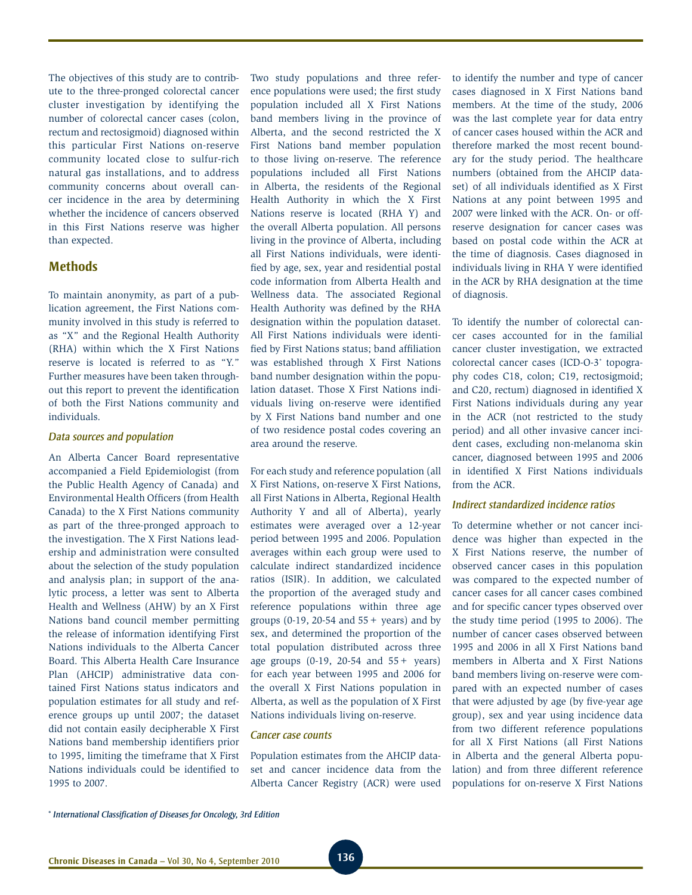The objectives of this study are to contribute to the three-pronged colorectal cancer cluster investigation by identifying the number of colorectal cancer cases (colon, rectum and rectosigmoid) diagnosed within this particular First Nations on-reserve community located close to sulfur-rich natural gas installations, and to address community concerns about overall cancer incidence in the area by determining whether the incidence of cancers observed in this First Nations reserve was higher than expected.

### **Methods**

To maintain anonymity, as part of a publication agreement, the First Nations community involved in this study is referred to as "X" and the Regional Health Authority (RHA) within which the X First Nations reserve is located is referred to as "Y." Further measures have been taken throughout this report to prevent the identification of both the First Nations community and individuals.

#### *Data sources and population*

An Alberta Cancer Board representative accompanied a Field Epidemiologist (from the Public Health Agency of Canada) and Environmental Health Officers (from Health Canada) to the X First Nations community as part of the three-pronged approach to the investigation. The X First Nations leadership and administration were consulted about the selection of the study population and analysis plan; in support of the analytic process, a letter was sent to Alberta Health and Wellness (AHW) by an X First Nations band council member permitting the release of information identifying First Nations individuals to the Alberta Cancer Board. This Alberta Health Care Insurance Plan (AHCIP) administrative data contained First Nations status indicators and population estimates for all study and reference groups up until 2007; the dataset did not contain easily decipherable X First Nations band membership identifiers prior to 1995, limiting the timeframe that X First Nations individuals could be identified to 1995 to 2007.

Two study populations and three reference populations were used; the first study population included all X First Nations band members living in the province of Alberta, and the second restricted the X First Nations band member population to those living on-reserve. The reference populations included all First Nations in Alberta, the residents of the Regional Health Authority in which the X First Nations reserve is located (RHA Y) and the overall Alberta population. All persons living in the province of Alberta, including all First Nations individuals, were identified by age, sex, year and residential postal code information from Alberta Health and Wellness data. The associated Regional Health Authority was defined by the RHA designation within the population dataset. All First Nations individuals were identified by First Nations status; band affiliation was established through X First Nations band number designation within the population dataset. Those X First Nations individuals living on-reserve were identified by X First Nations band number and one of two residence postal codes covering an area around the reserve.

For each study and reference population (all X First Nations, on-reserve X First Nations, all First Nations in Alberta, Regional Health Authority Y and all of Alberta), yearly estimates were averaged over a 12-year period between 1995 and 2006. Population averages within each group were used to calculate indirect standardized incidence ratios (ISIR). In addition, we calculated the proportion of the averaged study and reference populations within three age groups (0-19, 20-54 and  $55 +$  years) and by sex, and determined the proportion of the total population distributed across three age groups (0-19, 20-54 and 55+ years) for each year between 1995 and 2006 for the overall X First Nations population in Alberta, as well as the population of X First Nations individuals living on-reserve.

### *Cancer case counts*

Population estimates from the AHCIP dataset and cancer incidence data from the Alberta Cancer Registry (ACR) were used

to identify the number and type of cancer cases diagnosed in X First Nations band members. At the time of the study, 2006 was the last complete year for data entry of cancer cases housed within the ACR and therefore marked the most recent boundary for the study period. The healthcare numbers (obtained from the AHCIP dataset) of all individuals identified as X First Nations at any point between 1995 and 2007 were linked with the ACR. On- or offreserve designation for cancer cases was based on postal code within the ACR at the time of diagnosis. Cases diagnosed in individuals living in RHA Y were identified in the ACR by RHA designation at the time of diagnosis.

To identify the number of colorectal cancer cases accounted for in the familial cancer cluster investigation, we extracted colorectal cancer cases (ICD-O-3\* topography codes C18, colon; C19, rectosigmoid; and C20, rectum) diagnosed in identified X First Nations individuals during any year in the ACR (not restricted to the study period) and all other invasive cancer incident cases, excluding non-melanoma skin cancer, diagnosed between 1995 and 2006 in identified X First Nations individuals from the ACR.

### *Indirect standardized incidence ratios*

To determine whether or not cancer incidence was higher than expected in the X First Nations reserve, the number of observed cancer cases in this population was compared to the expected number of cancer cases for all cancer cases combined and for specific cancer types observed over the study time period (1995 to 2006). The number of cancer cases observed between 1995 and 2006 in all X First Nations band members in Alberta and X First Nations band members living on-reserve were compared with an expected number of cases that were adjusted by age (by five-year age group), sex and year using incidence data from two different reference populations for all X First Nations (all First Nations in Alberta and the general Alberta population) and from three different reference populations for on-reserve X First Nations

<sup>\*</sup> *International Classification of Diseases for Oncology, 3rd Edition*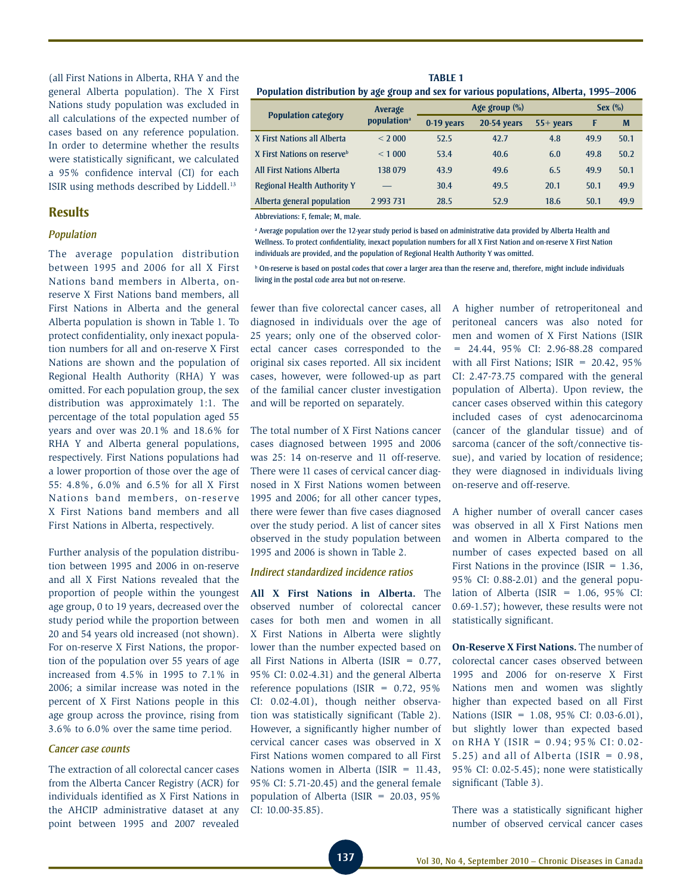(all First Nations in Alberta, RHA Y and the general Alberta population). The X First Nations study population was excluded in all calculations of the expected number of cases based on any reference population. In order to determine whether the results were statistically significant, we calculated a 95% confidence interval (CI) for each ISIR using methods described by Liddell.13

### **Results**

### *Population*

The average population distribution between 1995 and 2006 for all X First Nations band members in Alberta, onreserve X First Nations band members, all First Nations in Alberta and the general Alberta population is shown in Table 1. To protect confidentiality, only inexact population numbers for all and on-reserve X First Nations are shown and the population of Regional Health Authority (RHA) Y was omitted. For each population group, the sex distribution was approximately 1:1. The percentage of the total population aged 55 years and over was 20.1% and 18.6% for RHA Y and Alberta general populations, respectively. First Nations populations had a lower proportion of those over the age of 55: 4.8%, 6.0% and 6.5% for all X First Nations band members, on-reserve X First Nations band members and all First Nations in Alberta, respectively.

Further analysis of the population distribution between 1995 and 2006 in on-reserve and all X First Nations revealed that the proportion of people within the youngest age group, 0 to 19 years, decreased over the study period while the proportion between 20 and 54 years old increased (not shown). For on-reserve X First Nations, the proportion of the population over 55 years of age increased from 4.5% in 1995 to 7.1% in 2006; a similar increase was noted in the percent of X First Nations people in this age group across the province, rising from 3.6% to 6.0% over the same time period.

### *Cancer case counts*

The extraction of all colorectal cancer cases from the Alberta Cancer Registry (ACR) for individuals identified as X First Nations in the AHCIP administrative dataset at any point between 1995 and 2007 revealed

**Table 1 Population distribution by age group and sex for various populations, Alberta, 1995–2006**

|                                         | -<br>$\cdot$            |                  |                    |             |      |      |
|-----------------------------------------|-------------------------|------------------|--------------------|-------------|------|------|
| <b>Population category</b>              | Average                 | Age group $(\%)$ | Sex $(\%)$         |             |      |      |
|                                         | population <sup>a</sup> | 0-19 years       | <b>20-54 years</b> | $55+$ years | F    | M    |
| X First Nations all Alberta             | < 2000                  | 52.5             | 42.7               | 4.8         | 49.9 | 50.1 |
| X First Nations on reserve <sup>b</sup> | < 1000                  | 53.4             | 40.6               | 6.0         | 49.8 | 50.2 |
| <b>All First Nations Alberta</b>        | 138 079                 | 43.9             | 49.6               | 6.5         | 49.9 | 50.1 |
| <b>Regional Health Authority Y</b>      |                         | 30.4             | 49.5               | 20.1        | 50.1 | 49.9 |
| Alberta general population              | 2993731                 | 28.5             | 52.9               | 18.6        | 50.1 | 49.9 |

Abbreviations: F, female; M, male.

a Average population over the 12-year study period is based on administrative data provided by Alberta Health and Wellness. To protect confidentiality, inexact population numbers for all X First Nation and on-reserve X First Nation individuals are provided, and the population of Regional Health Authority Y was omitted.

**b** On-reserve is based on postal codes that cover a larger area than the reserve and, therefore, might include individuals living in the postal code area but not on-reserve.

fewer than five colorectal cancer cases, all diagnosed in individuals over the age of 25 years; only one of the observed colorectal cancer cases corresponded to the original six cases reported. All six incident cases, however, were followed-up as part of the familial cancer cluster investigation and will be reported on separately.

The total number of X First Nations cancer cases diagnosed between 1995 and 2006 was 25: 14 on-reserve and 11 off-reserve. There were 11 cases of cervical cancer diagnosed in X First Nations women between 1995 and 2006; for all other cancer types, there were fewer than five cases diagnosed over the study period. A list of cancer sites observed in the study population between 1995 and 2006 is shown in Table 2.

#### *Indirect standardized incidence ratios*

**All X First Nations in Alberta.** The observed number of colorectal cancer cases for both men and women in all X First Nations in Alberta were slightly lower than the number expected based on all First Nations in Alberta (ISIR  $= 0.77$ , 95% CI: 0.02-4.31) and the general Alberta reference populations (ISIR =  $0.72$ , 95%) CI: 0.02-4.01), though neither observation was statistically significant (Table 2). However, a significantly higher number of cervical cancer cases was observed in X First Nations women compared to all First Nations women in Alberta (ISIR = 11.43, 95% CI: 5.71-20.45) and the general female population of Alberta (ISIR = 20.03, 95% CI: 10.00-35.85).

A higher number of retroperitoneal and peritoneal cancers was also noted for men and women of X First Nations (ISIR = 24.44, 95% CI: 2.96-88.28 compared with all First Nations; ISIR = 20.42, 95% CI: 2.47-73.75 compared with the general population of Alberta). Upon review, the cancer cases observed within this category included cases of cyst adenocarcinoma (cancer of the glandular tissue) and of sarcoma (cancer of the soft/connective tissue), and varied by location of residence; they were diagnosed in individuals living on-reserve and off-reserve.

A higher number of overall cancer cases was observed in all X First Nations men and women in Alberta compared to the number of cases expected based on all First Nations in the province (ISIR =  $1.36$ , 95% CI: 0.88-2.01) and the general population of Alberta (ISIR =  $1.06$ , 95% CI: 0.69-1.57); however, these results were not statistically significant.

**On-Reserve X First Nations.** The number of colorectal cancer cases observed between 1995 and 2006 for on-reserve X First Nations men and women was slightly higher than expected based on all First Nations (ISIR = 1.08, 95% CI: 0.03-6.01), but slightly lower than expected based on RHA Y (ISIR = 0.94; 95% CI: 0.02- 5.25) and all of Alberta (ISIR =  $0.98$ , 95% CI: 0.02-5.45); none were statistically significant (Table 3).

There was a statistically significant higher number of observed cervical cancer cases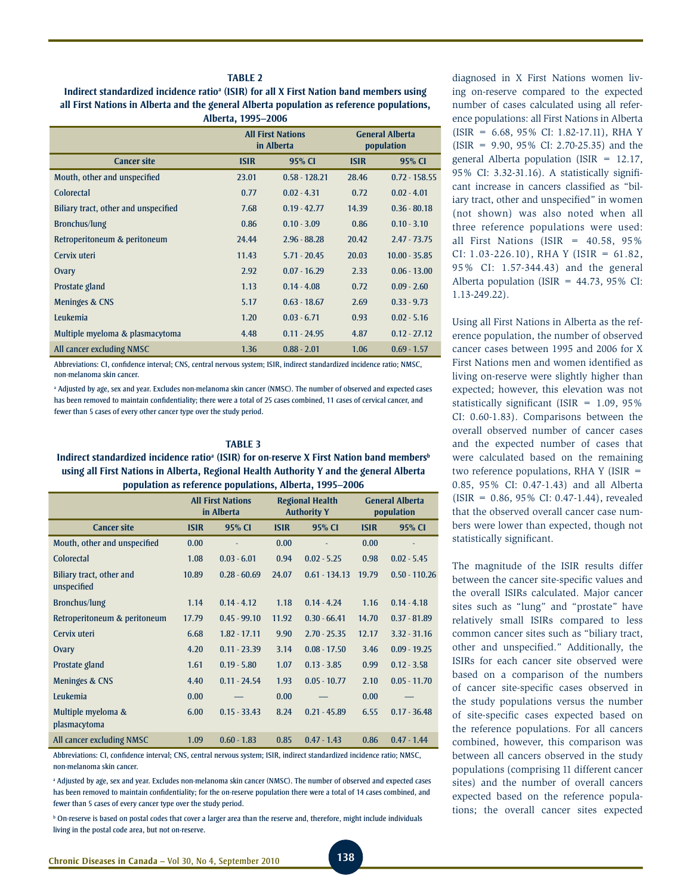#### **Table 2**

Indirect standardized incidence ratio<sup>a</sup> (ISIR) for all X First Nation band members using **all First Nations in Alberta and the general Alberta population as reference populations, Alberta, 1995–2006**

|                                      |             | <b>All First Nations</b><br>in Alberta |             | <b>General Alberta</b><br>population |
|--------------------------------------|-------------|----------------------------------------|-------------|--------------------------------------|
| <b>Cancer site</b>                   | <b>ISIR</b> | 95% CI                                 | <b>ISIR</b> | 95% CI                               |
| Mouth, other and unspecified         | 23.01       | $0.58 - 128.21$                        | 28.46       | $0.72 - 158.55$                      |
| Colorectal                           | 0.77        | $0.02 - 4.31$                          | 0.72        | $0.02 - 4.01$                        |
| Biliary tract, other and unspecified | 7.68        | $0.19 - 42.77$                         | 14.39       | $0.36 - 80.18$                       |
| Bronchus/lung                        | 0.86        | $0.10 - 3.09$                          | 0.86        | $0.10 - 3.10$                        |
| Retroperitoneum & peritoneum         | 24.44       | $2.96 - 88.28$                         | 20.42       | $2.47 - 73.75$                       |
| Cervix uteri                         | 11.43       | $5.71 - 20.45$                         | 20.03       | $10.00 - 35.85$                      |
| Ovary                                | 2.92        | $0.07 - 16.29$                         | 2.33        | $0.06 - 13.00$                       |
| Prostate gland                       | 1.13        | $0.14 - 4.08$                          | 0.72        | $0.09 - 2.60$                        |
| Meninges & CNS                       | 5.17        | $0.63 - 18.67$                         | 2.69        | $0.33 - 9.73$                        |
| Leukemia                             | 1.20        | $0.03 - 6.71$                          | 0.93        | $0.02 - 5.16$                        |
| Multiple myeloma & plasmacytoma      | 4.48        | $0.11 - 24.95$                         | 4.87        | $0.12 - 27.12$                       |
| All cancer excluding NMSC            | 1.36        | $0.88 - 2.01$                          | 1.06        | $0.69 - 1.57$                        |

Abbreviations: CI, confidence interval; CNS, central nervous system; ISIR, indirect standardized incidence ratio; NMSC, non-melanoma skin cancer.

<sup>a</sup> Adjusted by age, sex and year. Excludes non-melanoma skin cancer (NMSC). The number of observed and expected cases has been removed to maintain confidentiality; there were a total of 25 cases combined, 11 cases of cervical cancer, and fewer than 5 cases of every other cancer type over the study period.

#### **Table 3**

Indirect standardized incidence ratio<sup>a</sup> (ISIR) for on-reserve X First Nation band members<sup>b</sup> **using all First Nations in Alberta, Regional Health Authority Y and the general Alberta population as reference populations, Alberta, 1995–2006**

|                                         | <b>All First Nations</b><br>in Alberta |                |             | <b>Regional Health</b><br><b>Authority Y</b> | <b>General Alberta</b><br>population |                 |
|-----------------------------------------|----------------------------------------|----------------|-------------|----------------------------------------------|--------------------------------------|-----------------|
| <b>Cancer site</b>                      | <b>ISIR</b>                            | 95% CI         | <b>ISIR</b> | 95% CI                                       | <b>ISIR</b>                          | 95% CI          |
| Mouth, other and unspecified            | 0.00                                   |                | 0.00        |                                              | 0.00                                 |                 |
| <b>Colorectal</b>                       | 1.08                                   | $0.03 - 6.01$  | 0.94        | $0.02 - 5.25$                                | 0.98                                 | $0.02 - 5.45$   |
| Biliary tract, other and<br>unspecified | 10.89                                  | $0.28 - 60.69$ | 24.07       | $0.61 - 134.13$                              | 19.79                                | $0.50 - 110.26$ |
| Bronchus/lung                           | 1.14                                   | $0.14 - 4.12$  | 1.18        | $0.14 - 4.24$                                | 1.16                                 | $0.14 - 4.18$   |
| Retroperitoneum & peritoneum            | 17.79                                  | $0.45 - 99.10$ | 11.92       | $0.30 - 66.41$                               | 14.70                                | $0.37 - 81.89$  |
| Cervix uteri                            | 6.68                                   | $1.82 - 17.11$ | 9.90        | $2.70 - 25.35$                               | 12.17                                | $3.32 - 31.16$  |
| Ovary                                   | 4.20                                   | $0.11 - 23.39$ | 3.14        | $0.08 - 17.50$                               | 3.46                                 | $0.09 - 19.25$  |
| Prostate gland                          | 1.61                                   | $0.19 - 5.80$  | 1.07        | $0.13 - 3.85$                                | 0.99                                 | $0.12 - 3.58$   |
| Meninges & CNS                          | 4.40                                   | $0.11 - 24.54$ | 1.93        | $0.05 - 10.77$                               | 2.10                                 | $0.05 - 11.70$  |
| Leukemia                                | 0.00                                   |                | 0.00        |                                              | 0.00                                 |                 |
| Multiple myeloma &<br>plasmacytoma      | 6.00                                   | $0.15 - 33.43$ | 8.24        | $0.21 - 45.89$                               | 6.55                                 | $0.17 - 36.48$  |
| All cancer excluding NMSC               | 1.09                                   | $0.60 - 1.83$  | 0.85        | $0.47 - 1.43$                                | 0.86                                 | $0.47 - 1.44$   |

Abbreviations: CI, confidence interval; CNS, central nervous system; ISIR, indirect standardized incidence ratio; NMSC, non-melanoma skin cancer.

a Adjusted by age, sex and year. Excludes non-melanoma skin cancer (NMSC). The number of observed and expected cases has been removed to maintain confidentiality; for the on-reserve population there were a total of 14 cases combined, and fewer than 5 cases of every cancer type over the study period.

b On-reserve is based on postal codes that cover a larger area than the reserve and, therefore, might include individuals living in the postal code area, but not on-reserve.

diagnosed in X First Nations women living on-reserve compared to the expected number of cases calculated using all reference populations: all First Nations in Alberta (ISIR = 6.68, 95% CI: 1.82-17.11), RHA Y  $(ISIR = 9.90, 95\% CI: 2.70-25.35)$  and the general Alberta population (ISIR = 12.17, 95% CI: 3.32-31.16). A statistically significant increase in cancers classified as "biliary tract, other and unspecified" in women (not shown) was also noted when all three reference populations were used: all First Nations (ISIR = 40.58, 95% CI: 1.03-226.10), RHA Y (ISIR = 61.82, 95% CI: 1.57-344.43) and the general Alberta population (ISIR =  $44.73$ , 95% CI: 1.13-249.22).

Using all First Nations in Alberta as the reference population, the number of observed cancer cases between 1995 and 2006 for X First Nations men and women identified as living on-reserve were slightly higher than expected; however, this elevation was not statistically significant (ISIR = 1.09, 95% CI: 0.60-1.83). Comparisons between the overall observed number of cancer cases and the expected number of cases that were calculated based on the remaining two reference populations, RHA Y (ISIR  $=$ 0.85, 95% CI: 0.47-1.43) and all Alberta (ISIR = 0.86, 95% CI: 0.47-1.44), revealed that the observed overall cancer case numbers were lower than expected, though not statistically significant.

The magnitude of the ISIR results differ between the cancer site-specific values and the overall ISIRs calculated. Major cancer sites such as "lung" and "prostate" have relatively small ISIRs compared to less common cancer sites such as "biliary tract, other and unspecified." Additionally, the ISIRs for each cancer site observed were based on a comparison of the numbers of cancer site-specific cases observed in the study populations versus the number of site-specific cases expected based on the reference populations. For all cancers combined, however, this comparison was between all cancers observed in the study populations (comprising 11 different cancer sites) and the number of overall cancers expected based on the reference populations; the overall cancer sites expected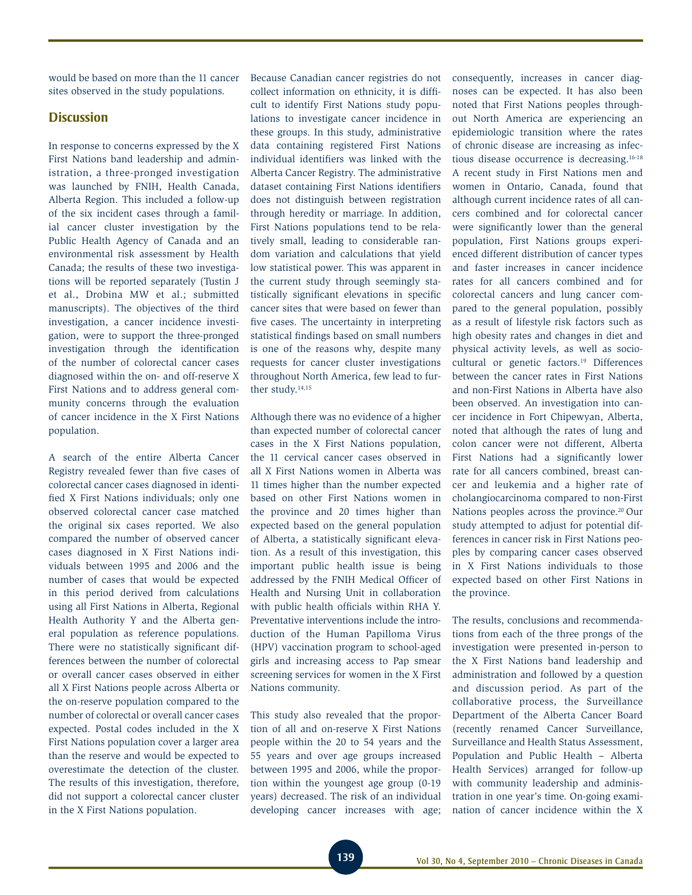would be based on more than the 11 cancer sites observed in the study populations.

### **Discussion**

In response to concerns expressed by the X First Nations band leadership and administration, a three-pronged investigation was launched by FNIH, Health Canada, Alberta Region. This included a follow-up of the six incident cases through a familial cancer cluster investigation by the Public Health Agency of Canada and an environmental risk assessment by Health Canada; the results of these two investigations will be reported separately (Tustin J et al., Drobina MW et al.; submitted manuscripts). The objectives of the third investigation, a cancer incidence investigation, were to support the three-pronged investigation through the identification of the number of colorectal cancer cases diagnosed within the on- and off-reserve X First Nations and to address general community concerns through the evaluation of cancer incidence in the X First Nations population.

A search of the entire Alberta Cancer Registry revealed fewer than five cases of colorectal cancer cases diagnosed in identified X First Nations individuals; only one observed colorectal cancer case matched the original six cases reported. We also compared the number of observed cancer cases diagnosed in X First Nations individuals between 1995 and 2006 and the number of cases that would be expected in this period derived from calculations using all First Nations in Alberta, Regional Health Authority Y and the Alberta general population as reference populations. There were no statistically significant differences between the number of colorectal or overall cancer cases observed in either all X First Nations people across Alberta or the on-reserve population compared to the number of colorectal or overall cancer cases expected. Postal codes included in the X First Nations population cover a larger area than the reserve and would be expected to overestimate the detection of the cluster. The results of this investigation, therefore, did not support a colorectal cancer cluster in the X First Nations population.

Because Canadian cancer registries do not collect information on ethnicity, it is difficult to identify First Nations study populations to investigate cancer incidence in these groups. In this study, administrative data containing registered First Nations individual identifiers was linked with the Alberta Cancer Registry. The administrative dataset containing First Nations identifiers does not distinguish between registration through heredity or marriage. In addition, First Nations populations tend to be relatively small, leading to considerable random variation and calculations that yield low statistical power. This was apparent in the current study through seemingly statistically significant elevations in specific cancer sites that were based on fewer than five cases. The uncertainty in interpreting statistical findings based on small numbers is one of the reasons why, despite many requests for cancer cluster investigations throughout North America, few lead to further study.<sup>14,15</sup>

Although there was no evidence of a higher than expected number of colorectal cancer cases in the X First Nations population, the 11 cervical cancer cases observed in all X First Nations women in Alberta was 11 times higher than the number expected based on other First Nations women in the province and 20 times higher than expected based on the general population of Alberta, a statistically significant elevation. As a result of this investigation, this important public health issue is being addressed by the FNIH Medical Officer of Health and Nursing Unit in collaboration with public health officials within RHA Y. Preventative interventions include the introduction of the Human Papilloma Virus (HPV) vaccination program to school-aged girls and increasing access to Pap smear screening services for women in the X First Nations community.

This study also revealed that the proportion of all and on-reserve X First Nations people within the 20 to 54 years and the 55 years and over age groups increased between 1995 and 2006, while the proportion within the youngest age group (0-19 years) decreased. The risk of an individual developing cancer increases with age; consequently, increases in cancer diagnoses can be expected. It has also been noted that First Nations peoples throughout North America are experiencing an epidemiologic transition where the rates of chronic disease are increasing as infectious disease occurrence is decreasing.16-18 A recent study in First Nations men and women in Ontario, Canada, found that although current incidence rates of all cancers combined and for colorectal cancer were significantly lower than the general population, First Nations groups experienced different distribution of cancer types and faster increases in cancer incidence rates for all cancers combined and for colorectal cancers and lung cancer compared to the general population, possibly as a result of lifestyle risk factors such as high obesity rates and changes in diet and physical activity levels, as well as sociocultural or genetic factors.<sup>19</sup> Differences between the cancer rates in First Nations and non-First Nations in Alberta have also been observed. An investigation into cancer incidence in Fort Chipewyan, Alberta, noted that although the rates of lung and colon cancer were not different, Alberta First Nations had a significantly lower rate for all cancers combined, breast cancer and leukemia and a higher rate of cholangiocarcinoma compared to non-First Nations peoples across the province.<sup>20</sup> Our study attempted to adjust for potential differences in cancer risk in First Nations peoples by comparing cancer cases observed in X First Nations individuals to those expected based on other First Nations in the province.

The results, conclusions and recommendations from each of the three prongs of the investigation were presented in-person to the X First Nations band leadership and administration and followed by a question and discussion period. As part of the collaborative process, the Surveillance Department of the Alberta Cancer Board (recently renamed Cancer Surveillance, Surveillance and Health Status Assessment, Population and Public Health – Alberta Health Services) arranged for follow-up with community leadership and administration in one year's time. On-going examination of cancer incidence within the X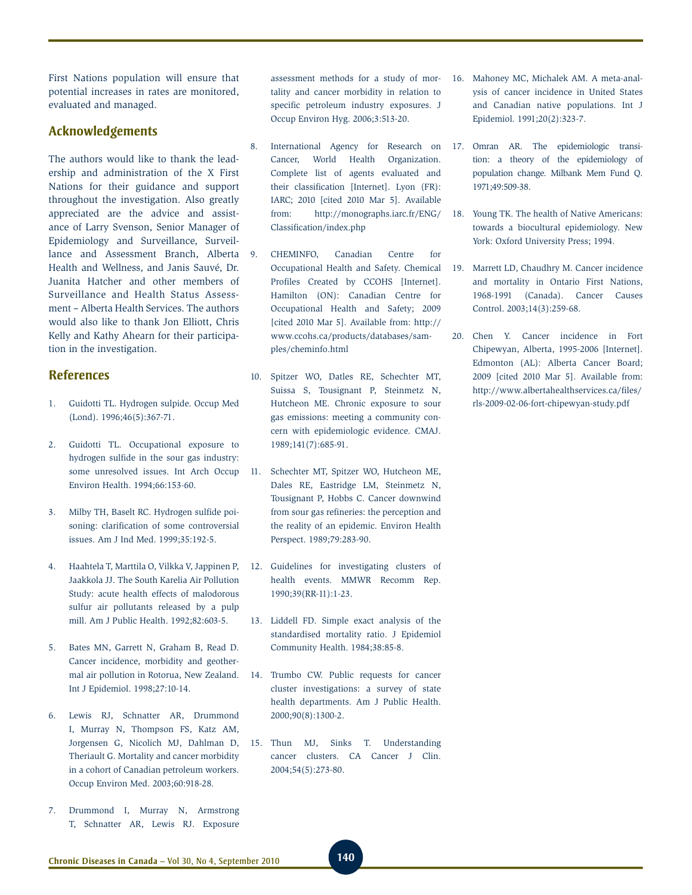First Nations population will ensure that potential increases in rates are monitored, evaluated and managed.

### **Acknowledgements**

The authors would like to thank the leadership and administration of the X First Nations for their guidance and support throughout the investigation. Also greatly appreciated are the advice and assistance of Larry Svenson, Senior Manager of Epidemiology and Surveillance, Surveillance and Assessment Branch, Alberta Health and Wellness, and Janis Sauvé, Dr. Juanita Hatcher and other members of Surveillance and Health Status Assessment – Alberta Health Services. The authors would also like to thank Jon Elliott, Chris Kelly and Kathy Ahearn for their participation in the investigation.

### **References**

- 1. Guidotti TL. Hydrogen sulpide. Occup Med (Lond). 1996;46(5):367-71.
- 2. Guidotti TL. Occupational exposure to hydrogen sulfide in the sour gas industry: some unresolved issues. Int Arch Occup Environ Health. 1994;66:153-60.
- 3. Milby TH, Baselt RC. Hydrogen sulfide poisoning: clarification of some controversial issues. Am J Ind Med. 1999;35:192-5.
- 4. Haahtela T, Marttila O, Vilkka V, Jappinen P, Jaakkola JJ. The South Karelia Air Pollution Study: acute health effects of malodorous sulfur air pollutants released by a pulp mill. Am J Public Health. 1992;82:603-5.
- 5. Bates MN, Garrett N, Graham B, Read D. Cancer incidence, morbidity and geothermal air pollution in Rotorua, New Zealand. Int J Epidemiol. 1998;27:10-14.
- 6. Lewis RJ, Schnatter AR, Drummond I, Murray N, Thompson FS, Katz AM, Jorgensen G, Nicolich MJ, Dahlman D, Theriault G. Mortality and cancer morbidity in a cohort of Canadian petroleum workers. Occup Environ Med. 2003;60:918-28.
- 7. Drummond I, Murray N, Armstrong T, Schnatter AR, Lewis RJ. Exposure

assessment methods for a study of mortality and cancer morbidity in relation to specific petroleum industry exposures. J Occup Environ Hyg. 2006;3:513-20.

- 8. International Agency for Research on Cancer, World Health Organization. Complete list of agents evaluated and their classification [Internet]. Lyon (FR): IARC; 2010 [cited 2010 Mar 5]. Available from: http://monographs.iarc.fr/ENG/ Classification/index.php
- 9. CHEMINFO, Canadian Centre for Occupational Health and Safety. Chemical Profiles Created by CCOHS [Internet]. Hamilton (ON): Canadian Centre for Occupational Health and Safety; 2009 [cited 2010 Mar 5]. Available from: http:// www.ccohs.ca/products/databases/samples/cheminfo.html
- 10. Spitzer WO, Datles RE, Schechter MT, Suissa S, Tousignant P, Steinmetz N, Hutcheon ME. Chronic exposure to sour gas emissions: meeting a community concern with epidemiologic evidence. CMAJ. 1989;141(7):685-91.
- 11. Schechter MT, Spitzer WO, Hutcheon ME, Dales RE, Eastridge LM, Steinmetz N, Tousignant P, Hobbs C. Cancer downwind from sour gas refineries: the perception and the reality of an epidemic. Environ Health Perspect. 1989;79:283-90.
- 12. Guidelines for investigating clusters of health events. MMWR Recomm Rep. 1990;39(RR-11):1-23.
- 13. Liddell FD. Simple exact analysis of the standardised mortality ratio. J Epidemiol Community Health. 1984;38:85-8.
- 14. Trumbo CW. Public requests for cancer cluster investigations: a survey of state health departments. Am J Public Health. 2000;90(8):1300-2.
- 15. Thun MJ, Sinks T. Understanding cancer clusters. CA Cancer J Clin. 2004;54(5):273-80.
- 16. Mahoney MC, Michalek AM. A meta-analysis of cancer incidence in United States and Canadian native populations. Int J Epidemiol. 1991;20(2):323-7.
- 17. Omran AR. The epidemiologic transition: a theory of the epidemiology of population change. Milbank Mem Fund Q. 1971;49:509-38.
- 18. Young TK. The health of Native Americans: towards a biocultural epidemiology. New York: Oxford University Press; 1994.
- 19. Marrett LD, Chaudhry M. Cancer incidence and mortality in Ontario First Nations, 1968-1991 (Canada). Cancer Causes Control. 2003;14(3):259-68.
- 20. Chen Y. Cancer incidence in Fort Chipewyan, Alberta, 1995-2006 [Internet]. Edmonton (AL): Alberta Cancer Board; 2009 [cited 2010 Mar 5]. Available from: http://www.albertahealthservices.ca/files/ rls-2009-02-06-fort-chipewyan-study.pdf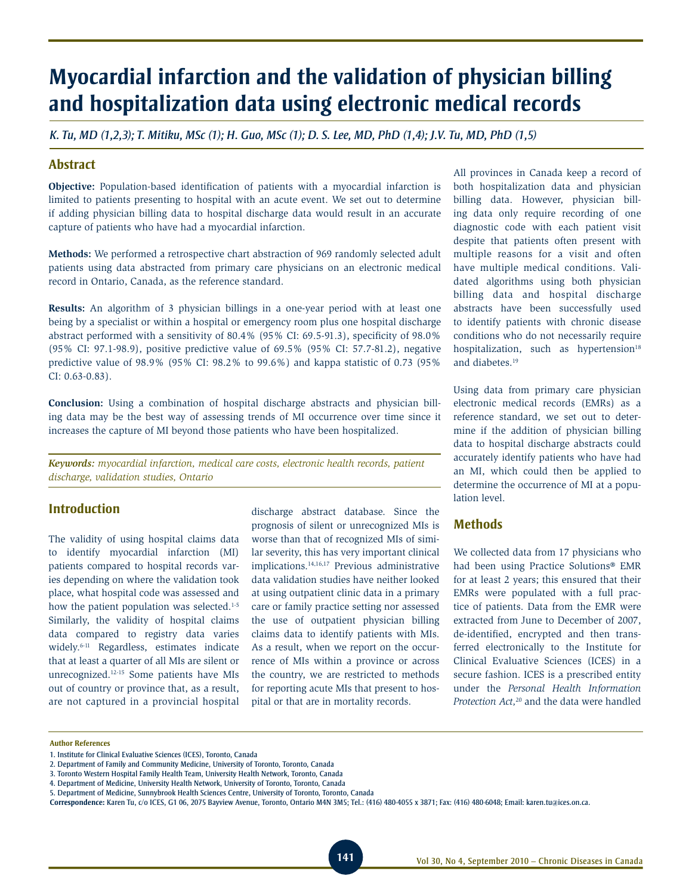# **Myocardial infarction and the validation of physician billing and hospitalization data using electronic medical records**

*K. Tu, MD (1,2,3); T. Mitiku, MSc (1); H. Guo, MSc (1); D. S. Lee, MD, PhD (1,4); J.V. Tu, MD, PhD (1,5)*

### **Abstract**

**Objective:** Population-based identification of patients with a myocardial infarction is limited to patients presenting to hospital with an acute event. We set out to determine if adding physician billing data to hospital discharge data would result in an accurate capture of patients who have had a myocardial infarction.

**Methods:** We performed a retrospective chart abstraction of 969 randomly selected adult patients using data abstracted from primary care physicians on an electronic medical record in Ontario, Canada, as the reference standard.

**Results:** An algorithm of 3 physician billings in a one-year period with at least one being by a specialist or within a hospital or emergency room plus one hospital discharge abstract performed with a sensitivity of 80.4% (95% CI: 69.5-91.3), specificity of 98.0% (95% CI: 97.1-98.9), positive predictive value of 69.5% (95% CI: 57.7-81.2), negative predictive value of 98.9% (95% CI: 98.2% to 99.6%) and kappa statistic of 0.73 (95% CI: 0.63-0.83).

**Conclusion:** Using a combination of hospital discharge abstracts and physician billing data may be the best way of assessing trends of MI occurrence over time since it increases the capture of MI beyond those patients who have been hospitalized.

*Keywords: myocardial infarction, medical care costs, electronic health records, patient discharge, validation studies, Ontario*

### **Introduction**

The validity of using hospital claims data to identify myocardial infarction (MI) patients compared to hospital records varies depending on where the validation took place, what hospital code was assessed and how the patient population was selected.<sup>1-5</sup> Similarly, the validity of hospital claims data compared to registry data varies widely.6-11 Regardless, estimates indicate that at least a quarter of all MIs are silent or unrecognized.12-15 Some patients have MIs out of country or province that, as a result, are not captured in a provincial hospital discharge abstract database. Since the prognosis of silent or unrecognized MIs is worse than that of recognized MIs of similar severity, this has very important clinical implications.14,16,17 Previous administrative data validation studies have neither looked at using outpatient clinic data in a primary care or family practice setting nor assessed the use of outpatient physician billing claims data to identify patients with MIs. As a result, when we report on the occurrence of MIs within a province or across the country, we are restricted to methods for reporting acute MIs that present to hospital or that are in mortality records.

All provinces in Canada keep a record of both hospitalization data and physician billing data. However, physician billing data only require recording of one diagnostic code with each patient visit despite that patients often present with multiple reasons for a visit and often have multiple medical conditions. Validated algorithms using both physician billing data and hospital discharge abstracts have been successfully used to identify patients with chronic disease conditions who do not necessarily require hospitalization, such as hypertension<sup>18</sup> and diabetes.19

Using data from primary care physician electronic medical records (EMRs) as a reference standard, we set out to determine if the addition of physician billing data to hospital discharge abstracts could accurately identify patients who have had an MI, which could then be applied to determine the occurrence of MI at a population level.

### **Methods**

We collected data from 17 physicians who had been using Practice Solutions® EMR for at least 2 years; this ensured that their EMRs were populated with a full practice of patients. Data from the EMR were extracted from June to December of 2007, de-identified, encrypted and then transferred electronically to the Institute for Clinical Evaluative Sciences (ICES) in a secure fashion. ICES is a prescribed entity under the *Personal Health Information Protection Act,*20 and the data were handled

#### **Author References**

<sup>1.</sup> Institute for Clinical Evaluative Sciences (ICES), Toronto, Canada

<sup>2.</sup> Department of Family and Community Medicine, University of Toronto, Toronto, Canada

<sup>3.</sup> Toronto Western Hospital Family Health Team, University Health Network, Toronto, Canada

<sup>4.</sup> Department of Medicine, University Health Network, University of Toronto, Toronto, Canada

<sup>5.</sup> Department of Medicine, Sunnybrook Health Sciences Centre, University of Toronto, Toronto, Canada

**Correspondence:** Karen Tu, c/o ICES, G1 06, 2075 Bayview Avenue, Toronto, Ontario M4N 3M5; Tel.: (416) 480-4055 x 3871; Fax: (416) 480-6048; Email: karen.tu@ices.on.ca.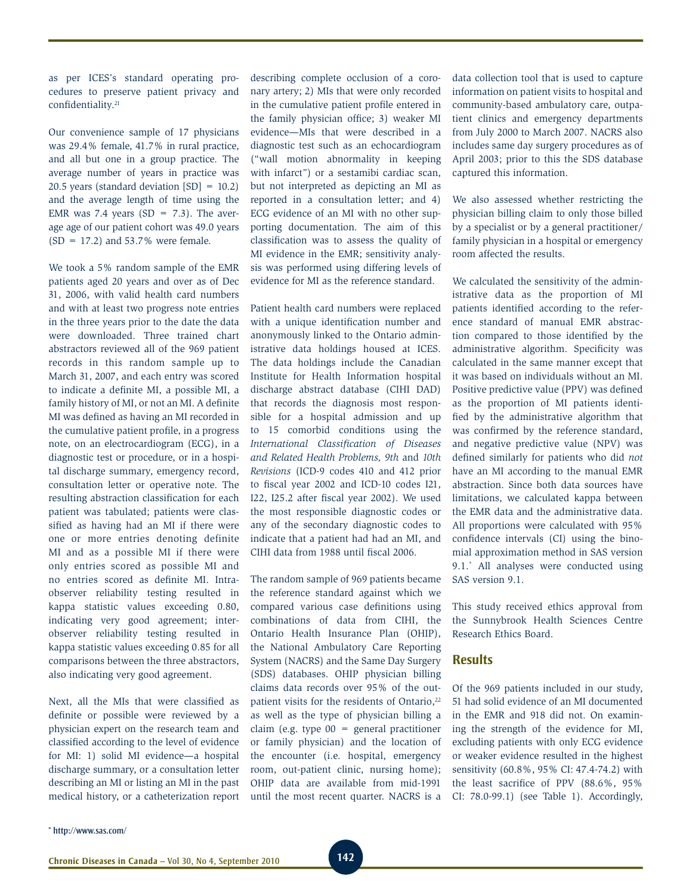as per ICES's standard operating procedures to preserve patient privacy and confidentiality.21

Our convenience sample of 17 physicians was 29.4% female, 41.7% in rural practice, and all but one in a group practice. The average number of years in practice was 20.5 years (standard deviation [SD] = 10.2) and the average length of time using the EMR was 7.4 years (SD =  $7.3$ ). The average age of our patient cohort was 49.0 years  $(SD = 17.2)$  and 53.7% were female.

We took a 5% random sample of the EMR patients aged 20 years and over as of Dec 31, 2006, with valid health card numbers and with at least two progress note entries in the three years prior to the date the data were downloaded. Three trained chart abstractors reviewed all of the 969 patient records in this random sample up to March 31, 2007, and each entry was scored to indicate a definite MI, a possible MI, a family history of MI, or not an MI. A definite MI was defined as having an MI recorded in the cumulative patient profile, in a progress note, on an electrocardiogram (ECG), in a diagnostic test or procedure, or in a hospital discharge summary, emergency record, consultation letter or operative note. The resulting abstraction classification for each patient was tabulated; patients were classified as having had an MI if there were one or more entries denoting definite MI and as a possible MI if there were only entries scored as possible MI and no entries scored as definite MI. Intraobserver reliability testing resulted in kappa statistic values exceeding 0.80, indicating very good agreement; interobserver reliability testing resulted in kappa statistic values exceeding 0.85 for all comparisons between the three abstractors, also indicating very good agreement.

Next, all the MIs that were classified as definite or possible were reviewed by a physician expert on the research team and classified according to the level of evidence for MI: 1) solid MI evidence—a hospital discharge summary, or a consultation letter describing an MI or listing an MI in the past medical history, or a catheterization report

describing complete occlusion of a coronary artery; 2) MIs that were only recorded in the cumulative patient profile entered in the family physician office; 3) weaker MI evidence—MIs that were described in a diagnostic test such as an echocardiogram ("wall motion abnormality in keeping with infarct") or a sestamibi cardiac scan, but not interpreted as depicting an MI as reported in a consultation letter; and 4) ECG evidence of an MI with no other supporting documentation. The aim of this classification was to assess the quality of MI evidence in the EMR; sensitivity analysis was performed using differing levels of evidence for MI as the reference standard.

Patient health card numbers were replaced with a unique identification number and anonymously linked to the Ontario administrative data holdings housed at ICES. The data holdings include the Canadian Institute for Health Information hospital discharge abstract database (CIHI DAD) that records the diagnosis most responsible for a hospital admission and up to 15 comorbid conditions using the *International Classification of Diseases and Related Health Problems, 9th* and *10th Revisions* (ICD-9 codes 410 and 412 prior to fiscal year 2002 and ICD-10 codes I21, I22, I25.2 after fiscal year 2002). We used the most responsible diagnostic codes or any of the secondary diagnostic codes to indicate that a patient had had an MI, and CIHI data from 1988 until fiscal 2006.

The random sample of 969 patients became the reference standard against which we compared various case definitions using combinations of data from CIHI, the Ontario Health Insurance Plan (OHIP), the National Ambulatory Care Reporting System (NACRS) and the Same Day Surgery (SDS) databases. OHIP physician billing claims data records over 95% of the outpatient visits for the residents of Ontario,<sup>22</sup> as well as the type of physician billing a claim (e.g. type 00 = general practitioner or family physician) and the location of the encounter (i.e. hospital, emergency room, out-patient clinic, nursing home); OHIP data are available from mid-1991 until the most recent quarter. NACRS is a data collection tool that is used to capture information on patient visits to hospital and community-based ambulatory care, outpatient clinics and emergency departments from July 2000 to March 2007. NACRS also includes same day surgery procedures as of April 2003; prior to this the SDS database captured this information.

We also assessed whether restricting the physician billing claim to only those billed by a specialist or by a general practitioner/ family physician in a hospital or emergency room affected the results.

We calculated the sensitivity of the administrative data as the proportion of MI patients identified according to the reference standard of manual EMR abstraction compared to those identified by the administrative algorithm. Specificity was calculated in the same manner except that it was based on individuals without an MI. Positive predictive value (PPV) was defined as the proportion of MI patients identified by the administrative algorithm that was confirmed by the reference standard, and negative predictive value (NPV) was defined similarly for patients who did *not*  have an MI according to the manual EMR abstraction. Since both data sources have limitations, we calculated kappa between the EMR data and the administrative data. All proportions were calculated with 95% confidence intervals (CI) using the binomial approximation method in SAS version 9.1.\* All analyses were conducted using SAS version 9.1.

This study received ethics approval from the Sunnybrook Health Sciences Centre Research Ethics Board.

### **Results**

Of the 969 patients included in our study, 51 had solid evidence of an MI documented in the EMR and 918 did not. On examining the strength of the evidence for MI, excluding patients with only ECG evidence or weaker evidence resulted in the highest sensitivity (60.8%, 95% CI: 47.4-74.2) with the least sacrifice of PPV (88.6%, 95% CI: 78.0-99.1) (see Table 1). Accordingly,

\* http://www.sas.com/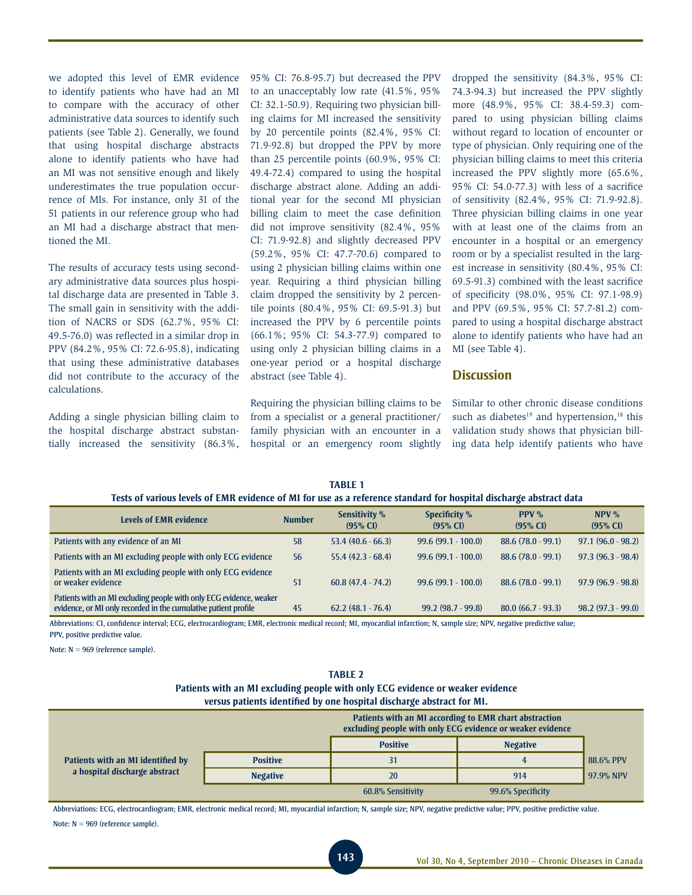we adopted this level of EMR evidence to identify patients who have had an MI to compare with the accuracy of other administrative data sources to identify such patients (see Table 2). Generally, we found that using hospital discharge abstracts alone to identify patients who have had an MI was not sensitive enough and likely underestimates the true population occurrence of MIs. For instance, only 31 of the 51 patients in our reference group who had an MI had a discharge abstract that mentioned the MI.

The results of accuracy tests using secondary administrative data sources plus hospital discharge data are presented in Table 3. The small gain in sensitivity with the addition of NACRS or SDS (62.7%, 95% CI: 49.5-76.0) was reflected in a similar drop in PPV (84.2%, 95% CI: 72.6-95.8), indicating that using these administrative databases did not contribute to the accuracy of the calculations.

Adding a single physician billing claim to the hospital discharge abstract substantially increased the sensitivity (86.3%, 95% CI: 76.8-95.7) but decreased the PPV to an unacceptably low rate (41.5%, 95% CI: 32.1-50.9). Requiring two physician billing claims for MI increased the sensitivity by 20 percentile points (82.4%, 95% CI: 71.9-92.8) but dropped the PPV by more than 25 percentile points (60.9%, 95% CI: 49.4-72.4) compared to using the hospital discharge abstract alone. Adding an additional year for the second MI physician billing claim to meet the case definition did not improve sensitivity (82.4%, 95% CI: 71.9-92.8) and slightly decreased PPV (59.2%, 95% CI: 47.7-70.6) compared to using 2 physician billing claims within one year. Requiring a third physician billing claim dropped the sensitivity by 2 percentile points (80.4%, 95% CI: 69.5-91.3) but increased the PPV by 6 percentile points (66.1%; 95% CI: 54.3-77.9) compared to using only 2 physician billing claims in a one-year period or a hospital discharge abstract (see Table 4).

Requiring the physician billing claims to be from a specialist or a general practitioner/ family physician with an encounter in a hospital or an emergency room slightly

**TABLE 1** 

dropped the sensitivity (84.3%, 95% CI: 74.3-94.3) but increased the PPV slightly more (48.9%, 95% CI: 38.4-59.3) compared to using physician billing claims without regard to location of encounter or type of physician. Only requiring one of the physician billing claims to meet this criteria increased the PPV slightly more (65.6%, 95% CI: 54.0-77.3) with less of a sacrifice of sensitivity (82.4%, 95% CI: 71.9-92.8). Three physician billing claims in one year with at least one of the claims from an encounter in a hospital or an emergency room or by a specialist resulted in the largest increase in sensitivity (80.4%, 95% CI: 69.5-91.3) combined with the least sacrifice of specificity (98.0%, 95% CI: 97.1-98.9) and PPV (69.5%, 95% CI: 57.7-81.2) compared to using a hospital discharge abstract alone to identify patients who have had an MI (see Table 4).

### **Discussion**

Similar to other chronic disease conditions such as diabetes $19$  and hypertension, $18$  this validation study shows that physician billing data help identify patients who have

| Tests of various levels of EMR evidence of MI for use as a reference standard for hospital discharge abstract data                     |               |                                  |                                      |                          |                      |  |  |  |  |  |
|----------------------------------------------------------------------------------------------------------------------------------------|---------------|----------------------------------|--------------------------------------|--------------------------|----------------------|--|--|--|--|--|
| <b>Levels of EMR evidence</b>                                                                                                          | <b>Number</b> | <b>Sensitivity %</b><br>(95% CI) | Specificity %<br>$(95\% \text{ CI})$ | <b>PPV</b> %<br>(95% CI) | NPV %<br>(95% CI)    |  |  |  |  |  |
| Patients with any evidence of an MI                                                                                                    | 58            | $53.4(40.6 - 66.3)$              | $99.6(99.1 - 100.0)$                 | $88.6(78.0-99.1)$        | $97.1 (96.0 - 98.2)$ |  |  |  |  |  |
| Patients with an MI excluding people with only ECG evidence                                                                            | 56            | $55.4(42.3 - 68.4)$              | $99.6(99.1 - 100.0)$                 | $88.6(78.0-99.1)$        | $97.3(96.3-98.4)$    |  |  |  |  |  |
| Patients with an MI excluding people with only ECG evidence<br>or weaker evidence                                                      | 51            | $60.8(47.4 - 74.2)$              | $99.6(99.1 - 100.0)$                 | $88.6(78.0-99.1)$        | $97.9(96.9-98.8)$    |  |  |  |  |  |
| Patients with an MI excluding people with only ECG evidence, weaker<br>evidence, or MI only recorded in the cumulative patient profile | 45            | $62.2(48.1 - 76.4)$              | $99.2(98.7 - 99.8)$                  | $80.0(66.7-93.3)$        | $98.2(97.3-99.0)$    |  |  |  |  |  |

Abbreviations: CI, confidence interval; ECG, electrocardiogram; EMR, electronic medical record; MI, myocardial infarction; N, sample size; NPV, negative predictive value; PPV, positive predictive value.

Note: N = 969 (reference sample).

# **Table 2**

| Patients with an MI excluding people with only ECG evidence or weaker evidence |
|--------------------------------------------------------------------------------|
| versus patients identified by one hospital discharge abstract for MI.          |

|                                   |                 |                   | Patients with an MI according to EMR chart abstraction<br>excluding people with only ECG evidence or weaker evidence |           |
|-----------------------------------|-----------------|-------------------|----------------------------------------------------------------------------------------------------------------------|-----------|
|                                   |                 | <b>Positive</b>   | <b>Negative</b>                                                                                                      |           |
| Patients with an MI identified by | <b>Positive</b> | 31                | 4                                                                                                                    | 88.6% PPV |
| a hospital discharge abstract     | <b>Negative</b> | 20                | 914                                                                                                                  | 97.9% NPV |
|                                   |                 | 60.8% Sensitivity | 99.6% Specificity                                                                                                    |           |

Abbreviations: ECG, electrocardiogram; EMR, electronic medical record; MI, myocardial infarction; N, sample size; NPV, negative predictive value; PPV, positive predictive value. Note: N = 969 (reference sample).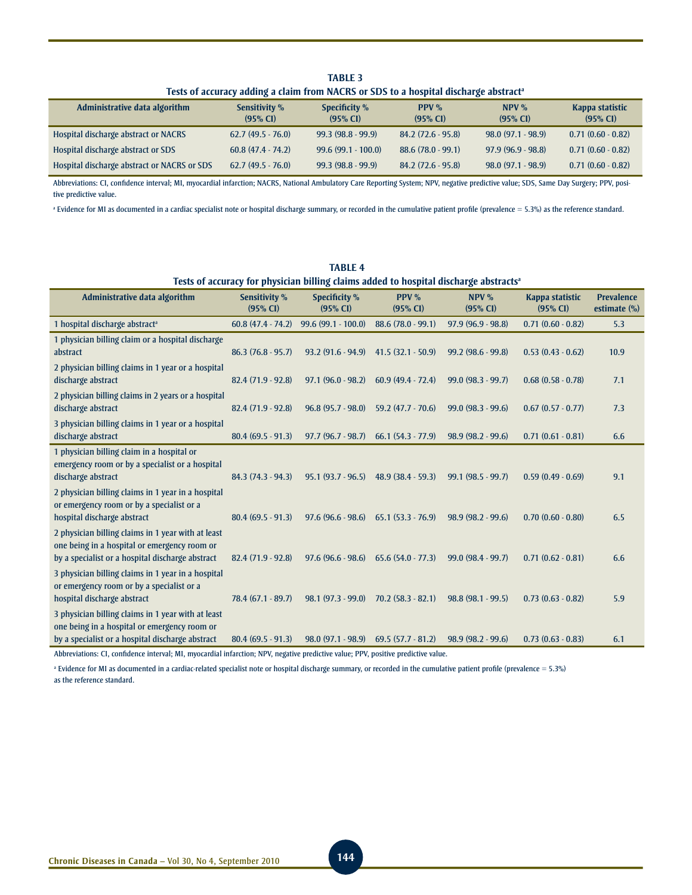**Table 3** Tests of accuracy adding a claim from NACRS or SDS to a hospital discharge abstract<sup>a</sup>

| Administrative data algorithm               | <b>Sensitivity %</b><br>(95% CI) | Specificity %<br>$(95\% \text{ Cl})$ | $PPV\%$<br>$(95\% \text{ Cl})$ | $NPV\%$<br>$(95% \text{ CI})$ | Kappa statistic<br>$(95\% \text{ CI})$ |
|---------------------------------------------|----------------------------------|--------------------------------------|--------------------------------|-------------------------------|----------------------------------------|
| Hospital discharge abstract or NACRS        | $62.7(49.5 - 76.0)$              | $99.3(98.8-99.9)$                    | $84.2(72.6-95.8)$              | $98.0(97.1-98.9)$             | $0.71(0.60 - 0.82)$                    |
| Hospital discharge abstract or SDS          | $60.8(47.4-74.2)$                | $99.6(99.1 - 100.0)$                 | $88.6(78.0-99.1)$              | $97.9(96.9 - 98.8)$           | $0.71(0.60 - 0.82)$                    |
| Hospital discharge abstract or NACRS or SDS | $62.7(49.5 - 76.0)$              | $99.3(98.8-99.9)$                    | $84.2(72.6-95.8)$              | $98.0(97.1-98.9)$             | $0.71(0.60 - 0.82)$                    |

Abbreviations: CI, confidence interval; MI, myocardial infarction; NACRS, National Ambulatory Care Reporting System; NPV, negative predictive value; SDS, Same Day Surgery; PPV, positive predictive value.

a Evidence for MI as documented in a cardiac specialist note or hospital discharge summary, or recorded in the cumulative patient profile (prevalence = 5.3%) as the reference standard.

**Table 4**

| Tests of accuracy for physician billing claims added to hospital discharge abstracts <sup>a</sup>                                                      |                                  |                                           |                                      |                      |                             |                                      |  |  |  |
|--------------------------------------------------------------------------------------------------------------------------------------------------------|----------------------------------|-------------------------------------------|--------------------------------------|----------------------|-----------------------------|--------------------------------------|--|--|--|
| Administrative data algorithm                                                                                                                          | <b>Sensitivity %</b><br>(95% CI) | <b>Specificity %</b><br>(95% CI)          | PPV $%$<br>(95% CI)                  | NPV $%$<br>(95% CI)  | Kappa statistic<br>(95% CI) | <b>Prevalence</b><br>estimate $(\%)$ |  |  |  |
| 1 hospital discharge abstract <sup>a</sup>                                                                                                             |                                  | $60.8(47.4 - 74.2)$ 99.6 (99.1 - 100.0)   | $88.6(78.0-99.1)$                    | $97.9(96.9 - 98.8)$  | $0.71(0.60 - 0.82)$         | 5.3                                  |  |  |  |
| 1 physician billing claim or a hospital discharge<br>abstract                                                                                          | $86.3(76.8-95.7)$                | $93.2 (91.6 - 94.9)$ $41.5 (32.1 - 50.9)$ |                                      | $99.2 (98.6 - 99.8)$ | $0.53(0.43 - 0.62)$         | 10.9                                 |  |  |  |
| 2 physician billing claims in 1 year or a hospital<br>discharge abstract                                                                               | $82.4(71.9-92.8)$                | $97.1 (96.0 - 98.2)$                      | $60.9(49.4 - 72.4)$                  | $99.0(98.3 - 99.7)$  | $0.68(0.58 - 0.78)$         | 7.1                                  |  |  |  |
| 2 physician billing claims in 2 years or a hospital<br>discharge abstract                                                                              | $82.4(71.9-92.8)$                | $96.8(95.7 - 98.0)$                       | $59.2(47.7 - 70.6)$                  | $99.0(98.3-99.6)$    | $0.67(0.57 - 0.77)$         | 7.3                                  |  |  |  |
| 3 physician billing claims in 1 year or a hospital<br>discharge abstract                                                                               | $80.4(69.5-91.3)$                | $97.7(96.7-98.7)$                         | $66.1 (54.3 - 77.9)$                 | 98.9 (98.2 - 99.6)   | $0.71(0.61 - 0.81)$         | 6.6                                  |  |  |  |
| 1 physician billing claim in a hospital or<br>emergency room or by a specialist or a hospital<br>discharge abstract                                    | $84.3(74.3-94.3)$                | $95.1 (93.7 - 96.5)$                      | $48.9(38.4-59.3)$                    | $99.1 (98.5 - 99.7)$ | $0.59(0.49 - 0.69)$         | 9.1                                  |  |  |  |
| 2 physician billing claims in 1 year in a hospital<br>or emergency room or by a specialist or a<br>hospital discharge abstract                         | $80.4(69.5-91.3)$                | $97.6(96.6-98.6)$                         | $65.1(53.3 - 76.9)$                  | $98.9(98.2-99.6)$    | $0.70(0.60 - 0.80)$         | 6.5                                  |  |  |  |
| 2 physician billing claims in 1 year with at least<br>one being in a hospital or emergency room or<br>by a specialist or a hospital discharge abstract | $82.4(71.9-92.8)$                | $97.6(96.6-98.6)$                         | $65.6(54.0 - 77.3)$                  | $99.0(98.4-99.7)$    | $0.71(0.62 - 0.81)$         | 6.6                                  |  |  |  |
| 3 physician billing claims in 1 year in a hospital<br>or emergency room or by a specialist or a<br>hospital discharge abstract                         | $78.4(67.1-89.7)$                | $98.1 (97.3 - 99.0)$                      | $70.2(58.3 - 82.1)$                  | $98.8(98.1-99.5)$    | $0.73(0.63 - 0.82)$         | 5.9                                  |  |  |  |
| 3 physician billing claims in 1 year with at least<br>one being in a hospital or emergency room or<br>by a specialist or a hospital discharge abstract | $80.4(69.5-91.3)$                |                                           | $98.0(97.1-98.9)$ 69.5 (57.7 - 81.2) | $98.9(98.2-99.6)$    | $0.73(0.63 - 0.83)$         | 6.1                                  |  |  |  |
| Abbasiations, CL southbase intoniol. ML unconsided informion. NDV modeling modiation colors, DDV modification modiation colors                         |                                  |                                           |                                      |                      |                             |                                      |  |  |  |

Abbreviations: CI, confidence interval; MI, myocardial infarction; NPV, negative predictive value; PPV, positive predictive value.

a Evidence for MI as documented in a cardiac-related specialist note or hospital discharge summary, or recorded in the cumulative patient profile (prevalence = 5.3%) as the reference standard.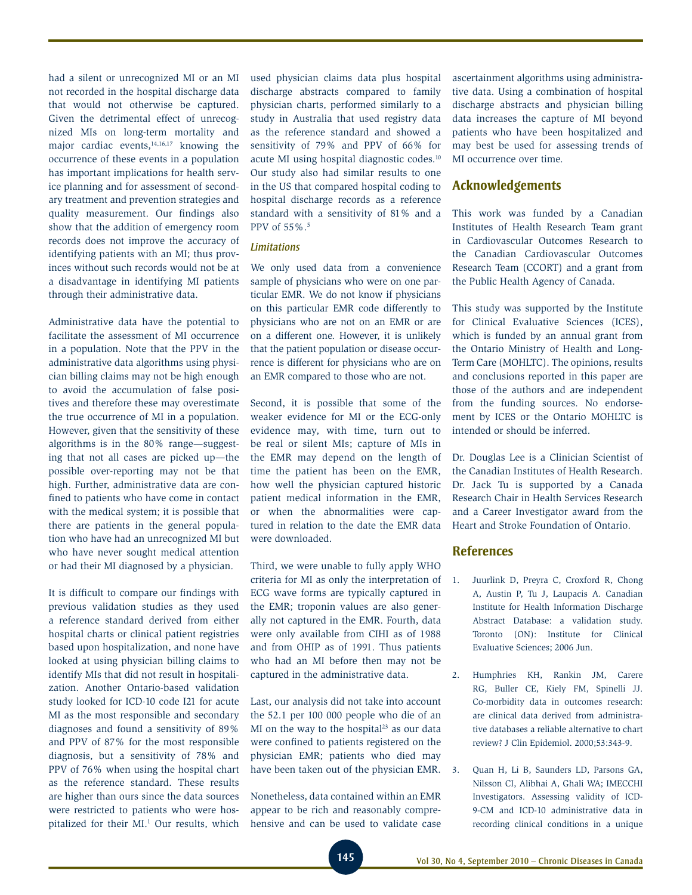had a silent or unrecognized MI or an MI not recorded in the hospital discharge data that would not otherwise be captured. Given the detrimental effect of unrecognized MIs on long-term mortality and major cardiac events,<sup>14,16,17</sup> knowing the occurrence of these events in a population has important implications for health service planning and for assessment of secondary treatment and prevention strategies and quality measurement. Our findings also show that the addition of emergency room records does not improve the accuracy of identifying patients with an MI; thus provinces without such records would not be at a disadvantage in identifying MI patients through their administrative data.

Administrative data have the potential to facilitate the assessment of MI occurrence in a population. Note that the PPV in the administrative data algorithms using physician billing claims may not be high enough to avoid the accumulation of false positives and therefore these may overestimate the true occurrence of MI in a population. However, given that the sensitivity of these algorithms is in the 80% range—suggesting that not all cases are picked up—the possible over-reporting may not be that high. Further, administrative data are confined to patients who have come in contact with the medical system; it is possible that there are patients in the general population who have had an unrecognized MI but who have never sought medical attention or had their MI diagnosed by a physician.

It is difficult to compare our findings with previous validation studies as they used a reference standard derived from either hospital charts or clinical patient registries based upon hospitalization, and none have looked at using physician billing claims to identify MIs that did not result in hospitalization. Another Ontario-based validation study looked for ICD-10 code I21 for acute MI as the most responsible and secondary diagnoses and found a sensitivity of 89% and PPV of 87% for the most responsible diagnosis, but a sensitivity of 78% and PPV of 76% when using the hospital chart as the reference standard. These results are higher than ours since the data sources were restricted to patients who were hospitalized for their MI.<sup>1</sup> Our results, which used physician claims data plus hospital discharge abstracts compared to family physician charts, performed similarly to a study in Australia that used registry data as the reference standard and showed a sensitivity of 79% and PPV of 66% for acute MI using hospital diagnostic codes.10 Our study also had similar results to one in the US that compared hospital coding to hospital discharge records as a reference standard with a sensitivity of 81% and a PPV of 55%.5

#### *Limitations*

We only used data from a convenience sample of physicians who were on one particular EMR. We do not know if physicians on this particular EMR code differently to physicians who are not on an EMR or are on a different one. However, it is unlikely that the patient population or disease occurrence is different for physicians who are on an EMR compared to those who are not.

Second, it is possible that some of the weaker evidence for MI or the ECG-only evidence may, with time, turn out to be real or silent MIs; capture of MIs in the EMR may depend on the length of time the patient has been on the EMR, how well the physician captured historic patient medical information in the EMR, or when the abnormalities were captured in relation to the date the EMR data were downloaded.

Third, we were unable to fully apply WHO criteria for MI as only the interpretation of ECG wave forms are typically captured in the EMR; troponin values are also generally not captured in the EMR. Fourth, data were only available from CIHI as of 1988 and from OHIP as of 1991. Thus patients who had an MI before then may not be captured in the administrative data.

Last, our analysis did not take into account the 52.1 per 100 000 people who die of an MI on the way to the hospital $23$  as our data were confined to patients registered on the physician EMR; patients who died may have been taken out of the physician EMR.

Nonetheless, data contained within an EMR appear to be rich and reasonably comprehensive and can be used to validate case ascertainment algorithms using administrative data. Using a combination of hospital discharge abstracts and physician billing data increases the capture of MI beyond patients who have been hospitalized and may best be used for assessing trends of MI occurrence over time.

### **Acknowledgements**

This work was funded by a Canadian Institutes of Health Research Team grant in Cardiovascular Outcomes Research to the Canadian Cardiovascular Outcomes Research Team (CCORT) and a grant from the Public Health Agency of Canada.

This study was supported by the Institute for Clinical Evaluative Sciences (ICES), which is funded by an annual grant from the Ontario Ministry of Health and Long-Term Care (MOHLTC). The opinions, results and conclusions reported in this paper are those of the authors and are independent from the funding sources. No endorsement by ICES or the Ontario MOHLTC is intended or should be inferred.

Dr. Douglas Lee is a Clinician Scientist of the Canadian Institutes of Health Research. Dr. Jack Tu is supported by a Canada Research Chair in Health Services Research and a Career Investigator award from the Heart and Stroke Foundation of Ontario.

### **References**

- 1. Juurlink D, Preyra C, Croxford R, Chong A, Austin P, Tu J, Laupacis A. Canadian Institute for Health Information Discharge Abstract Database: a validation study. Toronto (ON): Institute for Clinical Evaluative Sciences; 2006 Jun.
- 2. Humphries KH, Rankin JM, Carere RG, Buller CE, Kiely FM, Spinelli JJ. Co-morbidity data in outcomes research: are clinical data derived from administrative databases a reliable alternative to chart review? J Clin Epidemiol. 2000;53:343-9.
- 3. Quan H, Li B, Saunders LD, Parsons GA, Nilsson CI, Alibhai A, Ghali WA; IMECCHI Investigators. Assessing validity of ICD-9-CM and ICD-10 administrative data in recording clinical conditions in a unique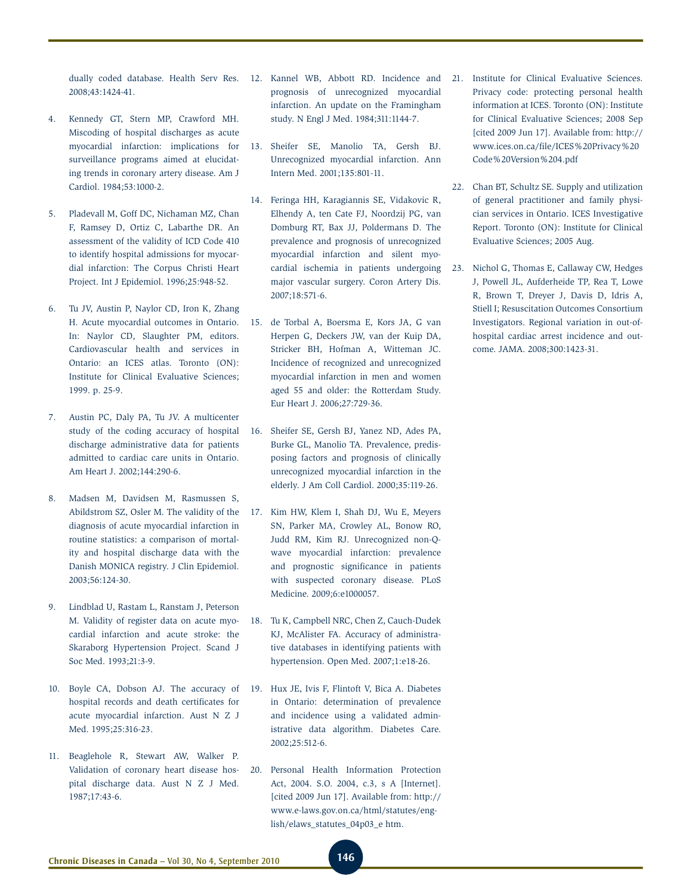dually coded database. Health Serv Res. 2008;43:1424-41.

- 4. Kennedy GT, Stern MP, Crawford MH. Miscoding of hospital discharges as acute myocardial infarction: implications for surveillance programs aimed at elucidating trends in coronary artery disease. Am J Cardiol. 1984;53:1000-2.
- 5. Pladevall M, Goff DC, Nichaman MZ, Chan F, Ramsey D, Ortiz C, Labarthe DR. An assessment of the validity of ICD Code 410 to identify hospital admissions for myocardial infarction: The Corpus Christi Heart Project. Int J Epidemiol. 1996;25:948-52.
- 6. Tu JV, Austin P, Naylor CD, Iron K, Zhang H. Acute myocardial outcomes in Ontario. In: Naylor CD, Slaughter PM, editors. Cardiovascular health and services in Ontario: an ICES atlas. Toronto (ON): Institute for Clinical Evaluative Sciences; 1999. p. 25-9.
- 7. Austin PC, Daly PA, Tu JV. A multicenter study of the coding accuracy of hospital discharge administrative data for patients admitted to cardiac care units in Ontario. Am Heart J. 2002;144:290-6.
- 8. Madsen M, Davidsen M, Rasmussen S, Abildstrom SZ, Osler M. The validity of the diagnosis of acute myocardial infarction in routine statistics: a comparison of mortality and hospital discharge data with the Danish MONICA registry. J Clin Epidemiol. 2003;56:124-30.
- 9. Lindblad U, Rastam L, Ranstam J, Peterson M. Validity of register data on acute myocardial infarction and acute stroke: the Skaraborg Hypertension Project. Scand J Soc Med. 1993;21:3-9.
- 10. Boyle CA, Dobson AJ. The accuracy of hospital records and death certificates for acute myocardial infarction. Aust N Z J Med. 1995;25:316-23.
- 11. Beaglehole R, Stewart AW, Walker P. Validation of coronary heart disease hospital discharge data. Aust N Z J Med. 1987;17:43-6.
- 12. Kannel WB, Abbott RD. Incidence and prognosis of unrecognized myocardial infarction. An update on the Framingham study. N Engl J Med. 1984;311:1144-7.
- 13. Sheifer SE, Manolio TA, Gersh BJ. Unrecognized myocardial infarction. Ann Intern Med. 2001;135:801-11.
- 14. Feringa HH, Karagiannis SE, Vidakovic R, Elhendy A, ten Cate FJ, Noordzij PG, van Domburg RT, Bax JJ, Poldermans D. The prevalence and prognosis of unrecognized myocardial infarction and silent myocardial ischemia in patients undergoing major vascular surgery. Coron Artery Dis. 2007;18:571-6.
- 15. de Torbal A, Boersma E, Kors JA, G van Herpen G, Deckers JW, van der Kuip DA, Stricker BH, Hofman A, Witteman JC. Incidence of recognized and unrecognized myocardial infarction in men and women aged 55 and older: the Rotterdam Study. Eur Heart J. 2006;27:729-36.
- 16. Sheifer SE, Gersh BJ, Yanez ND, Ades PA, Burke GL, Manolio TA. Prevalence, predisposing factors and prognosis of clinically unrecognized myocardial infarction in the elderly. J Am Coll Cardiol. 2000;35:119-26.
- 17. Kim HW, Klem I, Shah DJ, Wu E, Meyers SN, Parker MA, Crowley AL, Bonow RO, Judd RM, Kim RJ. Unrecognized non-Qwave myocardial infarction: prevalence and prognostic significance in patients with suspected coronary disease. PLoS Medicine. 2009;6:e1000057.
- 18. Tu K, Campbell NRC, Chen Z, Cauch-Dudek KJ, McAlister FA. Accuracy of administrative databases in identifying patients with hypertension. Open Med. 2007;1:e18-26.
- 19. Hux JE, Ivis F, Flintoft V, Bica A. Diabetes in Ontario: determination of prevalence and incidence using a validated administrative data algorithm. Diabetes Care. 2002;25:512-6.
- 20. Personal Health Information Protection Act, 2004. S.O. 2004, c.3, s A [Internet]. [cited 2009 Jun 17]. Available from: http:// www.e-laws.gov.on.ca/html/statutes/english/elaws\_statutes\_04p03\_e htm.
- 21. Institute for Clinical Evaluative Sciences. Privacy code: protecting personal health information at ICES. Toronto (ON): Institute for Clinical Evaluative Sciences; 2008 Sep [cited 2009 Jun 17]. Available from: http:// www.ices.on.ca/file/ICES%20Privacy%20 Code%20Version%204.pdf
- 22. Chan BT, Schultz SE. Supply and utilization of general practitioner and family physician services in Ontario. ICES Investigative Report. Toronto (ON): Institute for Clinical Evaluative Sciences; 2005 Aug.
- 23. Nichol G, Thomas E, Callaway CW, Hedges J, Powell JL, Aufderheide TP, Rea T, Lowe R, Brown T, Dreyer J, Davis D, Idris A, Stiell I; Resuscitation Outcomes Consortium Investigators. Regional variation in out-ofhospital cardiac arrest incidence and outcome. JAMA. 2008;300:1423-31.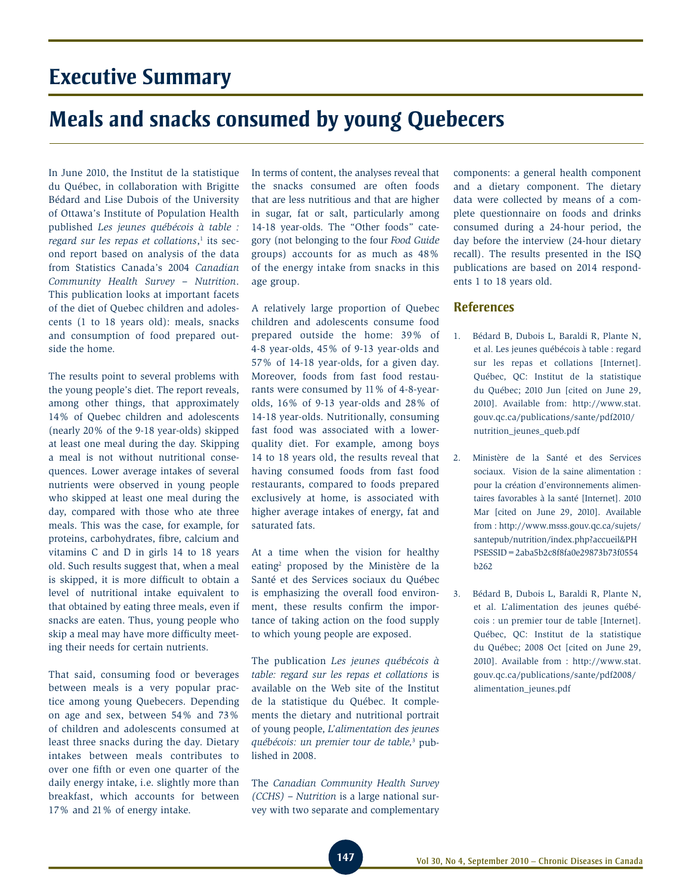# **Executive Summary**

# **Meals and snacks consumed by young Quebecers**

In June 2010, the Institut de la statistique du Québec, in collaboration with Brigitte Bédard and Lise Dubois of the University of Ottawa's Institute of Population Health published *Les jeunes québécois à table : regard sur les repas et collations*, 1 its second report based on analysis of the data from Statistics Canada's 2004 *Canadian Community Health Survey – Nutrition*. This publication looks at important facets of the diet of Quebec children and adolescents (1 to 18 years old): meals, snacks and consumption of food prepared outside the home.

The results point to several problems with the young people's diet. The report reveals, among other things, that approximately 14% of Quebec children and adolescents (nearly 20% of the 9-18 year-olds) skipped at least one meal during the day. Skipping a meal is not without nutritional consequences. Lower average intakes of several nutrients were observed in young people who skipped at least one meal during the day, compared with those who ate three meals. This was the case, for example, for proteins, carbohydrates, fibre, calcium and vitamins C and D in girls 14 to 18 years old. Such results suggest that, when a meal is skipped, it is more difficult to obtain a level of nutritional intake equivalent to that obtained by eating three meals, even if snacks are eaten. Thus, young people who skip a meal may have more difficulty meeting their needs for certain nutrients.

That said, consuming food or beverages between meals is a very popular practice among young Quebecers. Depending on age and sex, between 54% and 73% of children and adolescents consumed at least three snacks during the day. Dietary intakes between meals contributes to over one fifth or even one quarter of the daily energy intake, i.e. slightly more than breakfast, which accounts for between 17% and 21% of energy intake.

In terms of content, the analyses reveal that the snacks consumed are often foods that are less nutritious and that are higher in sugar, fat or salt, particularly among 14-18 year-olds. The "Other foods" category (not belonging to the four *Food Guide* groups) accounts for as much as 48% of the energy intake from snacks in this age group.

A relatively large proportion of Quebec children and adolescents consume food prepared outside the home: 39% of 4-8 year-olds, 45% of 9-13 year-olds and 57% of 14-18 year-olds, for a given day. Moreover, foods from fast food restaurants were consumed by 11% of 4-8-yearolds, 16% of 9-13 year-olds and 28% of 14-18 year-olds. Nutritionally, consuming fast food was associated with a lowerquality diet. For example, among boys 14 to 18 years old, the results reveal that having consumed foods from fast food restaurants, compared to foods prepared exclusively at home, is associated with higher average intakes of energy, fat and saturated fats.

At a time when the vision for healthy eating<sup>2</sup> proposed by the Ministère de la Santé et des Services sociaux du Québec is emphasizing the overall food environment, these results confirm the importance of taking action on the food supply to which young people are exposed.

The publication *Les jeunes québécois à table: regard sur les repas et collations* is available on the Web site of the Institut de la statistique du Québec. It complements the dietary and nutritional portrait of young people, *L'alimentation des jeunes québécois: un premier tour de table,*<sup>3</sup> published in 2008.

The *Canadian Community Health Survey (CCHS) – Nutrition* is a large national survey with two separate and complementary

components: a general health component and a dietary component. The dietary data were collected by means of a complete questionnaire on foods and drinks consumed during a 24-hour period, the day before the interview (24-hour dietary recall). The results presented in the ISQ publications are based on 2014 respondents 1 to 18 years old.

### **References**

- 1. Bédard B, Dubois L, Baraldi R, Plante N, et al. Les jeunes québécois à table : regard sur les repas et collations [Internet]. Québec, QC: Institut de la statistique du Québec; 2010 Jun [cited on June 29, 2010]. Available from: http://www.stat. gouv.qc.ca/publications/sante/pdf2010/ nutrition\_jeunes\_queb.pdf
- 2. Ministère de la Santé et des Services sociaux. Vision de la saine alimentation : pour la création d'environnements alimentaires favorables à la santé [Internet]. 2010 Mar [cited on June 29, 2010]. Available from : http://www.msss.gouv.qc.ca/sujets/ santepub/nutrition/index.php?accueil&PH PSESSID=2aba5b2c8f8fa0e29873b73f0554 b262
- 3. Bédard B, Dubois L, Baraldi R, Plante N, et al. L'alimentation des jeunes québécois : un premier tour de table [Internet]. Québec, QC: Institut de la statistique du Québec; 2008 Oct [cited on June 29, 2010]. Available from : http://www.stat. gouv.qc.ca/publications/sante/pdf2008/ alimentation\_jeunes.pdf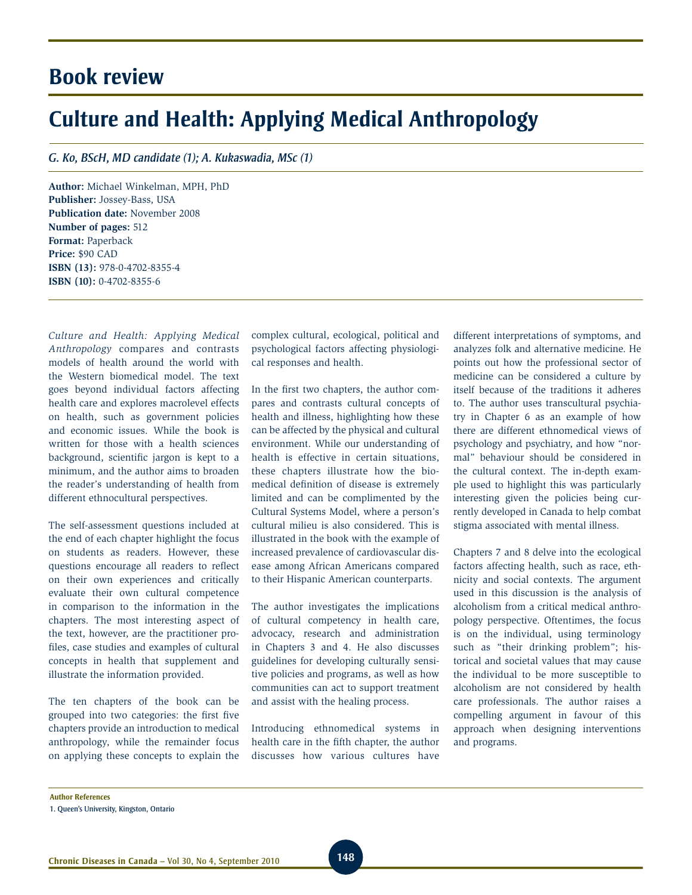# **Book review**

# **Culture and Health: Applying Medical Anthropology**

### *G. Ko, BScH, MD candidate (1); A. Kukaswadia, MSc (1)*

**Author:** Michael Winkelman, MPH, PhD **Publisher:** Jossey-Bass, USA **Publication date:** November 2008 **Number of pages:** 512 **Format:** Paperback **Price:** \$90 CAD **ISBN (13):** 978-0-4702-8355-4 **ISBN (10):** 0-4702-8355-6

*Culture and Health: Applying Medical Anthropology* compares and contrasts models of health around the world with the Western biomedical model. The text goes beyond individual factors affecting health care and explores macrolevel effects on health, such as government policies and economic issues. While the book is written for those with a health sciences background, scientific jargon is kept to a minimum, and the author aims to broaden the reader's understanding of health from different ethnocultural perspectives.

The self-assessment questions included at the end of each chapter highlight the focus on students as readers. However, these questions encourage all readers to reflect on their own experiences and critically evaluate their own cultural competence in comparison to the information in the chapters. The most interesting aspect of the text, however, are the practitioner profiles, case studies and examples of cultural concepts in health that supplement and illustrate the information provided.

The ten chapters of the book can be grouped into two categories: the first five chapters provide an introduction to medical anthropology, while the remainder focus on applying these concepts to explain the complex cultural, ecological, political and psychological factors affecting physiological responses and health.

In the first two chapters, the author compares and contrasts cultural concepts of health and illness, highlighting how these can be affected by the physical and cultural environment. While our understanding of health is effective in certain situations, these chapters illustrate how the biomedical definition of disease is extremely limited and can be complimented by the Cultural Systems Model, where a person's cultural milieu is also considered. This is illustrated in the book with the example of increased prevalence of cardiovascular disease among African Americans compared to their Hispanic American counterparts.

The author investigates the implications of cultural competency in health care, advocacy, research and administration in Chapters 3 and 4. He also discusses guidelines for developing culturally sensitive policies and programs, as well as how communities can act to support treatment and assist with the healing process.

Introducing ethnomedical systems in health care in the fifth chapter, the author discusses how various cultures have different interpretations of symptoms, and analyzes folk and alternative medicine. He points out how the professional sector of medicine can be considered a culture by itself because of the traditions it adheres to. The author uses transcultural psychiatry in Chapter 6 as an example of how there are different ethnomedical views of psychology and psychiatry, and how "normal" behaviour should be considered in the cultural context. The in-depth example used to highlight this was particularly interesting given the policies being currently developed in Canada to help combat stigma associated with mental illness.

Chapters 7 and 8 delve into the ecological factors affecting health, such as race, ethnicity and social contexts. The argument used in this discussion is the analysis of alcoholism from a critical medical anthropology perspective. Oftentimes, the focus is on the individual, using terminology such as "their drinking problem"; historical and societal values that may cause the individual to be more susceptible to alcoholism are not considered by health care professionals. The author raises a compelling argument in favour of this approach when designing interventions and programs.

**Author References**

<sup>1.</sup> Queen's University, Kingston, Ontario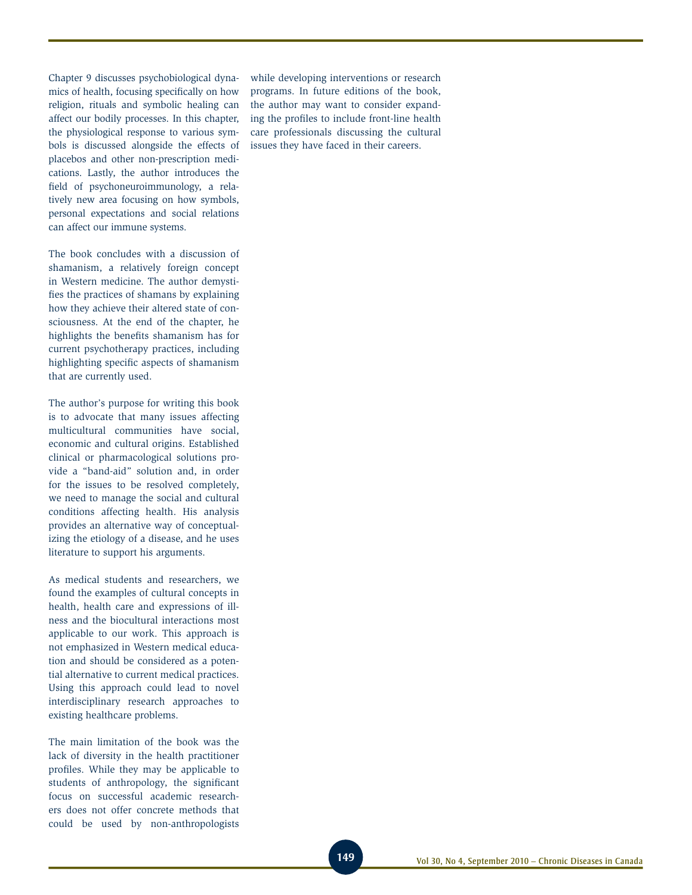Chapter 9 discusses psychobiological dynamics of health, focusing specifically on how religion, rituals and symbolic healing can affect our bodily processes. In this chapter, the physiological response to various symbols is discussed alongside the effects of placebos and other non-prescription medications. Lastly, the author introduces the field of psychoneuroimmunology, a relatively new area focusing on how symbols, personal expectations and social relations can affect our immune systems.

The book concludes with a discussion of shamanism, a relatively foreign concept in Western medicine. The author demystifies the practices of shamans by explaining how they achieve their altered state of consciousness. At the end of the chapter, he highlights the benefits shamanism has for current psychotherapy practices, including highlighting specific aspects of shamanism that are currently used.

The author's purpose for writing this book is to advocate that many issues affecting multicultural communities have social, economic and cultural origins. Established clinical or pharmacological solutions provide a "band-aid" solution and, in order for the issues to be resolved completely, we need to manage the social and cultural conditions affecting health. His analysis provides an alternative way of conceptualizing the etiology of a disease, and he uses literature to support his arguments.

As medical students and researchers, we found the examples of cultural concepts in health, health care and expressions of illness and the biocultural interactions most applicable to our work. This approach is not emphasized in Western medical education and should be considered as a potential alternative to current medical practices. Using this approach could lead to novel interdisciplinary research approaches to existing healthcare problems.

The main limitation of the book was the lack of diversity in the health practitioner profiles. While they may be applicable to students of anthropology, the significant focus on successful academic researchers does not offer concrete methods that could be used by non-anthropologists

while developing interventions or research programs. In future editions of the book, the author may want to consider expanding the profiles to include front-line health care professionals discussing the cultural issues they have faced in their careers.